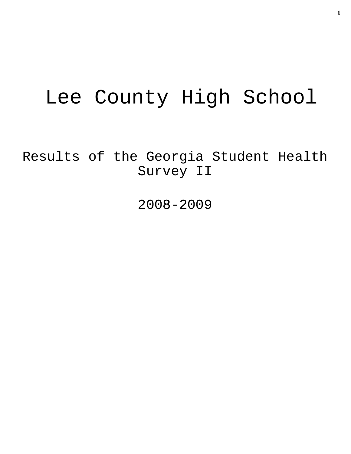# Lee County High School

Results of the Georgia Student Health Survey II

2008-2009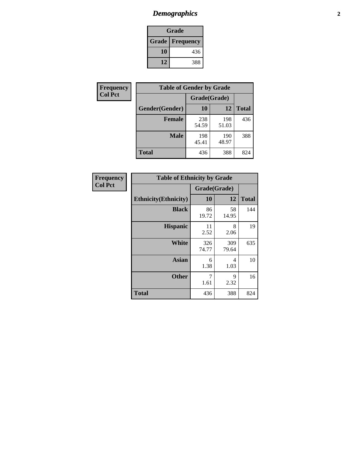# *Demographics* **2**

| Grade                    |     |  |  |  |
|--------------------------|-----|--|--|--|
| <b>Grade   Frequency</b> |     |  |  |  |
| 10                       | 436 |  |  |  |
| 12                       | 388 |  |  |  |

| Frequency      | <b>Table of Gender by Grade</b> |              |              |              |
|----------------|---------------------------------|--------------|--------------|--------------|
| <b>Col Pct</b> |                                 | Grade(Grade) |              |              |
|                | Gender(Gender)                  | 10           | 12           | <b>Total</b> |
|                | <b>Female</b>                   | 238<br>54.59 | 198<br>51.03 | 436          |
|                | <b>Male</b>                     | 198<br>45.41 | 190<br>48.97 | 388          |
|                | <b>Total</b>                    | 436          | 388          | 824          |

| <b>Frequency</b> |
|------------------|
| <b>Col Pct</b>   |

| <b>Table of Ethnicity by Grade</b> |              |              |              |  |  |  |
|------------------------------------|--------------|--------------|--------------|--|--|--|
|                                    | Grade(Grade) |              |              |  |  |  |
| <b>Ethnicity</b> (Ethnicity)       | 10           | 12           | <b>Total</b> |  |  |  |
| <b>Black</b>                       | 86<br>19.72  | 58<br>14.95  | 144          |  |  |  |
| <b>Hispanic</b>                    | 11<br>2.52   | 8<br>2.06    | 19           |  |  |  |
| White                              | 326<br>74.77 | 309<br>79.64 | 635          |  |  |  |
| Asian                              | 6<br>1.38    | 4<br>1.03    | 10           |  |  |  |
| <b>Other</b>                       | 7<br>1.61    | 9<br>2.32    | 16           |  |  |  |
| <b>Total</b>                       | 436          | 388          | 824          |  |  |  |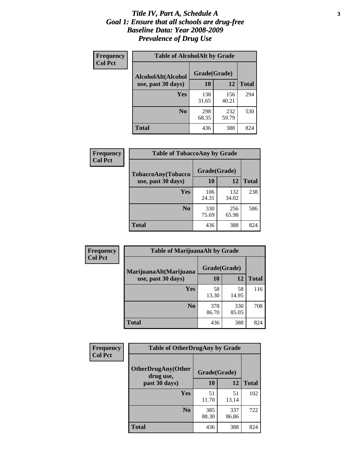### *Title IV, Part A, Schedule A* **3** *Goal 1: Ensure that all schools are drug-free Baseline Data: Year 2008-2009 Prevalence of Drug Use*

| Frequency<br><b>Col Pct</b> | <b>Table of AlcoholAlt by Grade</b> |              |              |              |  |  |
|-----------------------------|-------------------------------------|--------------|--------------|--------------|--|--|
|                             | AlcoholAlt(Alcohol                  | Grade(Grade) |              |              |  |  |
|                             | use, past 30 days)                  | <b>10</b>    | 12           | <b>Total</b> |  |  |
|                             | Yes                                 | 138<br>31.65 | 156<br>40.21 | 294          |  |  |
|                             | N <sub>0</sub>                      | 298<br>68.35 | 232<br>59.79 | 530          |  |  |
|                             | Total                               | 436          | 388          | 824          |  |  |

| Frequency      | <b>Table of TobaccoAny by Grade</b> |              |              |              |  |
|----------------|-------------------------------------|--------------|--------------|--------------|--|
| <b>Col Pct</b> | TobaccoAny(Tobacco                  | Grade(Grade) |              |              |  |
|                | use, past 30 days)                  | <b>10</b>    | 12           | <b>Total</b> |  |
|                | Yes                                 | 106<br>24.31 | 132<br>34.02 | 238          |  |
|                | N <sub>0</sub>                      | 330<br>75.69 | 256<br>65.98 | 586          |  |
|                | <b>Total</b>                        | 436          | 388          | 824          |  |

| Frequency<br><b>Col Pct</b> | <b>Table of MarijuanaAlt by Grade</b> |              |              |              |  |
|-----------------------------|---------------------------------------|--------------|--------------|--------------|--|
|                             | MarijuanaAlt(Marijuana                | Grade(Grade) |              |              |  |
|                             | use, past 30 days)                    | <b>10</b>    | 12           | <b>Total</b> |  |
|                             | <b>Yes</b>                            | 58<br>13.30  | 58<br>14.95  | 116          |  |
|                             | N <sub>0</sub>                        | 378<br>86.70 | 330<br>85.05 | 708          |  |
|                             | <b>Total</b>                          | 436          | 388          | 824          |  |

| Frequency<br><b>Col Pct</b> | <b>Table of OtherDrugAny by Grade</b>                  |              |              |              |  |
|-----------------------------|--------------------------------------------------------|--------------|--------------|--------------|--|
|                             | <b>OtherDrugAny(Other</b><br>Grade(Grade)<br>drug use, |              |              |              |  |
|                             | past 30 days)                                          | 10           | 12           | <b>Total</b> |  |
|                             | Yes                                                    | 51<br>11.70  | 51<br>13.14  | 102          |  |
|                             | N <sub>0</sub>                                         | 385<br>88.30 | 337<br>86.86 | 722          |  |
|                             | <b>Total</b>                                           | 436          | 388          | 824          |  |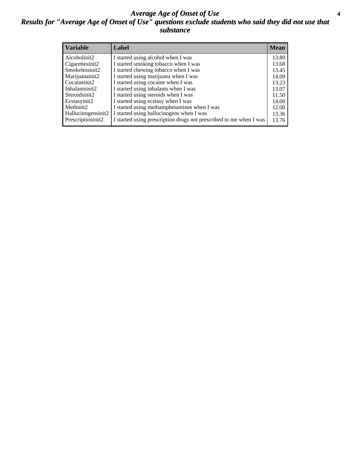### *Average Age of Onset of Use* **4** *Results for "Average Age of Onset of Use" questions exclude students who said they did not use that substance*

| <b>Variable</b>    | Label                                                              | <b>Mean</b> |
|--------------------|--------------------------------------------------------------------|-------------|
| Alcoholinit2       | I started using alcohol when I was                                 | 13.80       |
| Cigarettesinit2    | I started smoking tobacco when I was                               | 13.68       |
| Smokelessinit2     | I started chewing tobacco when I was                               | 13.45       |
| Marijuanainit2     | I started using marijuana when I was                               | 14.09       |
| Cocaineinit2       | I started using cocaine when I was                                 | 13.23       |
| Inhalantsinit2     | I started using inhalants when I was                               | 13.07       |
| Steroidsinit2      | I started using steroids when I was                                | 11.50       |
| Ecstasyinit2       | I started using ecstasy when I was                                 | 14.00       |
| Methinit2          | I started using methamphetamines when I was                        | 12.00       |
| Hallucinogensinit2 | I started using hallucinogens when I was                           | 13.36       |
| Prescriptioninit2  | I started using prescription drugs not prescribed to me when I was | 13.76       |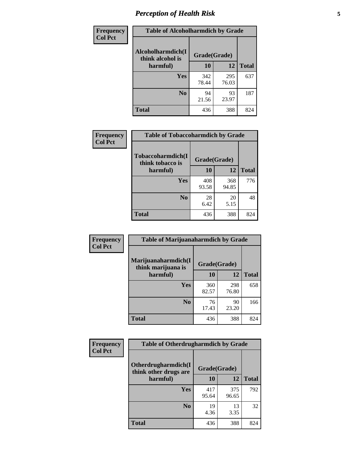# *Perception of Health Risk* **5**

| Frequency      | <b>Table of Alcoholharmdich by Grade</b> |              |              |              |  |
|----------------|------------------------------------------|--------------|--------------|--------------|--|
| <b>Col Pct</b> | Alcoholharmdich(I<br>think alcohol is    | Grade(Grade) |              |              |  |
|                | harmful)                                 | 10           | 12           | <b>Total</b> |  |
|                | <b>Yes</b>                               | 342<br>78.44 | 295<br>76.03 | 637          |  |
|                | N <sub>0</sub>                           | 94<br>21.56  | 93<br>23.97  | 187          |  |
|                | <b>Total</b>                             | 436          | 388          | 824          |  |

| Frequency      | <b>Table of Tobaccoharmdich by Grade</b> |              |              |              |  |
|----------------|------------------------------------------|--------------|--------------|--------------|--|
| <b>Col Pct</b> | Tobaccoharmdich(I<br>think tobacco is    | Grade(Grade) |              |              |  |
|                | harmful)                                 | 10           | 12           | <b>Total</b> |  |
|                | <b>Yes</b>                               | 408<br>93.58 | 368<br>94.85 | 776          |  |
|                | N <sub>0</sub>                           | 28<br>6.42   | 20<br>5.15   | 48           |  |
|                | <b>Total</b>                             | 436          | 388          | 824          |  |

| <b>Frequency</b> | <b>Table of Marijuanaharmdich by Grade</b>                |              |              |              |  |  |
|------------------|-----------------------------------------------------------|--------------|--------------|--------------|--|--|
| <b>Col Pct</b>   | Marijuanaharmdich(I<br>Grade(Grade)<br>think marijuana is |              |              |              |  |  |
|                  | harmful)                                                  | 10           | 12           | <b>Total</b> |  |  |
|                  | Yes                                                       | 360<br>82.57 | 298<br>76.80 | 658          |  |  |
|                  | N <sub>0</sub>                                            | 76<br>17.43  | 90<br>23.20  | 166          |  |  |
|                  | <b>Total</b>                                              | 436          | 388          | 824          |  |  |

| <b>Frequency</b> | <b>Table of Otherdrugharmdich by Grade</b>   |              |              |              |  |  |  |
|------------------|----------------------------------------------|--------------|--------------|--------------|--|--|--|
| <b>Col Pct</b>   | Otherdrugharmdich(I<br>think other drugs are | Grade(Grade) |              |              |  |  |  |
|                  | harmful)                                     | 10           | 12           | <b>Total</b> |  |  |  |
|                  | <b>Yes</b>                                   | 417<br>95.64 | 375<br>96.65 | 792          |  |  |  |
|                  | N <sub>0</sub>                               | 19<br>4.36   | 13<br>3.35   | 32           |  |  |  |
|                  | <b>Total</b>                                 | 436          | 388          | 824          |  |  |  |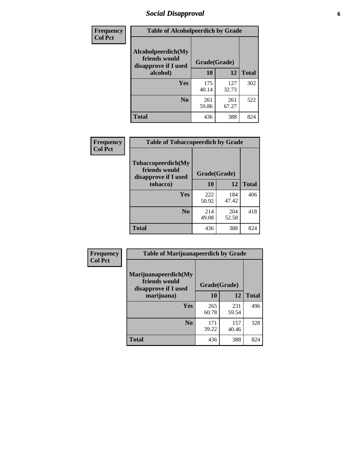# *Social Disapproval* **6**

| Frequency      | <b>Table of Alcoholpeerdich by Grade</b>                    |              |              |              |
|----------------|-------------------------------------------------------------|--------------|--------------|--------------|
| <b>Col Pct</b> | Alcoholpeerdich(My<br>friends would<br>disapprove if I used | Grade(Grade) |              |              |
|                | alcohol)                                                    | 10           | 12           | <b>Total</b> |
|                | <b>Yes</b>                                                  | 175<br>40.14 | 127<br>32.73 | 302          |
|                | N <sub>0</sub>                                              | 261<br>59.86 | 261<br>67.27 | 522          |
|                | Total                                                       | 436          | 388          | 824          |

| <b>Frequency</b> |
|------------------|
| <b>Col Pct</b>   |

| <b>Table of Tobaccopeerdich by Grade</b>                    |              |              |              |  |  |  |
|-------------------------------------------------------------|--------------|--------------|--------------|--|--|--|
| Tobaccopeerdich(My<br>friends would<br>disapprove if I used | Grade(Grade) |              |              |  |  |  |
| tobacco)                                                    | 10           | 12           | <b>Total</b> |  |  |  |
| <b>Yes</b>                                                  | 222<br>50.92 | 184<br>47.42 | 406          |  |  |  |
| N <sub>0</sub>                                              | 214<br>49.08 | 204<br>52.58 | 418          |  |  |  |
| <b>Total</b>                                                | 436          | 388          | 824          |  |  |  |

| Frequency      | <b>Table of Marijuanapeerdich by Grade</b>                    |              |              |              |  |  |  |  |
|----------------|---------------------------------------------------------------|--------------|--------------|--------------|--|--|--|--|
| <b>Col Pct</b> | Marijuanapeerdich(My<br>friends would<br>disapprove if I used | Grade(Grade) |              |              |  |  |  |  |
|                | marijuana)                                                    | 10           | 12           | <b>Total</b> |  |  |  |  |
|                | <b>Yes</b>                                                    | 265<br>60.78 | 231<br>59.54 | 496          |  |  |  |  |
|                | N <sub>0</sub>                                                | 171<br>39.22 | 157<br>40.46 | 328          |  |  |  |  |
|                | <b>Total</b>                                                  | 436          | 388          | 824          |  |  |  |  |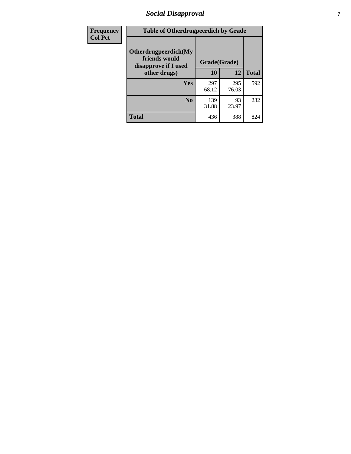# *Social Disapproval* **7**

| Frequency      | <b>Table of Otherdrugpeerdich by Grade</b>                    |              |              |              |  |  |  |
|----------------|---------------------------------------------------------------|--------------|--------------|--------------|--|--|--|
| <b>Col Pct</b> | Otherdrugpeerdich(My<br>friends would<br>disapprove if I used | Grade(Grade) |              |              |  |  |  |
|                | other drugs)                                                  | 10           | 12           | <b>Total</b> |  |  |  |
|                | Yes                                                           | 297<br>68.12 | 295<br>76.03 | 592          |  |  |  |
|                | N <sub>0</sub>                                                | 139<br>31.88 | 93<br>23.97  | 232          |  |  |  |
|                | <b>Total</b>                                                  | 436          | 388          | 824          |  |  |  |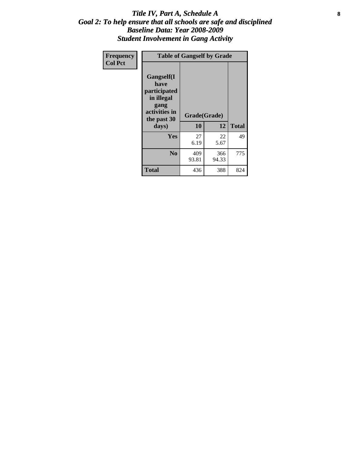### Title IV, Part A, Schedule A **8** *Goal 2: To help ensure that all schools are safe and disciplined Baseline Data: Year 2008-2009 Student Involvement in Gang Activity*

| Frequency      | <b>Table of Gangself by Grade</b>                                                                 |                    |              |              |
|----------------|---------------------------------------------------------------------------------------------------|--------------------|--------------|--------------|
| <b>Col Pct</b> | Gangself(I<br>have<br>participated<br>in illegal<br>gang<br>activities in<br>the past 30<br>days) | Grade(Grade)<br>10 | 12           | <b>Total</b> |
|                | Yes                                                                                               | 27<br>6.19         | 22<br>5.67   | 49           |
|                | N <sub>0</sub>                                                                                    | 409<br>93.81       | 366<br>94.33 | 775          |
|                | <b>Total</b>                                                                                      | 436                | 388          | 824          |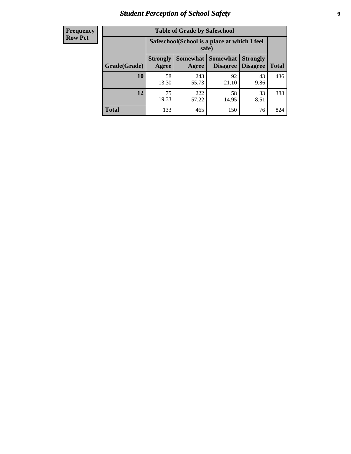# *Student Perception of School Safety* **9**

| <b>Frequency</b><br>Row Pct |
|-----------------------------|
|                             |

| <b>Table of Grade by Safeschool</b> |                          |                                                        |                      |                                    |              |  |  |
|-------------------------------------|--------------------------|--------------------------------------------------------|----------------------|------------------------------------|--------------|--|--|
|                                     |                          | Safeschool (School is a place at which I feel<br>safe) |                      |                                    |              |  |  |
| Grade(Grade)                        | <b>Strongly</b><br>Agree | Somewhat  <br>Agree                                    | Somewhat<br>Disagree | <b>Strongly</b><br><b>Disagree</b> | <b>Total</b> |  |  |
| 10                                  | 58<br>13.30              | 243<br>55.73                                           | 92<br>21.10          | 43<br>9.86                         | 436          |  |  |
| 12                                  | 75<br>19.33              | 222<br>57.22                                           | 58<br>14.95          | 33<br>8.51                         | 388          |  |  |
| <b>Total</b>                        | 133                      | 465                                                    | 150                  | 76                                 | 824          |  |  |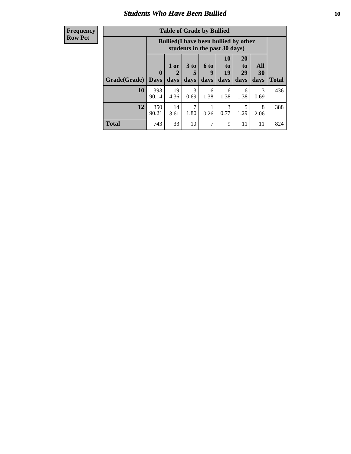### *Students Who Have Been Bullied* **10**

| <b>Frequency</b> |
|------------------|
| Row Pct          |

| <b>Table of Grade by Bullied</b> |                             |                                                                               |                              |                   |                        |                               |                   |              |
|----------------------------------|-----------------------------|-------------------------------------------------------------------------------|------------------------------|-------------------|------------------------|-------------------------------|-------------------|--------------|
|                                  |                             | <b>Bullied</b> (I have been bullied by other<br>students in the past 30 days) |                              |                   |                        |                               |                   |              |
| Grade(Grade)                     | $\mathbf{0}$<br><b>Days</b> | 1 or<br>2<br>days                                                             | 3 <sub>to</sub><br>5<br>days | 6 to<br>9<br>days | 10<br>to<br>19<br>days | <b>20</b><br>to<br>29<br>days | All<br>30<br>days | <b>Total</b> |
| 10                               | 393<br>90.14                | 19<br>4.36                                                                    | 3<br>0.69                    | 6<br>1.38         | 6<br>1.38              | 6<br>1.38                     | 3<br>0.69         | 436          |
| 12                               | 350<br>90.21                | 14<br>3.61                                                                    | 7<br>1.80                    | 0.26              | 3<br>0.77              | 5<br>1.29                     | 8<br>2.06         | 388          |
| <b>Total</b>                     | 743                         | 33                                                                            | 10                           | 7                 | 9                      | 11                            | 11                | 824          |

 $\blacksquare$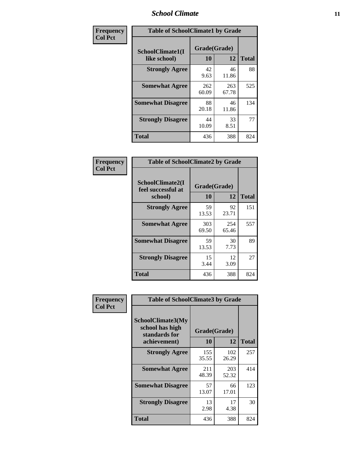### *School Climate* **11**

| <b>Frequency</b> | <b>Table of SchoolClimate1 by Grade</b> |                    |              |              |  |  |  |
|------------------|-----------------------------------------|--------------------|--------------|--------------|--|--|--|
| <b>Col Pct</b>   | SchoolClimate1(I<br>like school)        | Grade(Grade)<br>10 | 12           | <b>Total</b> |  |  |  |
|                  | <b>Strongly Agree</b>                   | 42<br>9.63         | 46<br>11.86  | 88           |  |  |  |
|                  | <b>Somewhat Agree</b>                   | 262<br>60.09       | 263<br>67.78 | 525          |  |  |  |
|                  | <b>Somewhat Disagree</b>                | 88<br>20.18        | 46<br>11.86  | 134          |  |  |  |
|                  | <b>Strongly Disagree</b>                | 44<br>10.09        | 33<br>8.51   | 77           |  |  |  |
|                  | <b>Total</b>                            | 436                | 388          | 824          |  |  |  |

| Frequency      | <b>Table of SchoolClimate2 by Grade</b>           |                    |              |              |
|----------------|---------------------------------------------------|--------------------|--------------|--------------|
| <b>Col Pct</b> | SchoolClimate2(I<br>feel successful at<br>school) | Grade(Grade)<br>10 | 12           | <b>Total</b> |
|                | <b>Strongly Agree</b>                             | 59<br>13.53        | 92<br>23.71  | 151          |
|                | <b>Somewhat Agree</b>                             | 303<br>69.50       | 254<br>65.46 | 557          |
|                | <b>Somewhat Disagree</b>                          | 59<br>13.53        | 30<br>7.73   | 89           |
|                | <b>Strongly Disagree</b>                          | 15<br>3.44         | 12<br>3.09   | 27           |
|                | <b>Total</b>                                      | 436                | 388          | 824          |

| Frequency      | <b>Table of SchoolClimate3 by Grade</b>                                      |                    |              |              |  |
|----------------|------------------------------------------------------------------------------|--------------------|--------------|--------------|--|
| <b>Col Pct</b> | <b>SchoolClimate3(My</b><br>school has high<br>standards for<br>achievement) | Grade(Grade)<br>10 | 12           | <b>Total</b> |  |
|                |                                                                              |                    |              |              |  |
|                | <b>Strongly Agree</b>                                                        | 155<br>35.55       | 102<br>26.29 | 257          |  |
|                | <b>Somewhat Agree</b>                                                        | 211<br>48.39       | 203<br>52.32 | 414          |  |
|                | <b>Somewhat Disagree</b>                                                     | 57<br>13.07        | 66<br>17.01  | 123          |  |
|                | <b>Strongly Disagree</b>                                                     | 13<br>2.98         | 17<br>4.38   | 30           |  |
|                | Total                                                                        | 436                | 388          | 824          |  |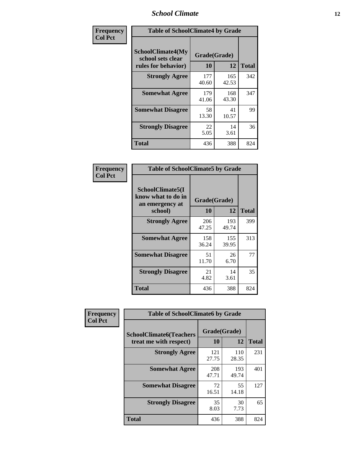### *School Climate* **12**

| Frequency      | <b>Table of SchoolClimate4 by Grade</b>                              |                    |              |              |
|----------------|----------------------------------------------------------------------|--------------------|--------------|--------------|
| <b>Col Pct</b> | <b>SchoolClimate4(My</b><br>school sets clear<br>rules for behavior) | Grade(Grade)<br>10 | 12           | <b>Total</b> |
|                | <b>Strongly Agree</b>                                                | 177<br>40.60       | 165<br>42.53 | 342          |
|                | <b>Somewhat Agree</b>                                                | 179<br>41.06       | 168<br>43.30 | 347          |
|                | <b>Somewhat Disagree</b>                                             | 58<br>13.30        | 41<br>10.57  | 99           |
|                | <b>Strongly Disagree</b>                                             | 22<br>5.05         | 14<br>3.61   | 36           |
|                | <b>Total</b>                                                         | 436                | 388          | 824          |

| <b>Table of SchoolClimate5 by Grade</b>                   |              |              |              |  |  |
|-----------------------------------------------------------|--------------|--------------|--------------|--|--|
| SchoolClimate5(I<br>know what to do in<br>an emergency at | Grade(Grade) |              |              |  |  |
| school)                                                   | 10           | 12           | <b>Total</b> |  |  |
| <b>Strongly Agree</b>                                     | 206<br>47.25 | 193<br>49.74 | 399          |  |  |
| <b>Somewhat Agree</b>                                     | 158<br>36.24 | 155<br>39.95 | 313          |  |  |
| <b>Somewhat Disagree</b>                                  | 51<br>11.70  | 26<br>6.70   | 77           |  |  |
| <b>Strongly Disagree</b>                                  | 21<br>4.82   | 14<br>3.61   | 35           |  |  |
| Total                                                     | 436          | 388          | 824          |  |  |

| Frequency      | <b>Table of SchoolClimate6 by Grade</b>                  |                    |              |              |  |
|----------------|----------------------------------------------------------|--------------------|--------------|--------------|--|
| <b>Col Pct</b> | <b>SchoolClimate6(Teachers</b><br>treat me with respect) | Grade(Grade)<br>10 | 12           | <b>Total</b> |  |
|                | <b>Strongly Agree</b>                                    | 121<br>27.75       | 110<br>28.35 | 231          |  |
|                | <b>Somewhat Agree</b>                                    | 208<br>47.71       | 193<br>49.74 | 401          |  |
|                | <b>Somewhat Disagree</b>                                 | 72<br>16.51        | 55<br>14.18  | 127          |  |
|                | <b>Strongly Disagree</b>                                 | 35<br>8.03         | 30<br>7.73   | 65           |  |
|                | <b>Total</b>                                             | 436                | 388          | 824          |  |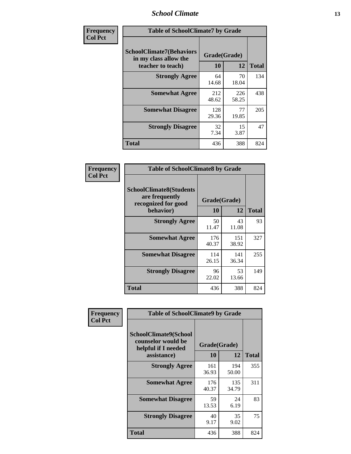### *School Climate* **13**

| Frequency      | <b>Table of SchoolClimate7 by Grade</b>                                       |                           |              |              |
|----------------|-------------------------------------------------------------------------------|---------------------------|--------------|--------------|
| <b>Col Pct</b> | <b>SchoolClimate7(Behaviors</b><br>in my class allow the<br>teacher to teach) | Grade(Grade)<br><b>10</b> | 12           | <b>Total</b> |
|                | <b>Strongly Agree</b>                                                         | 64<br>14.68               | 70<br>18.04  | 134          |
|                | <b>Somewhat Agree</b>                                                         | 212<br>48.62              | 226<br>58.25 | 438          |
|                | <b>Somewhat Disagree</b>                                                      | 128<br>29.36              | 77<br>19.85  | 205          |
|                | <b>Strongly Disagree</b>                                                      | 32<br>7.34                | 15<br>3.87   | 47           |
|                | <b>Total</b>                                                                  | 436                       | 388          | 824          |

| Frequency      | <b>Table of SchoolClimate8 by Grade</b>                                              |                    |              |              |
|----------------|--------------------------------------------------------------------------------------|--------------------|--------------|--------------|
| <b>Col Pct</b> | <b>SchoolClimate8(Students</b><br>are frequently<br>recognized for good<br>behavior) | Grade(Grade)<br>10 | 12           | <b>Total</b> |
|                | <b>Strongly Agree</b>                                                                | 50<br>11.47        | 43<br>11.08  | 93           |
|                | <b>Somewhat Agree</b>                                                                | 176<br>40.37       | 151<br>38.92 | 327          |
|                | <b>Somewhat Disagree</b>                                                             | 114<br>26.15       | 141<br>36.34 | 255          |
|                | <b>Strongly Disagree</b>                                                             | 96<br>22.02        | 53<br>13.66  | 149          |
|                | <b>Total</b>                                                                         | 436                | 388          | 824          |

| Frequency      | <b>Table of SchoolClimate9 by Grade</b>                                                  |                    |              |              |
|----------------|------------------------------------------------------------------------------------------|--------------------|--------------|--------------|
| <b>Col Pct</b> | <b>SchoolClimate9(School</b><br>counselor would be<br>helpful if I needed<br>assistance) | Grade(Grade)<br>10 | 12           | <b>Total</b> |
|                | <b>Strongly Agree</b>                                                                    | 161<br>36.93       | 194<br>50.00 | 355          |
|                | <b>Somewhat Agree</b>                                                                    | 176<br>40.37       | 135<br>34.79 | 311          |
|                | <b>Somewhat Disagree</b>                                                                 | 59<br>13.53        | 24<br>6.19   | 83           |
|                | <b>Strongly Disagree</b>                                                                 | 40<br>9.17         | 35<br>9.02   | 75           |
|                | Total                                                                                    | 436                | 388          | 824          |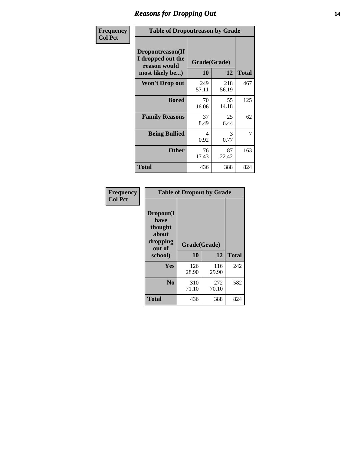### *Reasons for Dropping Out* **14**

| Frequency      | <b>Table of Dropoutreason by Grade</b>                                   |                    |              |              |
|----------------|--------------------------------------------------------------------------|--------------------|--------------|--------------|
| <b>Col Pct</b> | Dropoutreason(If<br>I dropped out the<br>reason would<br>most likely be) | Grade(Grade)<br>10 | 12           | <b>Total</b> |
|                | <b>Won't Drop out</b>                                                    | 249<br>57.11       | 218<br>56.19 | 467          |
|                | <b>Bored</b>                                                             | 70<br>16.06        | 55<br>14.18  | 125          |
|                | <b>Family Reasons</b>                                                    | 37<br>8.49         | 25<br>6.44   | 62           |
|                | <b>Being Bullied</b>                                                     | 4<br>0.92          | 3<br>0.77    | 7            |
|                | <b>Other</b>                                                             | 76<br>17.43        | 87<br>22.42  | 163          |
|                | <b>Total</b>                                                             | 436                | 388          | 824          |

| Frequency      | <b>Table of Dropout by Grade</b>                                       |                    |              |     |  |
|----------------|------------------------------------------------------------------------|--------------------|--------------|-----|--|
| <b>Col Pct</b> | Dropout(I<br>have<br>thought<br>about<br>dropping<br>out of<br>school) | Grade(Grade)<br>10 | <b>Total</b> |     |  |
|                |                                                                        |                    | 12           |     |  |
|                | Yes                                                                    | 126<br>28.90       | 116<br>29.90 | 242 |  |
|                | N <sub>0</sub>                                                         | 310<br>71.10       | 272<br>70.10 | 582 |  |
|                | <b>Total</b>                                                           | 436                | 388          | 824 |  |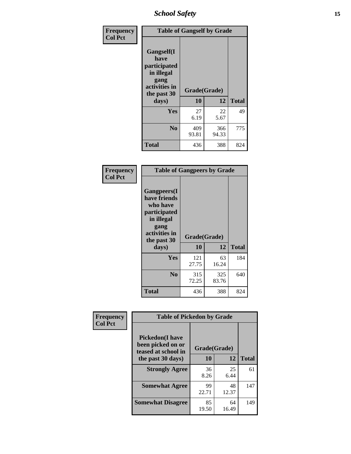*School Safety* **15**

| Frequency      | <b>Table of Gangself by Grade</b>                                                                 |                    |              |              |
|----------------|---------------------------------------------------------------------------------------------------|--------------------|--------------|--------------|
| <b>Col Pct</b> | Gangself(I<br>have<br>participated<br>in illegal<br>gang<br>activities in<br>the past 30<br>days) | Grade(Grade)<br>10 | 12           | <b>Total</b> |
|                | Yes                                                                                               | 27<br>6.19         | 22<br>5.67   | 49           |
|                | N <sub>0</sub>                                                                                    | 409<br>93.81       | 366<br>94.33 | 775          |
|                | <b>Total</b>                                                                                      | 436                | 388          | 824          |

| Frequency<br><b>Col Pct</b> | <b>Table of Gangpeers by Grade</b>                                                                                             |                    |              |              |  |
|-----------------------------|--------------------------------------------------------------------------------------------------------------------------------|--------------------|--------------|--------------|--|
|                             | <b>Gangpeers</b> (I<br>have friends<br>who have<br>participated<br>in illegal<br>gang<br>activities in<br>the past 30<br>days) | Grade(Grade)<br>10 | 12           | <b>Total</b> |  |
|                             | Yes                                                                                                                            | 121<br>27.75       | 63<br>16.24  | 184          |  |
|                             | N <sub>0</sub>                                                                                                                 | 315<br>72.25       | 325<br>83.76 | 640          |  |
|                             | <b>Total</b>                                                                                                                   | 436                | 388          | 824          |  |

| Frequency      |                                                                    | <b>Table of Pickedon by Grade</b> |             |              |  |  |  |  |  |  |
|----------------|--------------------------------------------------------------------|-----------------------------------|-------------|--------------|--|--|--|--|--|--|
| <b>Col Pct</b> | <b>Pickedon(I have</b><br>been picked on or<br>teased at school in | Grade(Grade)                      |             |              |  |  |  |  |  |  |
|                | the past 30 days)                                                  | 10                                | 12          | <b>Total</b> |  |  |  |  |  |  |
|                | <b>Strongly Agree</b>                                              | 36<br>8.26                        | 25<br>6.44  | 61           |  |  |  |  |  |  |
|                | <b>Somewhat Agree</b>                                              | 99<br>22.71                       | 48<br>12.37 | 147          |  |  |  |  |  |  |
|                | <b>Somewhat Disagree</b>                                           | 85<br>19.50                       | 64<br>16.49 | 149          |  |  |  |  |  |  |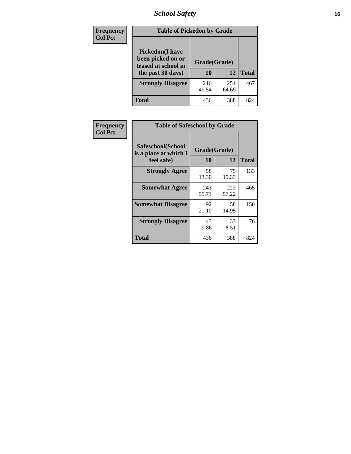# *School Safety* **16**

| <b>Frequency</b> |                                                                                          | <b>Table of Pickedon by Grade</b> |                    |     |  |  |  |  |  |  |  |  |  |
|------------------|------------------------------------------------------------------------------------------|-----------------------------------|--------------------|-----|--|--|--|--|--|--|--|--|--|
| <b>Col Pct</b>   | <b>Pickedon</b> (I have<br>been picked on or<br>teased at school in<br>the past 30 days) | 10                                | Grade(Grade)<br>12 |     |  |  |  |  |  |  |  |  |  |
|                  | <b>Strongly Disagree</b>                                                                 | 216<br>49.54                      | 251<br>64.69       | 467 |  |  |  |  |  |  |  |  |  |
|                  | Total                                                                                    | 436                               | 388                | 824 |  |  |  |  |  |  |  |  |  |

| Frequency      |                                                          | <b>Table of Safeschool by Grade</b> |              |              |  |  |  |  |  |  |  |  |  |
|----------------|----------------------------------------------------------|-------------------------------------|--------------|--------------|--|--|--|--|--|--|--|--|--|
| <b>Col Pct</b> | Safeschool(School<br>is a place at which I<br>feel safe) | Grade(Grade)<br><b>10</b>           | 12           | <b>Total</b> |  |  |  |  |  |  |  |  |  |
|                | <b>Strongly Agree</b>                                    | 58<br>13.30                         | 75<br>19.33  | 133          |  |  |  |  |  |  |  |  |  |
|                | <b>Somewhat Agree</b>                                    | 243<br>55.73                        | 222<br>57.22 | 465          |  |  |  |  |  |  |  |  |  |
|                | <b>Somewhat Disagree</b>                                 | 92<br>21.10                         | 58<br>14.95  | 150          |  |  |  |  |  |  |  |  |  |
|                | <b>Strongly Disagree</b>                                 | 43<br>9.86                          | 33<br>8.51   | 76           |  |  |  |  |  |  |  |  |  |
|                | <b>Total</b>                                             | 436                                 | 388          | 824          |  |  |  |  |  |  |  |  |  |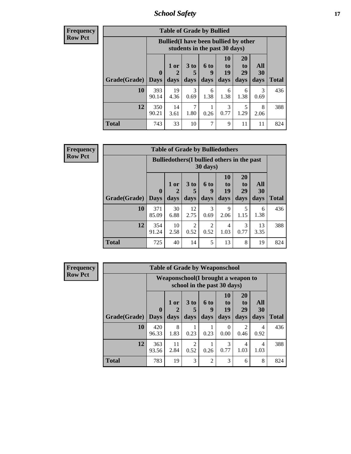*School Safety* **17**

| <b>Table of Grade by Bullied</b> |                       |                                                                               |                              |                   |                        |                               |                   |              |  |  |  |
|----------------------------------|-----------------------|-------------------------------------------------------------------------------|------------------------------|-------------------|------------------------|-------------------------------|-------------------|--------------|--|--|--|
|                                  |                       | <b>Bullied</b> (I have been bullied by other<br>students in the past 30 days) |                              |                   |                        |                               |                   |              |  |  |  |
| <b>Grade(Grade)</b>              | $\mathbf 0$<br>  Days | 1 or<br>days                                                                  | 3 <sub>to</sub><br>5<br>days | 6 to<br>g<br>days | 10<br>to<br>19<br>days | <b>20</b><br>to<br>29<br>days | All<br>30<br>days | <b>Total</b> |  |  |  |
| 10                               | 393<br>90.14          | 19<br>4.36                                                                    | 3<br>0.69                    | 6<br>1.38         | 6<br>1.38              | 6<br>1.38                     | 3<br>0.69         | 436          |  |  |  |
| 12                               | 350<br>90.21          | 14<br>3.61                                                                    | 7<br>1.80                    | 0.26              | 3<br>0.77              | 5<br>1.29                     | 8<br>2.06         | 388          |  |  |  |
| <b>Total</b>                     | 743                   | 33                                                                            | 10                           | 7                 | 9                      | 11                            | 11                | 824          |  |  |  |

| <b>Frequency</b><br>Row Pct |
|-----------------------------|

| <b>Table of Grade by Bulliedothers</b>                         |                        |                   |                              |                   |                        |                               |                   |              |  |  |  |
|----------------------------------------------------------------|------------------------|-------------------|------------------------------|-------------------|------------------------|-------------------------------|-------------------|--------------|--|--|--|
| <b>Bulliedothers</b> (I bullied others in the past<br>30 days) |                        |                   |                              |                   |                        |                               |                   |              |  |  |  |
| Grade(Grade)                                                   | $\mathbf{0}$<br>  Days | 1 or<br>2<br>days | 3 <sub>to</sub><br>5<br>days | 6 to<br>9<br>days | 10<br>to<br>19<br>days | <b>20</b><br>to<br>29<br>days | All<br>30<br>days | <b>Total</b> |  |  |  |
| 10                                                             | 371<br>85.09           | 30<br>6.88        | 12<br>2.75                   | 3<br>0.69         | 9<br>2.06              | 5<br>1.15                     | 6<br>1.38         | 436          |  |  |  |
| 12                                                             | 354<br>91.24           | 10<br>2.58        | $\overline{2}$<br>0.52       | 2<br>0.52         | 4<br>1.03              | 3<br>0.77                     | 13<br>3.35        | 388          |  |  |  |
| Total                                                          | 725                    | 40                | 14                           | 5                 | 13                     | 8                             | 19                | 824          |  |  |  |

| <b>Frequency</b> |                           | <b>Table of Grade by Weaponschool</b> |                                                                    |                      |           |                  |                        |                        |              |  |  |
|------------------|---------------------------|---------------------------------------|--------------------------------------------------------------------|----------------------|-----------|------------------|------------------------|------------------------|--------------|--|--|
| <b>Row Pct</b>   |                           |                                       | Weaponschool (I brought a weapon to<br>school in the past 30 days) |                      |           |                  |                        |                        |              |  |  |
|                  |                           | $\boldsymbol{0}$                      | 1 or<br>$\overline{2}$                                             | 3 <sub>to</sub><br>5 | 6 to<br>9 | 10<br>to<br>19   | <b>20</b><br>to<br>29  | All<br>30              |              |  |  |
|                  | <b>Grade</b> (Grade) Days |                                       | days                                                               | days                 | days      | days             | days                   | days                   | <b>Total</b> |  |  |
|                  | 10                        | 420<br>96.33                          | 8<br>1.83                                                          | 1<br>0.23            | 0.23      | $\Omega$<br>0.00 | $\overline{2}$<br>0.46 | $\overline{4}$<br>0.92 | 436          |  |  |
|                  | 12                        | 363<br>93.56                          | 11<br>2.84                                                         | 2<br>0.52            | 0.26      | 3<br>0.77        | 4<br>1.03              | $\overline{4}$<br>1.03 | 388          |  |  |
|                  | <b>Total</b>              | 783                                   | 19                                                                 | 3                    | 2         | 3                | 6                      | 8                      | 824          |  |  |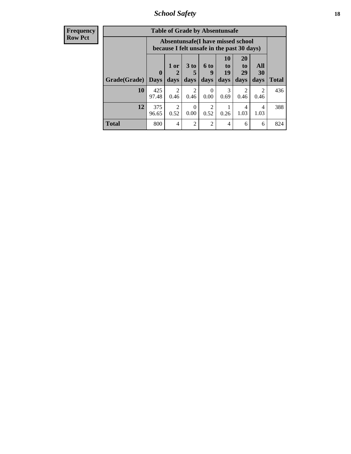*School Safety* **18**

| <b>Frequency</b> |              | <b>Table of Grade by Absentunsafe</b> |                                                                                 |                        |                  |                |                        |                        |              |  |
|------------------|--------------|---------------------------------------|---------------------------------------------------------------------------------|------------------------|------------------|----------------|------------------------|------------------------|--------------|--|
| <b>Row Pct</b>   |              |                                       | Absentunsafe(I have missed school<br>because I felt unsafe in the past 30 days) |                        |                  |                |                        |                        |              |  |
|                  |              | $\mathbf{0}$                          | 1 or<br>2                                                                       | 3 <sub>to</sub><br>5   | 6 to<br>9        | 10<br>to<br>19 | <b>20</b><br>to<br>29  | All<br>30              |              |  |
|                  | Grade(Grade) | <b>Days</b>                           | days                                                                            | days                   | days             | days           | days                   | days                   | <b>Total</b> |  |
|                  | 10           | 425<br>97.48                          | $\mathfrak{D}$<br>0.46                                                          | $\overline{2}$<br>0.46 | $\Omega$<br>0.00 | 3<br>0.69      | $\mathfrak{D}$<br>0.46 | $\mathfrak{D}$<br>0.46 | 436          |  |
|                  | 12           | 375<br>96.65                          | $\overline{2}$<br>0.52                                                          | $\Omega$<br>0.00       | 2<br>0.52        | 0.26           | 4<br>1.03              | 4<br>1.03              | 388          |  |
|                  | <b>Total</b> | 800                                   | $\overline{4}$                                                                  | $\overline{2}$         | $\overline{c}$   | 4              | 6                      | 6                      | 824          |  |
|                  |              |                                       |                                                                                 |                        |                  |                |                        |                        |              |  |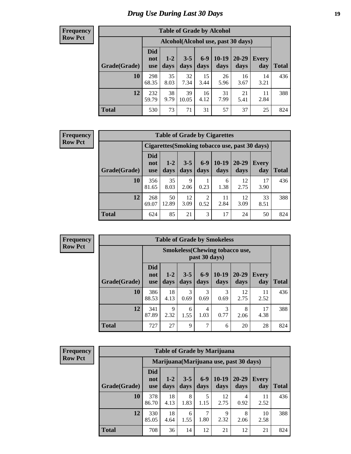# *Drug Use During Last 30 Days* **19**

#### **Frequency Row Pct**

| <b>Table of Grade by Alcohol</b> |                                 |                 |                 |               |                 |                                     |              |       |  |  |  |  |  |
|----------------------------------|---------------------------------|-----------------|-----------------|---------------|-----------------|-------------------------------------|--------------|-------|--|--|--|--|--|
|                                  |                                 |                 |                 |               |                 | Alcohol (Alcohol use, past 30 days) |              |       |  |  |  |  |  |
| Grade(Grade)                     | <b>Did</b><br>not<br><b>use</b> | $1 - 2$<br>days | $3 - 5$<br>days | $6-9$<br>days | $10-19$<br>days | 20-29<br>days                       | Every<br>day | Total |  |  |  |  |  |
| 10                               | 298<br>68.35                    | 35<br>8.03      | 32<br>7.34      | 15<br>3.44    | 26<br>5.96      | 16<br>3.67                          | 14<br>3.21   | 436   |  |  |  |  |  |
| 12                               | 232<br>59.79                    | 38<br>9.79      | 39<br>10.05     | 16<br>4.12    | 31<br>7.99      | 21<br>5.41                          | 11<br>2.84   | 388   |  |  |  |  |  |
| <b>Total</b>                     | 530                             | 73              | 71              | 31            | 57              | 37                                  | 25           | 824   |  |  |  |  |  |

#### **Frequency Row Pct**

| <b>Table of Grade by Cigarettes</b> |                                                |                 |                 |                 |               |               |                     |              |  |  |  |  |  |
|-------------------------------------|------------------------------------------------|-----------------|-----------------|-----------------|---------------|---------------|---------------------|--------------|--|--|--|--|--|
|                                     | Cigarettes (Smoking tobacco use, past 30 days) |                 |                 |                 |               |               |                     |              |  |  |  |  |  |
| Grade(Grade)                        | Did<br>not<br><b>use</b>                       | $1 - 2$<br>days | $3 - 5$<br>days | $6 - 9$<br>days | 10-19<br>days | 20-29<br>days | <b>Every</b><br>day | <b>Total</b> |  |  |  |  |  |
| 10                                  | 356<br>81.65                                   | 35<br>8.03      | 9<br>2.06       | 0.23            | 6<br>1.38     | 12<br>2.75    | 17<br>3.90          | 436          |  |  |  |  |  |
| 12                                  | 268<br>69.07                                   | 50<br>12.89     | 12<br>3.09      | 2<br>0.52       | 11<br>2.84    | 12<br>3.09    | 33<br>8.51          | 388          |  |  |  |  |  |
| <b>Total</b>                        | 624                                            | 85              | 21              | 3               | 17            | 24            | 50                  | 824          |  |  |  |  |  |

**Frequency Row Pct**

|              | <b>Table of Grade by Smokeless</b>                     |                 |                 |               |                 |               |                     |              |  |  |  |  |
|--------------|--------------------------------------------------------|-----------------|-----------------|---------------|-----------------|---------------|---------------------|--------------|--|--|--|--|
|              | <b>Smokeless</b> (Chewing tobaccouse,<br>past 30 days) |                 |                 |               |                 |               |                     |              |  |  |  |  |
| Grade(Grade) | <b>Did</b><br>not<br><b>use</b>                        | $1 - 2$<br>days | $3 - 5$<br>days | $6-9$<br>days | $10-19$<br>days | 20-29<br>days | <b>Every</b><br>day | <b>Total</b> |  |  |  |  |
| 10           | 386<br>88.53                                           | 18<br>4.13      | 3<br>0.69       | 3<br>0.69     | 3<br>0.69       | 12<br>2.75    | 11<br>2.52          | 436          |  |  |  |  |
| 12           | 341<br>87.89                                           | 9<br>2.32       | 6<br>1.55       | 4<br>1.03     | 3<br>0.77       | 8<br>2.06     | 17<br>4.38          | 388          |  |  |  |  |
| <b>Total</b> | 727                                                    | 27              | 9               | $\mathcal{I}$ | 6               | 20            | 28                  | 824          |  |  |  |  |

| <b>Table of Grade by Marijuana</b> |                                 |                                         |                 |                 |                 |               |                     |              |  |  |  |  |  |
|------------------------------------|---------------------------------|-----------------------------------------|-----------------|-----------------|-----------------|---------------|---------------------|--------------|--|--|--|--|--|
|                                    |                                 | Marijuana (Marijuana use, past 30 days) |                 |                 |                 |               |                     |              |  |  |  |  |  |
| Grade(Grade)                       | <b>Did</b><br>not<br><b>use</b> | $1 - 2$<br>days                         | $3 - 5$<br>days | $6 - 9$<br>days | $10-19$<br>days | 20-29<br>days | <b>Every</b><br>day | <b>Total</b> |  |  |  |  |  |
| 10                                 | 378<br>86.70                    | 18<br>4.13                              | 8<br>1.83       | 5<br>1.15       | 12<br>2.75      | 4<br>0.92     | 11<br>2.52          | 436          |  |  |  |  |  |
| 12                                 | 330<br>85.05                    | 18<br>4.64                              | 6<br>1.55       | 1.80            | 9<br>2.32       | 8<br>2.06     | 10<br>2.58          | 388          |  |  |  |  |  |
| <b>Total</b>                       | 708                             | 36                                      | 14              | 12              | 21              | 12            | 21                  | 824          |  |  |  |  |  |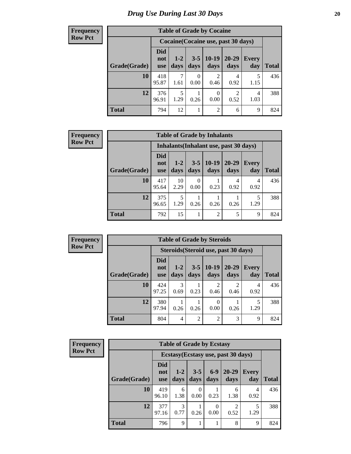#### **Frequency Row Pct**

| <b>Table of Grade by Cocaine</b> |                                 |                                     |                  |                        |                   |                     |              |  |  |
|----------------------------------|---------------------------------|-------------------------------------|------------------|------------------------|-------------------|---------------------|--------------|--|--|
|                                  |                                 | Cocaine (Cocaine use, past 30 days) |                  |                        |                   |                     |              |  |  |
| Grade(Grade)                     | <b>Did</b><br>not<br><b>use</b> | $1 - 2$<br>days                     | $3 - 5$<br>days  | $10-19$<br>days        | $20 - 29$<br>days | <b>Every</b><br>day | <b>Total</b> |  |  |
| 10                               | 418<br>95.87                    | 7<br>1.61                           | $\Omega$<br>0.00 | $\mathfrak{D}$<br>0.46 | 4<br>0.92         | 5<br>1.15           | 436          |  |  |
| 12                               | 376<br>96.91                    | 5<br>1.29                           | 0.26             | $\Omega$<br>0.00       | 2<br>0.52         | 4<br>1.03           | 388          |  |  |
| <b>Total</b>                     | 794                             | 12                                  |                  | 2                      | 6                 | 9                   | 824          |  |  |

#### **Frequency Row Pct**

| <b>Table of Grade by Inhalants</b> |                                        |                 |                 |                 |                   |                     |              |  |  |
|------------------------------------|----------------------------------------|-----------------|-----------------|-----------------|-------------------|---------------------|--------------|--|--|
|                                    | Inhalants (Inhalant use, past 30 days) |                 |                 |                 |                   |                     |              |  |  |
| Grade(Grade)                       | Did<br>not<br><b>use</b>               | $1 - 2$<br>days | $3 - 5$<br>days | $10-19$<br>days | $20 - 29$<br>days | <b>Every</b><br>day | <b>Total</b> |  |  |
| 10                                 | 417<br>95.64                           | 10<br>2.29      | 0<br>0.00       | 0.23            | 4<br>0.92         | 4<br>0.92           | 436          |  |  |
| 12                                 | 375<br>96.65                           | 5<br>1.29       | 0.26            | 0.26            | 0.26              | 5<br>1.29           | 388          |  |  |
| <b>Total</b>                       | 792                                    | 15              |                 | 2               | 5                 | 9                   | 824          |  |  |

| <b>Table of Grade by Steroids</b>    |                                 |                |                 |                        |                   |              |              |  |  |
|--------------------------------------|---------------------------------|----------------|-----------------|------------------------|-------------------|--------------|--------------|--|--|
| Steroids (Steroid use, past 30 days) |                                 |                |                 |                        |                   |              |              |  |  |
| Grade(Grade)                         | <b>Did</b><br>not<br><b>use</b> | $1-2$<br>days  | $3 - 5$<br>days | $10-19$<br>days        | $20 - 29$<br>days | Every<br>day | <b>Total</b> |  |  |
| 10                                   | 424<br>97.25                    | 3<br>0.69      | 0.23            | $\mathfrak{D}$<br>0.46 | 2<br>0.46         | 4<br>0.92    | 436          |  |  |
| 12                                   | 380<br>97.94                    | 0.26           | 0.26            | 0<br>0.00              | 0.26              | 1.29         | 388          |  |  |
| <b>Total</b>                         | 804                             | $\overline{4}$ | $\overline{2}$  | $\overline{2}$         | 3                 | 9            | 824          |  |  |

| <b>Frequency</b> |
|------------------|
| - Row Pci        |

| <b>Table of Grade by Ecstasy</b> |                          |                                     |                 |                           |                        |              |              |  |  |
|----------------------------------|--------------------------|-------------------------------------|-----------------|---------------------------|------------------------|--------------|--------------|--|--|
|                                  |                          | Ecstasy (Ecstasy use, past 30 days) |                 |                           |                        |              |              |  |  |
| Grade(Grade)                     | Did<br>not<br><b>use</b> | $1-2$<br>days                       | $3 - 5$<br>days | $6 - 9$<br>days           | $20 - 29$<br>days      | Every<br>day | <b>Total</b> |  |  |
| 10                               | 419<br>96.10             | 6<br>1.38                           | 0<br>0.00       | 0.23                      | 6<br>1.38              | 4<br>0.92    | 436          |  |  |
| 12                               | 377<br>97.16             | 3<br>0.77                           | 0.26            | $\mathbf{\Omega}$<br>0.00 | $\mathfrak{D}$<br>0.52 | 5<br>1.29    | 388          |  |  |
| <b>Total</b>                     | 796                      | 9                                   |                 |                           | 8                      | 9            | 824          |  |  |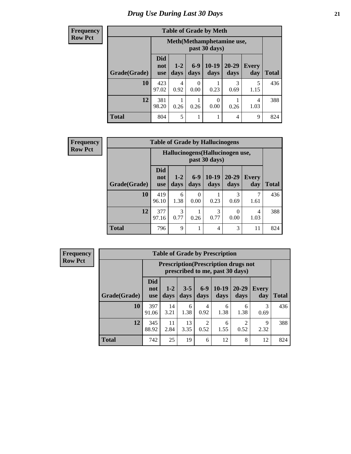#### **Frequency Row Pct**

| <b>Table of Grade by Meth</b> |                                 |                                                |               |                 |                   |                     |              |  |  |
|-------------------------------|---------------------------------|------------------------------------------------|---------------|-----------------|-------------------|---------------------|--------------|--|--|
|                               |                                 | Meth (Methamphetamine use,<br>past 30 days)    |               |                 |                   |                     |              |  |  |
| Grade(Grade)                  | <b>Did</b><br>not<br><b>use</b> | $1 - 2$<br>days                                | $6-9$<br>days | $10-19$<br>days | $20 - 29$<br>days | <b>Every</b><br>day | <b>Total</b> |  |  |
| 10                            | 423<br>97.02                    | 4<br>0.92                                      | 0<br>0.00     | 0.23            | 3<br>0.69         | 5<br>1.15           | 436          |  |  |
| 12                            | 381<br>98.20                    | 0<br>4<br>0.26<br>0.26<br>0.00<br>0.26<br>1.03 |               |                 |                   |                     |              |  |  |
| <b>Total</b>                  | 804                             | 5                                              |               |                 | 4                 | 9                   | 824          |  |  |

| Frequency      |              | <b>Table of Grade by Hallucinogens</b> |                 |                  |                                                   |                   |                     |              |  |
|----------------|--------------|----------------------------------------|-----------------|------------------|---------------------------------------------------|-------------------|---------------------|--------------|--|
| <b>Row Pct</b> |              |                                        |                 |                  | Hallucinogens (Hallucinogen use,<br>past 30 days) |                   |                     |              |  |
|                | Grade(Grade) | <b>Did</b><br>not<br>use               | $1 - 2$<br>days | $6-9$<br>days    | $10-19$<br>days                                   | $20 - 29$<br>days | <b>Every</b><br>day | <b>Total</b> |  |
|                | 10           | 419<br>96.10                           | 6<br>1.38       | $\theta$<br>0.00 | 0.23                                              | 0.69              | 1.61                | 436          |  |
|                | 12           | 377<br>97.16                           | 3<br>0.77       | 0.26             | 3<br>0.77                                         | 0<br>0.00         | 4<br>1.03           | 388          |  |
|                | <b>Total</b> | 796                                    | 9               |                  | 4                                                 | 3                 | 11                  | 824          |  |

| <b>Table of Grade by Prescription</b>                                                                                                                                               |              |                                                                                           |           |           |           |           |           |     |  |  |
|-------------------------------------------------------------------------------------------------------------------------------------------------------------------------------------|--------------|-------------------------------------------------------------------------------------------|-----------|-----------|-----------|-----------|-----------|-----|--|--|
|                                                                                                                                                                                     |              | <b>Prescription</b> (Prescription drugs not<br>prescribed to me, past 30 days)            |           |           |           |           |           |     |  |  |
| <b>Did</b><br>$10-19$<br>$3 - 5$<br>$6-9$<br>$20 - 29$<br>$1-2$<br><b>Every</b><br>not<br>Grade(Grade)<br>days<br>days<br>days<br>days<br>day<br><b>Total</b><br>days<br><b>use</b> |              |                                                                                           |           |           |           |           |           |     |  |  |
| 10                                                                                                                                                                                  | 397<br>91.06 | 14<br>3.21                                                                                | 6<br>1.38 | 4<br>0.92 | 6<br>1.38 | 6<br>1.38 | 3<br>0.69 | 436 |  |  |
| 12                                                                                                                                                                                  | 345<br>88.92 | 13<br>$\overline{2}$<br>11<br>2<br>6<br>9<br>2.84<br>0.52<br>2.32<br>3.35<br>0.52<br>1.55 |           |           |           |           |           |     |  |  |
| <b>Total</b>                                                                                                                                                                        | 742          | 25                                                                                        | 19        | 6         | 12        | 8         | 12        | 824 |  |  |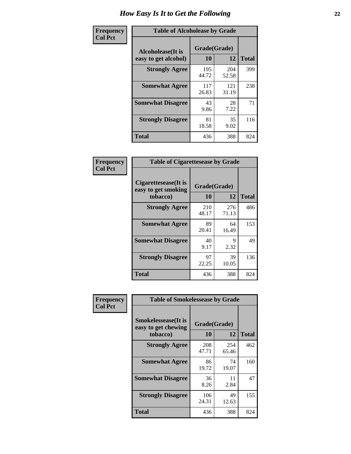| Frequency      | <b>Table of Alcoholease by Grade</b>       |                    |              |              |  |  |  |  |
|----------------|--------------------------------------------|--------------------|--------------|--------------|--|--|--|--|
| <b>Col Pct</b> | Alcoholease (It is<br>easy to get alcohol) | Grade(Grade)<br>10 | 12           | <b>Total</b> |  |  |  |  |
|                | <b>Strongly Agree</b>                      | 195<br>44.72       | 204<br>52.58 | 399          |  |  |  |  |
|                | <b>Somewhat Agree</b>                      | 117<br>26.83       | 121<br>31.19 | 238          |  |  |  |  |
|                | <b>Somewhat Disagree</b>                   | 43<br>9.86         | 28<br>7.22   | 71           |  |  |  |  |
|                | <b>Strongly Disagree</b>                   | 81<br>18.58        | 35<br>9.02   | 116          |  |  |  |  |
|                | <b>Total</b>                               | 436                | 388          | 824          |  |  |  |  |

| Frequency      | <b>Table of Cigarettesease by Grade</b>                  |                           |              |              |  |  |  |
|----------------|----------------------------------------------------------|---------------------------|--------------|--------------|--|--|--|
| <b>Col Pct</b> | Cigarettesease (It is<br>easy to get smoking<br>tobacco) | Grade(Grade)<br><b>10</b> | 12           | <b>Total</b> |  |  |  |
|                | <b>Strongly Agree</b>                                    | 210<br>48.17              | 276<br>71.13 | 486          |  |  |  |
|                | <b>Somewhat Agree</b>                                    | 89<br>20.41               | 64<br>16.49  | 153          |  |  |  |
|                | <b>Somewhat Disagree</b>                                 | 40<br>9.17                | 9<br>2.32    | 49           |  |  |  |
|                | <b>Strongly Disagree</b>                                 | 97<br>22.25               | 39<br>10.05  | 136          |  |  |  |
|                | <b>Total</b>                                             | 436                       | 388          | 824          |  |  |  |

| Frequency      | <b>Table of Smokelessease by Grade</b>                         |                    |              |              |  |  |  |  |
|----------------|----------------------------------------------------------------|--------------------|--------------|--------------|--|--|--|--|
| <b>Col Pct</b> | <b>Smokelessease</b> (It is<br>easy to get chewing<br>tobacco) | Grade(Grade)<br>10 | 12           | <b>Total</b> |  |  |  |  |
|                | <b>Strongly Agree</b>                                          | 208<br>47.71       | 254<br>65.46 | 462          |  |  |  |  |
|                | <b>Somewhat Agree</b>                                          | 86<br>19.72        | 74<br>19.07  | 160          |  |  |  |  |
|                | <b>Somewhat Disagree</b>                                       | 36<br>8.26         | 11<br>2.84   | 47           |  |  |  |  |
|                | <b>Strongly Disagree</b>                                       | 106<br>24.31       | 49<br>12.63  | 155          |  |  |  |  |
|                | <b>Total</b>                                                   | 436                | 388          | 824          |  |  |  |  |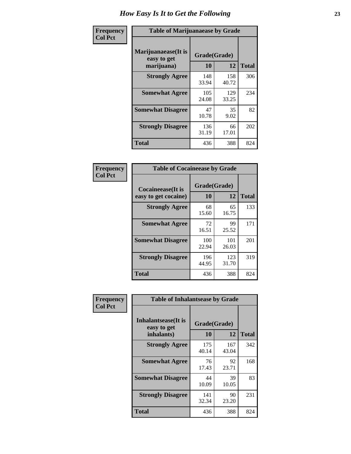| Frequency      | <b>Table of Marijuanaease by Grade</b>           |                    |              |              |  |  |  |
|----------------|--------------------------------------------------|--------------------|--------------|--------------|--|--|--|
| <b>Col Pct</b> | Marijuanaease(It is<br>easy to get<br>marijuana) | Grade(Grade)<br>10 | 12           | <b>Total</b> |  |  |  |
|                | <b>Strongly Agree</b>                            | 148<br>33.94       | 158<br>40.72 | 306          |  |  |  |
|                | <b>Somewhat Agree</b>                            | 105<br>24.08       | 129<br>33.25 | 234          |  |  |  |
|                | <b>Somewhat Disagree</b>                         | 47<br>10.78        | 35<br>9.02   | 82           |  |  |  |
|                | <b>Strongly Disagree</b>                         | 136<br>31.19       | 66<br>17.01  | 202          |  |  |  |
|                | Total                                            | 436                | 388          | 824          |  |  |  |

| <b>Table of Cocaineease by Grade</b>      |                    |              |     |  |  |  |  |  |  |  |  |
|-------------------------------------------|--------------------|--------------|-----|--|--|--|--|--|--|--|--|
| Cocaineease(It is<br>easy to get cocaine) | Grade(Grade)<br>10 | <b>Total</b> |     |  |  |  |  |  |  |  |  |
| <b>Strongly Agree</b>                     | 68<br>15.60        | 65<br>16.75  | 133 |  |  |  |  |  |  |  |  |
| <b>Somewhat Agree</b>                     | 72<br>16.51        | 99<br>25.52  | 171 |  |  |  |  |  |  |  |  |
| <b>Somewhat Disagree</b>                  | 100<br>22.94       | 101<br>26.03 | 201 |  |  |  |  |  |  |  |  |
| <b>Strongly Disagree</b>                  | 196<br>44.95       | 123<br>31.70 | 319 |  |  |  |  |  |  |  |  |
| <b>Total</b>                              | 436                | 388          | 824 |  |  |  |  |  |  |  |  |

| Frequency      | <b>Table of Inhalantsease by Grade</b>                   |                    |              |              |
|----------------|----------------------------------------------------------|--------------------|--------------|--------------|
| <b>Col Pct</b> | <b>Inhalantsease</b> (It is<br>easy to get<br>inhalants) | Grade(Grade)<br>10 | 12           | <b>Total</b> |
|                | <b>Strongly Agree</b>                                    | 175<br>40.14       | 167<br>43.04 | 342          |
|                | <b>Somewhat Agree</b>                                    | 76<br>17.43        | 92<br>23.71  | 168          |
|                | <b>Somewhat Disagree</b>                                 | 44<br>10.09        | 39<br>10.05  | 83           |
|                | <b>Strongly Disagree</b>                                 | 141<br>32.34       | 90<br>23.20  | 231          |
|                | <b>Total</b>                                             | 436                | 388          | 824          |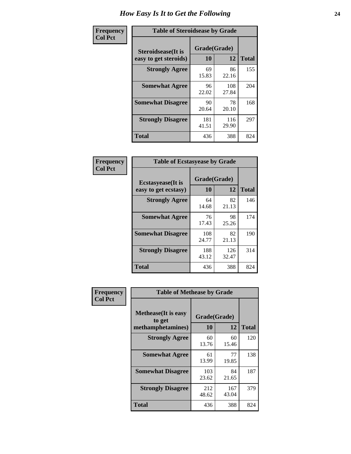| Frequency      | <b>Table of Steroidsease by Grade</b>               |                    |              |     |
|----------------|-----------------------------------------------------|--------------------|--------------|-----|
| <b>Col Pct</b> | <b>Steroidsease</b> (It is<br>easy to get steroids) | Grade(Grade)<br>10 | <b>Total</b> |     |
|                | <b>Strongly Agree</b>                               | 69<br>15.83        | 86<br>22.16  | 155 |
|                | <b>Somewhat Agree</b>                               | 96<br>22.02        | 108<br>27.84 | 204 |
|                | <b>Somewhat Disagree</b>                            | 90<br>20.64        | 78<br>20.10  | 168 |
|                | <b>Strongly Disagree</b>                            | 181<br>41.51       | 116<br>29.90 | 297 |
|                | <b>Total</b>                                        | 436                | 388          | 824 |

| Frequency      | <b>Table of Ecstasyease by Grade</b>              |                           |              |              |
|----------------|---------------------------------------------------|---------------------------|--------------|--------------|
| <b>Col Pct</b> | <b>Ecstasyease</b> (It is<br>easy to get ecstasy) | Grade(Grade)<br><b>10</b> | 12           | <b>Total</b> |
|                | <b>Strongly Agree</b>                             | 64<br>14.68               | 82<br>21.13  | 146          |
|                | <b>Somewhat Agree</b>                             | 76<br>17.43               | 98<br>25.26  | 174          |
|                | <b>Somewhat Disagree</b>                          | 108<br>24.77              | 82<br>21.13  | 190          |
|                | <b>Strongly Disagree</b>                          | 188<br>43.12              | 126<br>32.47 | 314          |
|                | <b>Total</b>                                      | 436                       | 388          | 824          |

| Frequency      | <b>Table of Methease by Grade</b>     |              |              |              |
|----------------|---------------------------------------|--------------|--------------|--------------|
| <b>Col Pct</b> | <b>Methease</b> (It is easy<br>to get | Grade(Grade) |              |              |
|                | methamphetamines)                     | 10           | 12           | <b>Total</b> |
|                | <b>Strongly Agree</b>                 | 60<br>13.76  | 60<br>15.46  | 120          |
|                | <b>Somewhat Agree</b>                 | 61<br>13.99  | 77<br>19.85  | 138          |
|                | <b>Somewhat Disagree</b>              | 103<br>23.62 | 84<br>21.65  | 187          |
|                | <b>Strongly Disagree</b>              | 212<br>48.62 | 167<br>43.04 | 379          |
|                | Total                                 | 436          | 388          | 824          |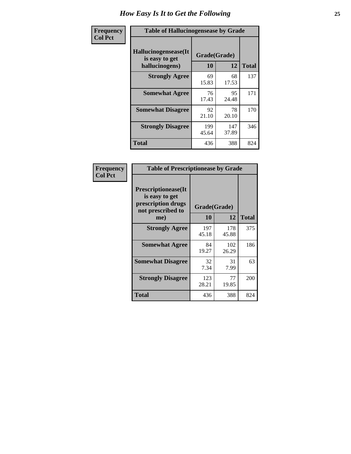| <b>Frequency</b> |                                                           | <b>Table of Hallucinogensease by Grade</b> |              |              |  |  |  |  |  |  |  |  |  |  |
|------------------|-----------------------------------------------------------|--------------------------------------------|--------------|--------------|--|--|--|--|--|--|--|--|--|--|
| <b>Col Pct</b>   | Hallucinogensease(It)<br>is easy to get<br>hallucinogens) | Grade(Grade)<br>10                         | 12           | <b>Total</b> |  |  |  |  |  |  |  |  |  |  |
|                  | <b>Strongly Agree</b>                                     | 69<br>15.83                                | 68<br>17.53  | 137          |  |  |  |  |  |  |  |  |  |  |
|                  | <b>Somewhat Agree</b>                                     | 76<br>17.43                                | 95<br>24.48  | 171          |  |  |  |  |  |  |  |  |  |  |
|                  | <b>Somewhat Disagree</b>                                  | 92<br>21.10                                | 78<br>20.10  | 170          |  |  |  |  |  |  |  |  |  |  |
|                  | <b>Strongly Disagree</b>                                  | 199<br>45.64                               | 147<br>37.89 | 346          |  |  |  |  |  |  |  |  |  |  |
|                  | <b>Total</b>                                              | 436                                        | 388          | 824          |  |  |  |  |  |  |  |  |  |  |

| Frequency<br>  Col Pct |
|------------------------|

| <b>Table of Prescriptionease by Grade</b>                                                |              |              |              |
|------------------------------------------------------------------------------------------|--------------|--------------|--------------|
| <b>Prescriptionease</b> (It<br>is easy to get<br>prescription drugs<br>not prescribed to | Grade(Grade) |              |              |
| me)                                                                                      | 10           | 12           | <b>Total</b> |
| <b>Strongly Agree</b>                                                                    | 197<br>45.18 | 178<br>45.88 | 375          |
| <b>Somewhat Agree</b>                                                                    | 84<br>19.27  | 102<br>26.29 | 186          |
| <b>Somewhat Disagree</b>                                                                 | 32<br>7.34   | 31<br>7.99   | 63           |
| <b>Strongly Disagree</b>                                                                 | 123<br>28.21 | 77<br>19.85  | 200          |
| <b>Total</b>                                                                             | 436          | 388          | 824          |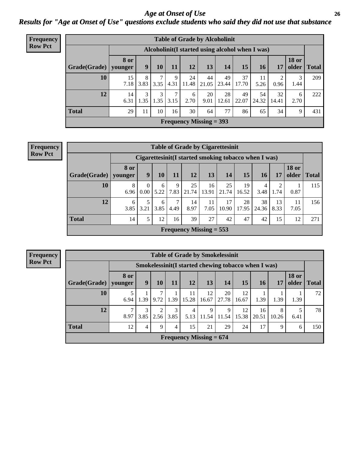### *Age at Onset of Use* **26** *Results for "Age at Onset of Use" questions exclude students who said they did not use that substance*

| Frequency      |              | <b>Table of Grade by Alcoholinit</b> |           |                       |           |             |                           |                                                  |             |             |             |                       |              |
|----------------|--------------|--------------------------------------|-----------|-----------------------|-----------|-------------|---------------------------|--------------------------------------------------|-------------|-------------|-------------|-----------------------|--------------|
| <b>Row Pct</b> |              |                                      |           |                       |           |             |                           | Alcoholinit (I started using alcohol when I was) |             |             |             |                       |              |
|                | Grade(Grade) | <b>8 or</b><br>younger               | 9         | <b>10</b>             | 11        | 12          | 13                        | 14                                               | 15          | <b>16</b>   | 17          | <b>18 or</b><br>older | <b>Total</b> |
|                | 10           | 15<br>7.18                           | 8<br>3.83 | $\mathcal{L}$<br>3.35 | 9<br>4.31 | 24<br>11.48 | 44<br>21.05               | 49<br>23.44                                      | 37<br>17.70 | 11<br>5.26  | 2<br>0.96   | 3<br>1.44             | 209          |
|                | 12           | 14<br>6.31                           | 3<br>1.35 | 3<br>1.35             | 7<br>3.15 | 6<br>2.70   | 20<br>9.01                | 28<br>12.61                                      | 49<br>22.07 | 54<br>24.32 | 32<br>14.41 | 6<br>2.70             | 222          |
|                | <b>Total</b> | 29                                   | 11        | 10                    | 16        | 30          | 64                        | 77                                               | 86          | 65          | 34          | 9                     | 431          |
|                |              |                                      |           |                       |           |             | Frequency Missing $=$ 393 |                                                  |             |             |             |                       |              |

| <b>Frequency</b> |                        | <b>Table of Grade by Cigarettesinit</b> |                                                      |           |           |                                |             |             |             |             |            |                       |              |  |
|------------------|------------------------|-----------------------------------------|------------------------------------------------------|-----------|-----------|--------------------------------|-------------|-------------|-------------|-------------|------------|-----------------------|--------------|--|
| <b>Row Pct</b>   |                        |                                         | Cigarettesinit(I started smoking tobacco when I was) |           |           |                                |             |             |             |             |            |                       |              |  |
|                  | Grade(Grade)   younger | <b>8 or</b>                             | 9                                                    | 10        | 11        | 12                             | 13          | 14          | 15          | 16          | 17         | <b>18 or</b><br>older | <b>Total</b> |  |
|                  | 10                     | 8<br>6.96                               | 0<br>0.00                                            | 6<br>5.22 | 9<br>7.83 | 25<br>21.74                    | 16<br>13.91 | 25<br>21.74 | 19<br>16.52 | 3.48        | 2<br>1.74  | 0.87                  | 115          |  |
|                  | 12                     | 6<br>3.85                               | 5<br>3.21                                            | 6<br>3.85 | 7<br>4.49 | 14<br>8.97                     | 11<br>7.05  | 17<br>10.90 | 28<br>17.95 | 38<br>24.36 | 13<br>8.33 | 11<br>7.05            | 156          |  |
|                  | <b>Total</b>           | 14                                      | 5                                                    | 12        | 16        | 39                             | 27          | 42          | 47          | 42          | 15         | 12                    | 271          |  |
|                  |                        |                                         |                                                      |           |           | <b>Frequency Missing = 553</b> |             |             |             |             |            |                       |              |  |

**Frequency Row Pct**

|              | <b>Table of Grade by Smokelessinit</b> |           |           |           |                           |             |                                                     |             |             |            |                       |              |  |
|--------------|----------------------------------------|-----------|-----------|-----------|---------------------------|-------------|-----------------------------------------------------|-------------|-------------|------------|-----------------------|--------------|--|
|              |                                        |           |           |           |                           |             | Smokelessinit(I started chewing tobacco when I was) |             |             |            |                       |              |  |
| Grade(Grade) | 8 or<br>younger                        | 9         | 10        | 11        | <b>12</b>                 | 13          | 14                                                  | 15          | 16          | <b>17</b>  | <b>18 or</b><br>older | <b>Total</b> |  |
| 10           | 6.94                                   | 1.39      | 9.72      | 1.39      | 11<br>15.28               | 12<br>16.67 | 20<br>27.78                                         | 12<br>16.67 | 1.39        | 1.39       | 1.39                  | 72           |  |
| 12           | 8.97                                   | 3<br>3.85 | 2<br>2.56 | 3<br>3.85 | 4<br>5.13                 | 9<br>11.54  | 9<br>11.54                                          | 12<br>15.38 | 16<br>20.51 | 8<br>10.26 | 6.41                  | 78           |  |
| <b>Total</b> | 12                                     | 4         | 9         | 4         | 15                        | 21          | 29                                                  | 24          | 17          | 9          | 6                     | 150          |  |
|              |                                        |           |           |           | Frequency Missing $= 674$ |             |                                                     |             |             |            |                       |              |  |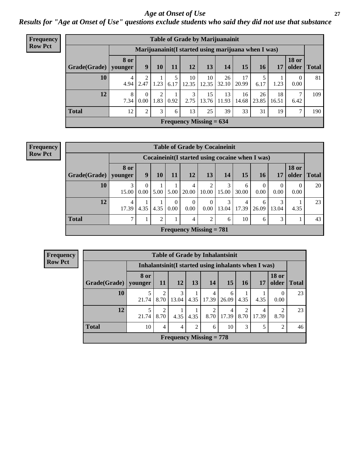### *Age at Onset of Use* **27**

*Results for "Age at Onset of Use" questions exclude students who said they did not use that substance*

| <b>Frequency</b> | <b>Table of Grade by Marijuanainit</b> |             |                                                      |           |      |                 |                           |             |             |             |             |                       |              |
|------------------|----------------------------------------|-------------|------------------------------------------------------|-----------|------|-----------------|---------------------------|-------------|-------------|-------------|-------------|-----------------------|--------------|
| <b>Row Pct</b>   |                                        |             | Marijuanainit (I started using marijuana when I was) |           |      |                 |                           |             |             |             |             |                       |              |
|                  | Grade(Grade)   younger                 | <b>8 or</b> | 9                                                    | 10        | 11   | 12              | 13                        | 14          | 15          | 16          | 17          | <b>18 or</b><br>older | <b>Total</b> |
|                  | 10                                     | 4<br>4.94   | 2.47                                                 | 1.23      | 6.17 | 10<br>12.35     | 10<br>12.35               | 26<br>32.10 | 17<br>20.99 | 6.17        | 1.23        | 0.00                  | 81           |
|                  | 12                                     | 8<br>7.34   | 0.00                                                 | 2<br>1.83 | 0.92 | 3<br>2.75       | 15<br>13.76               | 13<br>11.93 | 16<br>14.68 | 26<br>23.85 | 18<br>16.51 | 6.42                  | 109          |
|                  | <b>Total</b>                           | 12          | 2                                                    | 3         | 6    | 13 <sub>1</sub> | 25                        | 39          | 33          | 31          | 19          |                       | 190          |
|                  |                                        |             |                                                      |           |      |                 | Frequency Missing $= 634$ |             |             |             |             |                       |              |

|                           | <b>Table of Grade by Cocaineinit</b> |                                                                                            |      |                  |                  |                  |            |            |                  |            |           |    |  |
|---------------------------|--------------------------------------|--------------------------------------------------------------------------------------------|------|------------------|------------------|------------------|------------|------------|------------------|------------|-----------|----|--|
|                           |                                      | Cocaineinit(I started using cocaine when I was)                                            |      |                  |                  |                  |            |            |                  |            |           |    |  |
| Grade(Grade)              | <b>8 or</b><br>younger               | <b>18 or</b><br>9<br>12<br>13<br>older<br>15<br>11<br>14<br>17<br><b>Total</b><br>10<br>16 |      |                  |                  |                  |            |            |                  |            |           |    |  |
| 10                        | 15.00                                | 0<br>0.00                                                                                  | 5.00 | 5.00             | 4<br>20.00       | 2<br>10.00       | 3<br>15.00 | 6<br>30.00 | $\theta$<br>0.00 | 0<br>0.00  | 0<br>0.00 | 20 |  |
| 12                        | $\overline{4}$<br>17.39              | 4.35                                                                                       | 4.35 | $\Omega$<br>0.00 | $\Omega$<br>0.00 | $\Omega$<br>0.00 | 3<br>13.04 | 4<br>17.39 | 6<br>26.09       | 3<br>13.04 | 4.35      | 23 |  |
| <b>Total</b>              |                                      |                                                                                            | 2    |                  | 4                | $\overline{2}$   | 6          | 10         | 6                | 3          |           | 43 |  |
| Frequency Missing $= 781$ |                                      |                                                                                            |      |                  |                  |                  |            |            |                  |            |           |    |  |

| Frequency<br><b>Row Pct</b> |
|-----------------------------|
|                             |

|                                             | <b>Table of Grade by Inhalantsinit</b>               |                                                                                        |            |      |                       |            |           |            |                        |    |  |  |
|---------------------------------------------|------------------------------------------------------|----------------------------------------------------------------------------------------|------------|------|-----------------------|------------|-----------|------------|------------------------|----|--|--|
|                                             | Inhalantsinit (I started using inhalants when I was) |                                                                                        |            |      |                       |            |           |            |                        |    |  |  |
| Grade(Grade)                                | 8 or<br>younger                                      | <b>18 or</b><br><b>12</b><br>13<br>older<br>14<br>15<br>16<br><b>Total</b><br>11<br>17 |            |      |                       |            |           |            |                        |    |  |  |
| 10                                          | 5<br>21.74                                           | $\overline{2}$<br>8.70                                                                 | 3<br>13.04 | 4.35 | 4<br>17.39            | 6<br>26.09 | 4.35      | 4.35       | $\Omega$<br>0.00       | 23 |  |  |
| 12                                          | 5<br>21.74                                           | $\mathfrak{D}$<br>8.70                                                                 | 4.35       | 4.35 | $\mathcal{D}$<br>8.70 | 4<br>17.39 | 2<br>8.70 | 4<br>17.39 | $\mathfrak{D}$<br>8.70 | 23 |  |  |
| <b>Total</b>                                | 10                                                   | 4                                                                                      | 4          | 2    | 6                     | 10         | 3         | 5          | $\overline{2}$         | 46 |  |  |
| <b>Frequency Missing = <math>778</math></b> |                                                      |                                                                                        |            |      |                       |            |           |            |                        |    |  |  |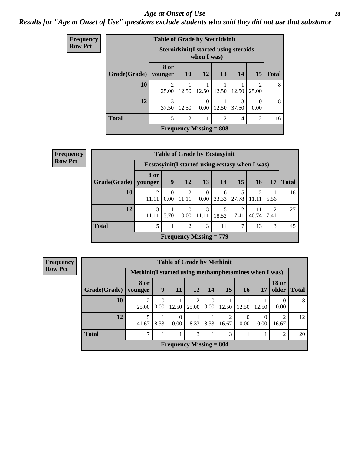### *Age at Onset of Use* **28**

### *Results for "Age at Onset of Use" questions exclude students who said they did not use that substance*

| <b>Frequency</b> | <b>Table of Grade by Steroidsinit</b> |                         |                |                                                              |       |            |                        |              |  |  |  |
|------------------|---------------------------------------|-------------------------|----------------|--------------------------------------------------------------|-------|------------|------------------------|--------------|--|--|--|
| <b>Row Pct</b>   |                                       |                         |                | <b>Steroidsinit (I started using steroids</b><br>when I was) |       |            |                        |              |  |  |  |
|                  | Grade(Grade)                          | 8 or<br>younger         | 10             | 12                                                           | 13    | 14         | 15                     | <b>Total</b> |  |  |  |
|                  | 10                                    | $\mathfrak{D}$<br>25.00 | 12.50          | 12.50                                                        | 12.50 | 12.50      | $\mathcal{D}$<br>25.00 | 8            |  |  |  |
|                  | 12                                    | 3<br>37.50              | 12.50          | $\Omega$<br>0.00                                             | 12.50 | 3<br>37.50 | 0.00                   | 8            |  |  |  |
|                  | <b>Total</b>                          | 5                       | $\overline{2}$ |                                                              | 2     | 4          | $\overline{2}$         | 16           |  |  |  |
|                  |                                       |                         |                | <b>Frequency Missing = 808</b>                               |       |            |                        |              |  |  |  |

| Frequency      | <b>Table of Grade by Ecstasyinit</b> |                                                  |                  |                  |                  |                           |                        |             |           |              |
|----------------|--------------------------------------|--------------------------------------------------|------------------|------------------|------------------|---------------------------|------------------------|-------------|-----------|--------------|
| <b>Row Pct</b> |                                      | Ecstasyinit (I started using ecstasy when I was) |                  |                  |                  |                           |                        |             |           |              |
|                | Grade(Grade)                         | 8 or<br>younger                                  | 9                | 12               | 13               | 14                        | 15                     | <b>16</b>   | 17        | <b>Total</b> |
|                | 10                                   | $\overline{2}$<br>11.11                          | $\Omega$<br>0.00 | 2<br>11.11       | $\theta$<br>0.00 | 6                         | 33.33   27.78          | 2<br>11.11  | 5.56      | 18           |
|                | 12                                   | 3<br>11.11                                       | 3.70             | $\Omega$<br>0.00 | 3<br>11.11       | 5<br>18.52                | $\mathfrak{D}$<br>7.41 | 11<br>40.74 | 2<br>7.41 | 27           |
|                | <b>Total</b>                         | 5                                                |                  | $\overline{2}$   | 3                | 11                        | 7                      | 13          | 3         | 45           |
|                |                                      |                                                  |                  |                  |                  | Frequency Missing $= 779$ |                        |             |           |              |

| <b>Frequency</b> |                           | <b>Table of Grade by Methinit</b>                      |                          |                  |            |                  |            |                  |       |                       |              |
|------------------|---------------------------|--------------------------------------------------------|--------------------------|------------------|------------|------------------|------------|------------------|-------|-----------------------|--------------|
| <b>Row Pct</b>   |                           | Methinit (I started using methamphetamines when I was) |                          |                  |            |                  |            |                  |       |                       |              |
|                  | Grade(Grade)              | <b>8 or</b><br>younger                                 | 9                        | 11               | 12         | 14               | 15         | 16 <sup>1</sup>  | 17    | <b>18 or</b><br>older | <b>Total</b> |
|                  | 10                        | ◠<br>25.00                                             | $\mathbf{0}$<br>$0.00\,$ | 12.50            | 2<br>25.00 | $\Omega$<br>0.00 | 12.50      | 12.50            | 12.50 | $\theta$<br>0.00      | 8            |
|                  | 12                        | 5<br>41.67                                             | 8.33                     | $\Omega$<br>0.00 | 8.33       | 8.33             | ◠<br>16.67 | $\Omega$<br>0.00 | 0.00  | ↑<br>16.67            | 12           |
|                  | <b>Total</b>              | ⇁                                                      |                          |                  | 3          | 1                | 3          |                  |       | 2                     | 20           |
|                  | Frequency Missing $= 804$ |                                                        |                          |                  |            |                  |            |                  |       |                       |              |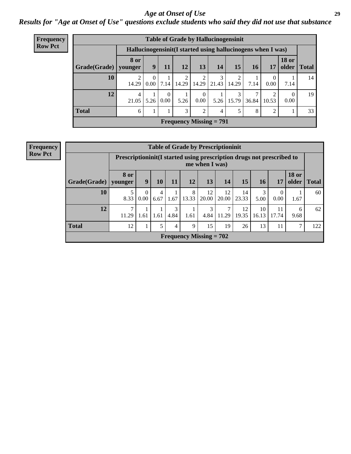### *Age at Onset of Use* **29**

*Results for "Age at Onset of Use" questions exclude students who said they did not use that substance*

| <b>Frequency</b> | <b>Table of Grade by Hallucinogensinit</b> |                        |                                                              |                  |       |                      |                           |            |           |                             |                               |    |  |  |  |
|------------------|--------------------------------------------|------------------------|--------------------------------------------------------------|------------------|-------|----------------------|---------------------------|------------|-----------|-----------------------------|-------------------------------|----|--|--|--|
| <b>Row Pct</b>   |                                            |                        | Hallucinogensinit (I started using hallucinogens when I was) |                  |       |                      |                           |            |           |                             |                               |    |  |  |  |
|                  | Grade(Grade)                               | <b>8 or</b><br>younger | 9                                                            | 11               | 12    | 13                   | 14                        | 15         | <b>16</b> | 17                          | <b>18 or</b><br>older   Total |    |  |  |  |
|                  | 10                                         | 14.29                  | $\left($<br>$0.00^{\circ}$                                   | 7.14             | 14.29 | 2<br>14.29           | 3<br>21.43                | 2<br>14.29 | 7.14      | $\theta$<br>0.00            | 7.14                          | 14 |  |  |  |
|                  | 12                                         | 4<br>21.05             | 5.26                                                         | $\Omega$<br>0.00 | 5.26  | $\theta$<br>$0.00\,$ | 5.26                      | 3<br>15.79 | 36.84     | 10.53                       | $\Omega$<br>0.00              | 19 |  |  |  |
|                  | <b>Total</b>                               | 6                      |                                                              |                  | 3     | $\overline{2}$       | 4                         | 5          | 8         | $\mathcal{D}_{\mathcal{L}}$ |                               | 33 |  |  |  |
|                  |                                            |                        |                                                              |                  |       |                      | Frequency Missing $= 791$ |            |           |                             |                               |    |  |  |  |

| <b>Frequency</b> |              |                                                                        | <b>Table of Grade by Prescriptioninit</b> |           |           |                           |                |             |             |             |                  |                       |       |
|------------------|--------------|------------------------------------------------------------------------|-------------------------------------------|-----------|-----------|---------------------------|----------------|-------------|-------------|-------------|------------------|-----------------------|-------|
| <b>Row Pct</b>   |              | Prescriptioninit (I started using prescription drugs not prescribed to |                                           |           |           |                           | me when I was) |             |             |             |                  |                       |       |
|                  | Grade(Grade) | <b>8 or</b><br>vounger                                                 | 9                                         | 10        | 11        | 12                        | 13             | 14          | 15          | 16          | 17               | <b>18 or</b><br>older | Total |
|                  | 10           | 5<br>8.33                                                              | $\Omega$<br>$0.00\,$                      | 4<br>6.67 | 1.67      | 8<br>13.33                | 12<br>20.00    | 12<br>20.00 | 14<br>23.33 | 3<br>5.00   | $\Omega$<br>0.00 | 1.67                  | 60    |
|                  | 12           | $\mathbf{r}$<br>11.29                                                  | 1.61                                      | 1.61      | 3<br>4.84 | 1.61                      | 3<br>4.84      | 11.29       | 12<br>19.35 | 10<br>16.13 | 11<br>17.74      | 6<br>9.68             | 62    |
|                  | <b>Total</b> | 12                                                                     |                                           |           | 4         | 9                         | 15             | 19          | 26          | 13          | 11               |                       | 122   |
|                  |              |                                                                        |                                           |           |           | Frequency Missing $= 702$ |                |             |             |             |                  |                       |       |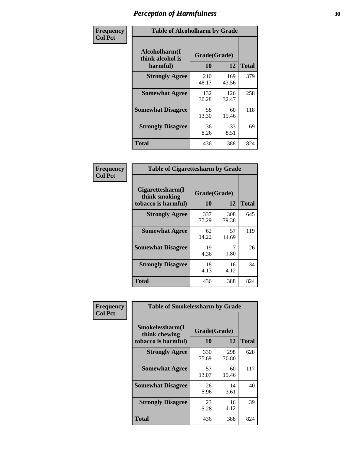| Frequency      | <b>Table of Alcoholharm by Grade</b>          |                    |              |              |  |  |  |  |  |
|----------------|-----------------------------------------------|--------------------|--------------|--------------|--|--|--|--|--|
| <b>Col Pct</b> | Alcoholharm(I<br>think alcohol is<br>harmful) | Grade(Grade)<br>10 | 12           | <b>Total</b> |  |  |  |  |  |
|                | <b>Strongly Agree</b>                         | 210<br>48.17       | 169<br>43.56 | 379          |  |  |  |  |  |
|                | <b>Somewhat Agree</b>                         | 132<br>30.28       | 126<br>32.47 | 258          |  |  |  |  |  |
|                | <b>Somewhat Disagree</b>                      | 58<br>13.30        | 60<br>15.46  | 118          |  |  |  |  |  |
|                | <b>Strongly Disagree</b>                      | 36<br>8.26         | 33<br>8.51   | 69           |  |  |  |  |  |
|                | <b>Total</b>                                  | 436                | 388          | 824          |  |  |  |  |  |

|                                                          | <b>Table of Cigarettesharm by Grade</b> |              |              |  |  |  |  |  |  |  |
|----------------------------------------------------------|-----------------------------------------|--------------|--------------|--|--|--|--|--|--|--|
| Cigarettesharm(I<br>think smoking<br>tobacco is harmful) | Grade(Grade)<br>10                      | 12           | <b>Total</b> |  |  |  |  |  |  |  |
| <b>Strongly Agree</b>                                    | 337<br>77.29                            | 308<br>79.38 | 645          |  |  |  |  |  |  |  |
| <b>Somewhat Agree</b>                                    | 62<br>14.22                             | 57<br>14.69  | 119          |  |  |  |  |  |  |  |
| <b>Somewhat Disagree</b>                                 | 19<br>4.36                              | 7<br>1.80    | 26           |  |  |  |  |  |  |  |
| <b>Strongly Disagree</b>                                 | 18<br>4.13                              | 16<br>4.12   | 34           |  |  |  |  |  |  |  |
| <b>Total</b>                                             | 436                                     | 388          | 824          |  |  |  |  |  |  |  |

| Frequency      | <b>Table of Smokelessharm by Grade</b>                  |                           |              |              |  |  |  |  |  |
|----------------|---------------------------------------------------------|---------------------------|--------------|--------------|--|--|--|--|--|
| <b>Col Pct</b> | Smokelessharm(I<br>think chewing<br>tobacco is harmful) | Grade(Grade)<br><b>10</b> | 12           | <b>Total</b> |  |  |  |  |  |
|                | <b>Strongly Agree</b>                                   | 330<br>75.69              | 298<br>76.80 | 628          |  |  |  |  |  |
|                | <b>Somewhat Agree</b>                                   | 57<br>13.07               | 60<br>15.46  | 117          |  |  |  |  |  |
|                | <b>Somewhat Disagree</b>                                | 26<br>5.96                | 14<br>3.61   | 40           |  |  |  |  |  |
|                | <b>Strongly Disagree</b>                                | 23<br>5.28                | 16<br>4.12   | 39           |  |  |  |  |  |
|                | <b>Total</b>                                            | 436                       | 388          | 824          |  |  |  |  |  |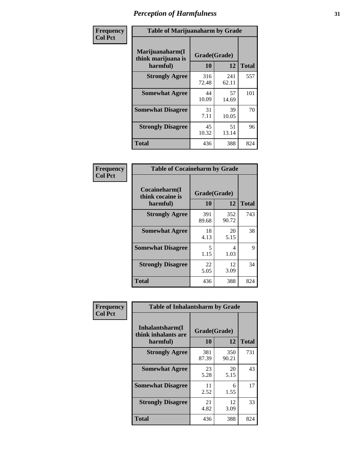| Frequency      | <b>Table of Marijuanaharm by Grade</b>            |                    |              |              |  |  |  |  |  |
|----------------|---------------------------------------------------|--------------------|--------------|--------------|--|--|--|--|--|
| <b>Col Pct</b> | Marijuanaharm(I<br>think marijuana is<br>harmful) | Grade(Grade)<br>10 | 12           | <b>Total</b> |  |  |  |  |  |
|                | <b>Strongly Agree</b>                             | 316<br>72.48       | 241<br>62.11 | 557          |  |  |  |  |  |
|                | <b>Somewhat Agree</b>                             | 44<br>10.09        | 57<br>14.69  | 101          |  |  |  |  |  |
|                | <b>Somewhat Disagree</b>                          | 31<br>7.11         | 39<br>10.05  | 70           |  |  |  |  |  |
|                | <b>Strongly Disagree</b>                          | 45<br>10.32        | 51<br>13.14  | 96           |  |  |  |  |  |
|                | <b>Total</b>                                      | 436                | 388          | 824          |  |  |  |  |  |

| <b>Table of Cocaineharm by Grade</b>          |                    |              |              |  |  |
|-----------------------------------------------|--------------------|--------------|--------------|--|--|
| Cocaineharm(I<br>think cocaine is<br>harmful) | Grade(Grade)<br>10 | 12           | <b>Total</b> |  |  |
| <b>Strongly Agree</b>                         | 391<br>89.68       | 352<br>90.72 | 743          |  |  |
| <b>Somewhat Agree</b>                         | 18<br>4.13         | 20<br>5.15   | 38           |  |  |
| <b>Somewhat Disagree</b>                      | 5<br>1.15          | 4<br>1.03    | 9            |  |  |
| <b>Strongly Disagree</b>                      | 22<br>5.05         | 12<br>3.09   | 34           |  |  |
| <b>Total</b>                                  | 436                | 388          | 824          |  |  |

| Frequency      | <b>Table of Inhalantsharm by Grade</b>              |                    |              |              |
|----------------|-----------------------------------------------------|--------------------|--------------|--------------|
| <b>Col Pct</b> | Inhalantsharm(I)<br>think inhalants are<br>harmful) | Grade(Grade)<br>10 | 12           | <b>Total</b> |
|                | <b>Strongly Agree</b>                               | 381<br>87.39       | 350<br>90.21 | 731          |
|                | <b>Somewhat Agree</b>                               | 23<br>5.28         | 20<br>5.15   | 43           |
|                | <b>Somewhat Disagree</b>                            | 11<br>2.52         | 6<br>1.55    | 17           |
|                | <b>Strongly Disagree</b>                            | 21<br>4.82         | 12<br>3.09   | 33           |
|                | <b>Total</b>                                        | 436                | 388          | 824          |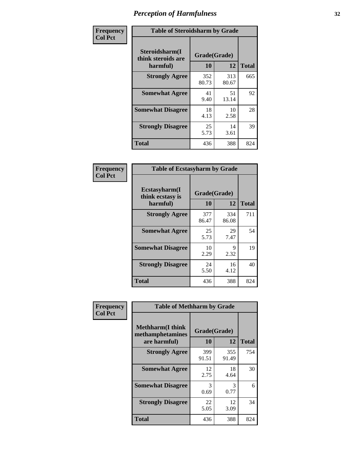| Frequency      | <b>Table of Steroidsharm by Grade</b>            |                    |              |              |
|----------------|--------------------------------------------------|--------------------|--------------|--------------|
| <b>Col Pct</b> | Steroidsharm(I<br>think steroids are<br>harmful) | Grade(Grade)<br>10 | 12           | <b>Total</b> |
|                | <b>Strongly Agree</b>                            | 352<br>80.73       | 313<br>80.67 | 665          |
|                | <b>Somewhat Agree</b>                            | 41<br>9.40         | 51<br>13.14  | 92           |
|                | <b>Somewhat Disagree</b>                         | 18<br>4.13         | 10<br>2.58   | 28           |
|                | <b>Strongly Disagree</b>                         | 25<br>5.73         | 14<br>3.61   | 39           |
|                | <b>Total</b>                                     | 436                | 388          | 824          |

| <b>Table of Ecstasyharm by Grade</b>                |                    |              |     |  |  |  |
|-----------------------------------------------------|--------------------|--------------|-----|--|--|--|
| $E$ cstasyharm $(I$<br>think ecstasy is<br>harmful) | Grade(Grade)<br>10 | <b>Total</b> |     |  |  |  |
| <b>Strongly Agree</b>                               | 377<br>86.47       | 334<br>86.08 | 711 |  |  |  |
| <b>Somewhat Agree</b>                               | 25<br>5.73         | 29<br>7.47   | 54  |  |  |  |
| <b>Somewhat Disagree</b>                            | 10<br>2.29         | 9<br>2.32    | 19  |  |  |  |
| <b>Strongly Disagree</b>                            | 24<br>5.50         | 16<br>4.12   | 40  |  |  |  |
| Total                                               | 436                | 388          | 824 |  |  |  |

| Frequency      | <b>Table of Methharm by Grade</b>                            |                    |              |              |
|----------------|--------------------------------------------------------------|--------------------|--------------|--------------|
| <b>Col Pct</b> | <b>Methharm</b> (I think<br>methamphetamines<br>are harmful) | Grade(Grade)<br>10 | 12           | <b>Total</b> |
|                | <b>Strongly Agree</b>                                        | 399<br>91.51       | 355<br>91.49 | 754          |
|                | <b>Somewhat Agree</b>                                        | 12<br>2.75         | 18<br>4.64   | 30           |
|                | <b>Somewhat Disagree</b>                                     | 3<br>0.69          | 3<br>0.77    | 6            |
|                | <b>Strongly Disagree</b>                                     | 22<br>5.05         | 12<br>3.09   | 34           |
|                | <b>Total</b>                                                 | 436                | 388          | 824          |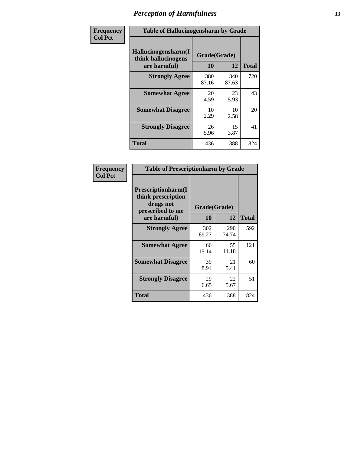| Frequency      | <b>Table of Hallucinogensharm by Grade</b>                 |                           |              |              |
|----------------|------------------------------------------------------------|---------------------------|--------------|--------------|
| <b>Col Pct</b> | Hallucinogensharm(I<br>think hallucinogens<br>are harmful) | Grade(Grade)<br><b>10</b> | 12           | <b>Total</b> |
|                | <b>Strongly Agree</b>                                      | 380<br>87.16              | 340<br>87.63 | 720          |
|                | <b>Somewhat Agree</b>                                      | 20<br>4.59                | 23<br>5.93   | 43           |
|                | <b>Somewhat Disagree</b>                                   | 10<br>2.29                | 10<br>2.58   | 20           |
|                | <b>Strongly Disagree</b>                                   | 26<br>5.96                | 15<br>3.87   | 41           |
|                | <b>Total</b>                                               | 436                       | 388          | 824          |

| <b>Table of Prescriptionharm by Grade</b>                                         |              |              |              |  |  |
|-----------------------------------------------------------------------------------|--------------|--------------|--------------|--|--|
| <b>Prescriptionharm</b> (I<br>think prescription<br>drugs not<br>prescribed to me |              | Grade(Grade) |              |  |  |
| are harmful)                                                                      | 10           | 12           | <b>Total</b> |  |  |
| <b>Strongly Agree</b>                                                             | 302<br>69.27 | 290<br>74.74 | 592          |  |  |
| <b>Somewhat Agree</b>                                                             | 66<br>15.14  | 55<br>14.18  | 121          |  |  |
| <b>Somewhat Disagree</b>                                                          | 39<br>8.94   | 21<br>5.41   | 60           |  |  |
| <b>Strongly Disagree</b>                                                          | 29<br>6.65   | 22<br>5.67   | 51           |  |  |
| <b>Total</b>                                                                      | 436          | 388          | 824          |  |  |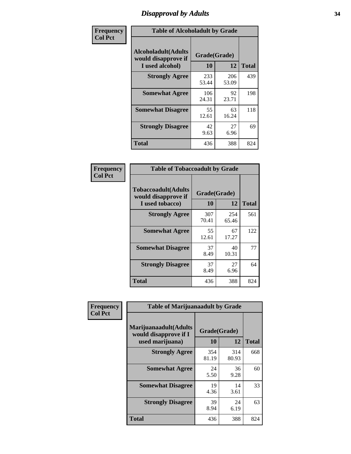# *Disapproval by Adults* **34**

| Frequency      | <b>Table of Alcoholadult by Grade</b>                                 |                    |              |              |
|----------------|-----------------------------------------------------------------------|--------------------|--------------|--------------|
| <b>Col Pct</b> | <b>Alcoholadult</b> (Adults<br>would disapprove if<br>I used alcohol) | Grade(Grade)<br>10 | 12           | <b>Total</b> |
|                | <b>Strongly Agree</b>                                                 | 233<br>53.44       | 206<br>53.09 | 439          |
|                | <b>Somewhat Agree</b>                                                 | 106<br>24.31       | 92<br>23.71  | 198          |
|                | <b>Somewhat Disagree</b>                                              | 55<br>12.61        | 63<br>16.24  | 118          |
|                | <b>Strongly Disagree</b>                                              | 42<br>9.63         | 27<br>6.96   | 69           |
|                | <b>Total</b>                                                          | 436                | 388          | 824          |

| <b>Table of Tobaccoadult by Grade</b>                                 |                    |              |              |  |  |
|-----------------------------------------------------------------------|--------------------|--------------|--------------|--|--|
| <b>Tobaccoadult</b> (Adults<br>would disapprove if<br>I used tobacco) | Grade(Grade)<br>10 | 12           | <b>Total</b> |  |  |
| <b>Strongly Agree</b>                                                 | 307<br>70.41       | 254<br>65.46 | 561          |  |  |
| <b>Somewhat Agree</b>                                                 | 55<br>12.61        | 67<br>17.27  | 122          |  |  |
| <b>Somewhat Disagree</b>                                              | 37<br>8.49         | 40<br>10.31  | 77           |  |  |
| <b>Strongly Disagree</b>                                              | 37<br>8.49         | 27<br>6.96   | 64           |  |  |
| <b>Total</b>                                                          | 436                | 388          | 824          |  |  |

| Frequency      | <b>Table of Marijuanaadult by Grade</b>                           |                    |              |              |
|----------------|-------------------------------------------------------------------|--------------------|--------------|--------------|
| <b>Col Pct</b> | Marijuanaadult(Adults<br>would disapprove if I<br>used marijuana) | Grade(Grade)<br>10 | 12           | <b>Total</b> |
|                | <b>Strongly Agree</b>                                             | 354<br>81.19       | 314<br>80.93 | 668          |
|                | <b>Somewhat Agree</b>                                             | 24<br>5.50         | 36<br>9.28   | 60           |
|                | <b>Somewhat Disagree</b>                                          | 19<br>4.36         | 14<br>3.61   | 33           |
|                | <b>Strongly Disagree</b>                                          | 39<br>8.94         | 24<br>6.19   | 63           |
|                | <b>Total</b>                                                      | 436                | 388          | 824          |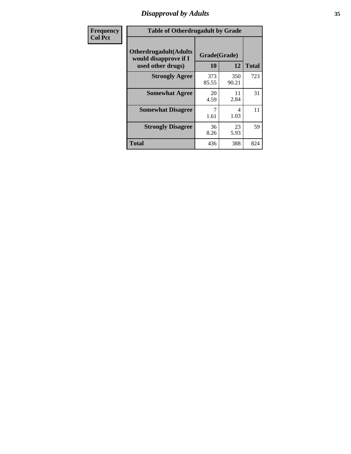# *Disapproval by Adults* **35**

| Frequency      | <b>Table of Otherdrugadult by Grade</b>                |              |              |              |
|----------------|--------------------------------------------------------|--------------|--------------|--------------|
| <b>Col Pct</b> | <b>Otherdrugadult</b> (Adults<br>would disapprove if I | Grade(Grade) |              |              |
|                | used other drugs)                                      | 10           | 12           | <b>Total</b> |
|                | <b>Strongly Agree</b>                                  | 373<br>85.55 | 350<br>90.21 | 723          |
|                | <b>Somewhat Agree</b>                                  | 20<br>4.59   | 11<br>2.84   | 31           |
|                | <b>Somewhat Disagree</b>                               | 1.61         | 4<br>1.03    | 11           |
|                | <b>Strongly Disagree</b>                               | 36<br>8.26   | 23<br>5.93   | 59           |
|                | <b>Total</b>                                           | 436          | 388          | 824          |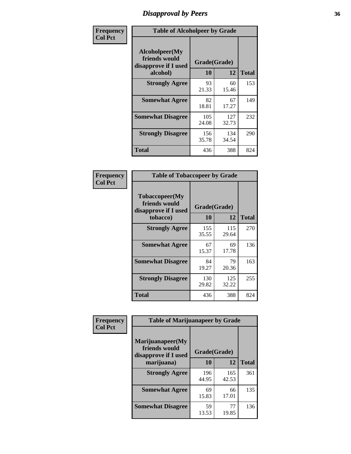# *Disapproval by Peers* **36**

| Frequency      |                                                         | <b>Table of Alcoholpeer by Grade</b> |              |              |  |
|----------------|---------------------------------------------------------|--------------------------------------|--------------|--------------|--|
| <b>Col Pct</b> | Alcoholpeer(My<br>friends would<br>disapprove if I used | Grade(Grade)                         |              |              |  |
|                | alcohol)                                                | 10                                   | 12           | <b>Total</b> |  |
|                | <b>Strongly Agree</b>                                   | 93<br>21.33                          | 60<br>15.46  | 153          |  |
|                | <b>Somewhat Agree</b>                                   | 82<br>18.81                          | 67<br>17.27  | 149          |  |
|                | <b>Somewhat Disagree</b>                                | 105<br>24.08                         | 127<br>32.73 | 232          |  |
|                | <b>Strongly Disagree</b>                                | 156<br>35.78                         | 134<br>34.54 | 290          |  |
|                | Total                                                   | 436                                  | 388          | 824          |  |

| Frequency      | <b>Table of Tobaccopeer by Grade</b>                                    |              |              |              |  |
|----------------|-------------------------------------------------------------------------|--------------|--------------|--------------|--|
| <b>Col Pct</b> | Tobaccopeer(My<br>friends would<br>Grade(Grade)<br>disapprove if I used |              |              |              |  |
|                | tobacco)                                                                | 10           | 12           | <b>Total</b> |  |
|                | <b>Strongly Agree</b>                                                   | 155<br>35.55 | 115<br>29.64 | 270          |  |
|                | <b>Somewhat Agree</b>                                                   | 67<br>15.37  | 69<br>17.78  | 136          |  |
|                | <b>Somewhat Disagree</b>                                                | 84<br>19.27  | 79<br>20.36  | 163          |  |
|                | <b>Strongly Disagree</b>                                                | 130<br>29.82 | 125<br>32.22 | 255          |  |
|                | Total                                                                   | 436          | 388          | 824          |  |

| Frequency      | <b>Table of Marijuanapeer by Grade</b>                    |              |              |              |  |
|----------------|-----------------------------------------------------------|--------------|--------------|--------------|--|
| <b>Col Pct</b> | Marijuanapeer(My<br>friends would<br>disapprove if I used | Grade(Grade) |              |              |  |
|                | marijuana)                                                | 10           | 12           | <b>Total</b> |  |
|                | <b>Strongly Agree</b>                                     | 196<br>44.95 | 165<br>42.53 | 361          |  |
|                | <b>Somewhat Agree</b>                                     | 69<br>15.83  | 66<br>17.01  | 135          |  |
|                | <b>Somewhat Disagree</b>                                  | 59<br>13.53  | 77<br>19.85  | 136          |  |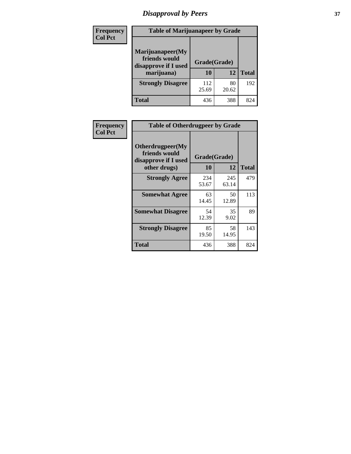# *Disapproval by Peers* **37**

| <b>Frequency</b> | <b>Table of Marijuanapeer by Grade</b>                                  |                    |             |              |
|------------------|-------------------------------------------------------------------------|--------------------|-------------|--------------|
| <b>Col Pct</b>   | Marijuanapeer(My<br>friends would<br>disapprove if I used<br>marijuana) | Grade(Grade)<br>10 | 12          | <b>Total</b> |
|                  | <b>Strongly Disagree</b>                                                | 112<br>25.69       | 80<br>20.62 | 192          |
|                  | <b>Total</b>                                                            | 436                | 388         | 824          |

| <b>Frequency</b> | <b>Table of Otherdrugpeer by Grade</b>                                    |                           |              |              |
|------------------|---------------------------------------------------------------------------|---------------------------|--------------|--------------|
| <b>Col Pct</b>   | Otherdrugpeer(My<br>friends would<br>disapprove if I used<br>other drugs) | Grade(Grade)<br><b>10</b> | 12           | <b>Total</b> |
|                  |                                                                           |                           |              |              |
|                  | <b>Strongly Agree</b>                                                     | 234<br>53.67              | 245<br>63.14 | 479          |
|                  | <b>Somewhat Agree</b>                                                     | 63<br>14.45               | 50<br>12.89  | 113          |
|                  | <b>Somewhat Disagree</b>                                                  | 54<br>12.39               | 35<br>9.02   | 89           |
|                  | <b>Strongly Disagree</b>                                                  | 85<br>19.50               | 58<br>14.95  | 143          |
|                  | Total                                                                     | 436                       | 388          | 824          |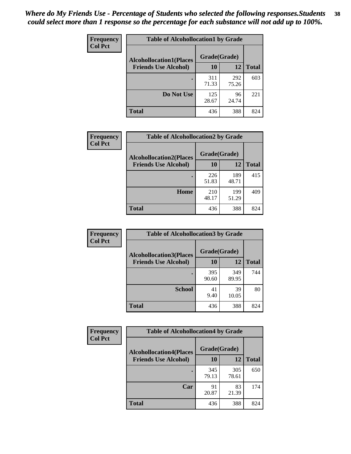| Frequency      | <b>Table of Alcohollocation1 by Grade</b> |              |              |              |
|----------------|-------------------------------------------|--------------|--------------|--------------|
| <b>Col Pct</b> | <b>Alcohollocation1(Places</b>            | Grade(Grade) |              |              |
|                | <b>Friends Use Alcohol)</b>               | 10           | 12           | <b>Total</b> |
|                |                                           | 311<br>71.33 | 292<br>75.26 | 603          |
|                | Do Not Use                                | 125<br>28.67 | 96<br>24.74  | 221          |
|                | <b>Total</b>                              | 436          | 388          | 824          |

| <b>Frequency</b> | <b>Table of Alcohollocation2 by Grade</b>                     |                    |              |              |
|------------------|---------------------------------------------------------------|--------------------|--------------|--------------|
| <b>Col Pct</b>   | <b>Alcohollocation2(Places</b><br><b>Friends Use Alcohol)</b> | Grade(Grade)<br>10 | 12           | <b>Total</b> |
|                  |                                                               | 226<br>51.83       | 189<br>48.71 | 415          |
|                  | Home                                                          | 210<br>48.17       | 199<br>51.29 | 409          |
|                  | <b>Total</b>                                                  | 436                | 388          | 824          |

| Frequency      | <b>Table of Alcohollocation 3 by Grade</b> |              |              |              |  |
|----------------|--------------------------------------------|--------------|--------------|--------------|--|
| <b>Col Pct</b> | <b>Alcohollocation3</b> (Places            | Grade(Grade) |              |              |  |
|                | <b>Friends Use Alcohol)</b>                | 10           | 12           | <b>Total</b> |  |
|                |                                            | 395<br>90.60 | 349<br>89.95 | 744          |  |
|                | <b>School</b>                              | 41<br>9.40   | 39<br>10.05  | 80           |  |
|                | Total                                      | 436          | 388          | 824          |  |

| <b>Frequency</b> | <b>Table of Alcohollocation4 by Grade</b> |              |              |              |  |
|------------------|-------------------------------------------|--------------|--------------|--------------|--|
| <b>Col Pct</b>   | <b>Alcohollocation4(Places</b>            | Grade(Grade) |              |              |  |
|                  | <b>Friends Use Alcohol)</b>               | 10           | 12           | <b>Total</b> |  |
|                  |                                           | 345<br>79.13 | 305<br>78.61 | 650          |  |
|                  | Car                                       | 91<br>20.87  | 83<br>21.39  | 174          |  |
|                  | <b>Total</b>                              | 436          | 388          | 824          |  |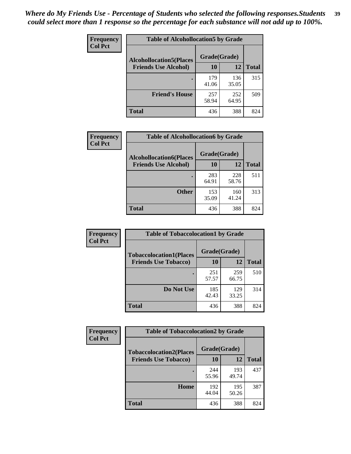| Frequency<br><b>Col Pct</b> | <b>Table of Alcohollocation5 by Grade</b>      |              |              |              |  |
|-----------------------------|------------------------------------------------|--------------|--------------|--------------|--|
|                             | Grade(Grade)<br><b>Alcohollocation5(Places</b> |              |              |              |  |
|                             | <b>Friends Use Alcohol)</b>                    | 10           | 12           | <b>Total</b> |  |
|                             |                                                | 179<br>41.06 | 136<br>35.05 | 315          |  |
|                             | <b>Friend's House</b>                          | 257<br>58.94 | 252<br>64.95 | 509          |  |
|                             | <b>Total</b>                                   | 436          | 388          | 824          |  |

| Frequency      | <b>Table of Alcohollocation6 by Grade</b>                     |                    |              |              |
|----------------|---------------------------------------------------------------|--------------------|--------------|--------------|
| <b>Col Pct</b> | <b>Alcohollocation6(Places</b><br><b>Friends Use Alcohol)</b> | Grade(Grade)<br>10 | <b>12</b>    | <b>Total</b> |
|                |                                                               | 283<br>64.91       | 228<br>58.76 | 511          |
|                | <b>Other</b>                                                  | 153<br>35.09       | 160<br>41.24 | 313          |
|                | <b>Total</b>                                                  | 436                | 388          | 824          |

| Frequency      | <b>Table of Tobaccolocation1 by Grade</b> |              |              |              |
|----------------|-------------------------------------------|--------------|--------------|--------------|
| <b>Col Pct</b> | <b>Tobaccolocation1(Places</b>            | Grade(Grade) |              |              |
|                | <b>Friends Use Tobacco)</b>               | 10           | <b>12</b>    | <b>Total</b> |
|                |                                           | 251<br>57.57 | 259<br>66.75 | 510          |
|                | <b>Do Not Use</b>                         | 185<br>42.43 | 129<br>33.25 | 314          |
|                | <b>Total</b>                              | 436          | 388          | 824          |

| <b>Frequency</b> | <b>Table of Tobaccolocation2 by Grade</b> |              |              |              |  |
|------------------|-------------------------------------------|--------------|--------------|--------------|--|
| <b>Col Pct</b>   | <b>Tobaccolocation2(Places</b>            | Grade(Grade) |              |              |  |
|                  | <b>Friends Use Tobacco)</b>               | 10           | 12           | <b>Total</b> |  |
|                  |                                           | 244<br>55.96 | 193<br>49.74 | 437          |  |
|                  | Home                                      | 192<br>44.04 | 195<br>50.26 | 387          |  |
|                  | <b>Total</b>                              | 436          | 388          | 824          |  |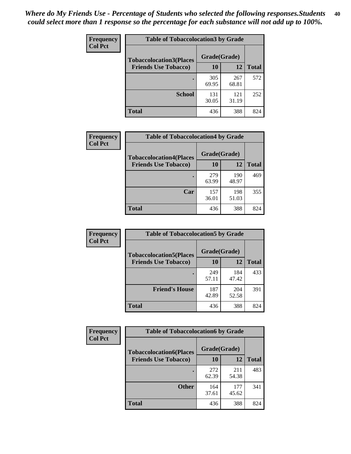| Frequency<br><b>Col Pct</b> | <b>Table of Tobaccolocation3 by Grade</b> |              |              |              |
|-----------------------------|-------------------------------------------|--------------|--------------|--------------|
|                             | <b>Tobaccolocation3(Places</b>            | Grade(Grade) |              |              |
|                             | <b>Friends Use Tobacco)</b>               | 10           | 12           | <b>Total</b> |
|                             |                                           | 305<br>69.95 | 267<br>68.81 | 572          |
|                             | <b>School</b>                             | 131<br>30.05 | 121<br>31.19 | 252          |
|                             | <b>Total</b>                              | 436          | 388          | 824          |

| Frequency      | <b>Table of Tobaccolocation4 by Grade</b> |              |              |              |
|----------------|-------------------------------------------|--------------|--------------|--------------|
| <b>Col Pct</b> | <b>Tobaccolocation4(Places</b>            | Grade(Grade) |              |              |
|                | <b>Friends Use Tobacco)</b>               | 10           | 12           | <b>Total</b> |
|                |                                           | 279<br>63.99 | 190<br>48.97 | 469          |
|                | Car                                       | 157<br>36.01 | 198<br>51.03 | 355          |
|                | <b>Total</b>                              | 436          | 388          | 824          |

| Frequency<br><b>Col Pct</b> | <b>Table of Tobaccolocation5 by Grade</b> |              |              |              |
|-----------------------------|-------------------------------------------|--------------|--------------|--------------|
|                             | <b>Tobaccolocation5(Places</b>            | Grade(Grade) |              |              |
|                             | <b>Friends Use Tobacco)</b>               | 10           | <b>12</b>    | <b>Total</b> |
|                             |                                           | 249<br>57.11 | 184<br>47.42 | 433          |
|                             | <b>Friend's House</b>                     | 187<br>42.89 | 204<br>52.58 | 391          |
|                             | <b>Total</b>                              | 436          | 388          | 824          |

| Frequency      | <b>Table of Tobaccolocation6 by Grade</b> |              |              |              |  |
|----------------|-------------------------------------------|--------------|--------------|--------------|--|
| <b>Col Pct</b> | <b>Tobaccolocation6(Places</b>            | Grade(Grade) |              |              |  |
|                | <b>Friends Use Tobacco)</b>               | 10           | 12           | <b>Total</b> |  |
|                |                                           | 272<br>62.39 | 211<br>54.38 | 483          |  |
|                | <b>Other</b>                              | 164<br>37.61 | 177<br>45.62 | 341          |  |
|                | <b>Total</b>                              | 436          | 388          | 824          |  |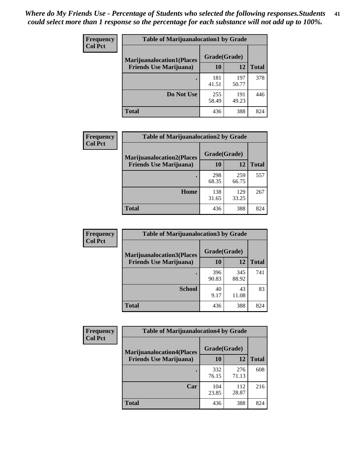| <b>Frequency</b><br><b>Col Pct</b> | <b>Table of Marijuanalocation1 by Grade</b> |              |              |              |
|------------------------------------|---------------------------------------------|--------------|--------------|--------------|
|                                    | <b>Marijuanalocation1(Places</b>            | Grade(Grade) |              |              |
|                                    | <b>Friends Use Marijuana</b> )              | <b>10</b>    | 12           | <b>Total</b> |
|                                    |                                             | 181<br>41.51 | 197<br>50.77 | 378          |
|                                    | Do Not Use                                  | 255<br>58.49 | 191<br>49.23 | 446          |
|                                    | <b>Total</b>                                | 436          | 388          | 824          |

| <b>Frequency</b> | <b>Table of Marijuanalocation2 by Grade</b>                        |                           |              |              |
|------------------|--------------------------------------------------------------------|---------------------------|--------------|--------------|
| <b>Col Pct</b>   | <b>Marijuanalocation2(Places</b><br><b>Friends Use Marijuana</b> ) | Grade(Grade)<br><b>10</b> | 12           | <b>Total</b> |
|                  |                                                                    | 298<br>68.35              | 259<br>66.75 | 557          |
|                  | Home                                                               | 138<br>31.65              | 129<br>33.25 | 267          |
|                  | <b>Total</b>                                                       | 436                       | 388          | 824          |

| <b>Frequency</b><br><b>Col Pct</b> | <b>Table of Marijuanalocation3 by Grade</b> |              |              |              |
|------------------------------------|---------------------------------------------|--------------|--------------|--------------|
|                                    | <b>Marijuanalocation3(Places</b>            | Grade(Grade) |              |              |
|                                    | <b>Friends Use Marijuana</b> )              | <b>10</b>    | 12           | <b>Total</b> |
|                                    |                                             | 396<br>90.83 | 345<br>88.92 | 741          |
|                                    | <b>School</b>                               | 40<br>9.17   | 43<br>11.08  | 83           |
|                                    | <b>Total</b>                                | 436          | 388          | 824          |

| <b>Frequency</b> | <b>Table of Marijuanalocation4 by Grade</b> |              |              |              |  |
|------------------|---------------------------------------------|--------------|--------------|--------------|--|
| <b>Col Pct</b>   | <b>Marijuanalocation4(Places</b>            | Grade(Grade) |              |              |  |
|                  | <b>Friends Use Marijuana</b> )              | <b>10</b>    | 12           | <b>Total</b> |  |
|                  |                                             | 332<br>76.15 | 276<br>71.13 | 608          |  |
|                  | Car                                         | 104<br>23.85 | 112<br>28.87 | 216          |  |
|                  | <b>Total</b>                                | 436          | 388          | 824          |  |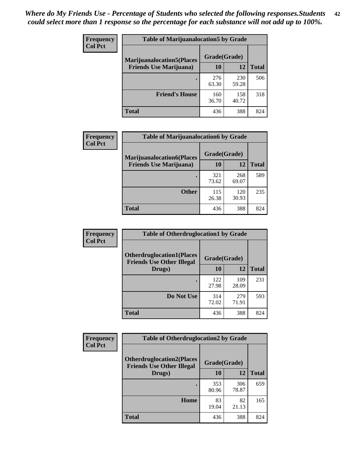| <b>Frequency</b> | <b>Table of Marijuanalocation5 by Grade</b>                         |              |              |              |
|------------------|---------------------------------------------------------------------|--------------|--------------|--------------|
| <b>Col Pct</b>   | <b>Marijuanalocation5</b> (Places<br><b>Friends Use Marijuana</b> ) | Grade(Grade) |              |              |
|                  |                                                                     | 10           | 12           | <b>Total</b> |
|                  |                                                                     | 276<br>63.30 | 230<br>59.28 | 506          |
|                  | <b>Friend's House</b>                                               | 160<br>36.70 | 158<br>40.72 | 318          |
|                  | <b>Total</b>                                                        | 436          | 388          | 824          |

| <b>Frequency</b><br><b>Col Pct</b> | <b>Table of Marijuanalocation6 by Grade</b>                        |                    |              |              |
|------------------------------------|--------------------------------------------------------------------|--------------------|--------------|--------------|
|                                    | <b>Marijuanalocation6(Places</b><br><b>Friends Use Marijuana</b> ) | Grade(Grade)<br>10 | 12           | <b>Total</b> |
|                                    |                                                                    | 321<br>73.62       | 268<br>69.07 | 589          |
|                                    | <b>Other</b>                                                       | 115<br>26.38       | 120<br>30.93 | 235          |
|                                    | <b>Total</b>                                                       | 436                | 388          | 824          |

| <b>Frequency</b> | <b>Table of Otherdruglocation1 by Grade</b>                          |              |              |              |
|------------------|----------------------------------------------------------------------|--------------|--------------|--------------|
| <b>Col Pct</b>   | <b>Otherdruglocation1(Places</b><br><b>Friends Use Other Illegal</b> | Grade(Grade) |              |              |
|                  | Drugs)                                                               | 10           | 12           | <b>Total</b> |
|                  |                                                                      | 122<br>27.98 | 109<br>28.09 | 231          |
|                  | Do Not Use                                                           | 314<br>72.02 | 279<br>71.91 | 593          |
|                  | <b>Total</b>                                                         | 436          | 388          | 824          |

| Frequency      | <b>Table of Otherdruglocation2 by Grade</b>                           |              |              |              |
|----------------|-----------------------------------------------------------------------|--------------|--------------|--------------|
| <b>Col Pct</b> | <b>Otherdruglocation2(Places)</b><br><b>Friends Use Other Illegal</b> | Grade(Grade) |              |              |
|                | Drugs)                                                                | 10           | 12           | <b>Total</b> |
|                |                                                                       | 353<br>80.96 | 306<br>78.87 | 659          |
|                | Home                                                                  | 83<br>19.04  | 82<br>21.13  | 165          |
|                | <b>Total</b>                                                          | 436          | 388          | 824          |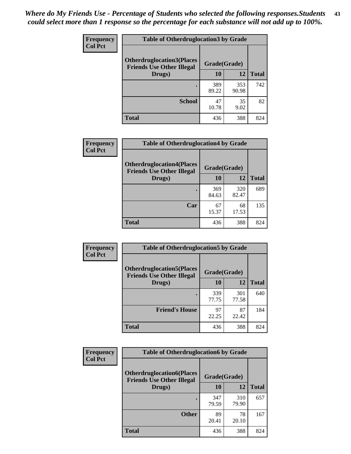| <b>Frequency</b> | <b>Table of Otherdruglocation3 by Grade</b>                          |              |              |              |
|------------------|----------------------------------------------------------------------|--------------|--------------|--------------|
| <b>Col Pct</b>   | <b>Otherdruglocation3(Places</b><br><b>Friends Use Other Illegal</b> | Grade(Grade) |              |              |
|                  | Drugs)                                                               | <b>10</b>    | 12           | <b>Total</b> |
|                  |                                                                      | 389<br>89.22 | 353<br>90.98 | 742          |
|                  | <b>School</b>                                                        | 47<br>10.78  | 35<br>9.02   | 82           |
|                  | <b>Total</b>                                                         | 436          | 388          | 824          |

| <b>Frequency</b> | <b>Table of Otherdruglocation4 by Grade</b>                           |              |              |              |
|------------------|-----------------------------------------------------------------------|--------------|--------------|--------------|
| <b>Col Pct</b>   | <b>Otherdruglocation4(Places)</b><br><b>Friends Use Other Illegal</b> | Grade(Grade) |              |              |
|                  | Drugs)                                                                | 10           | 12           | <b>Total</b> |
|                  |                                                                       | 369<br>84.63 | 320<br>82.47 | 689          |
|                  | Car                                                                   | 67<br>15.37  | 68<br>17.53  | 135          |
|                  | <b>Total</b>                                                          | 436          | 388          | 824          |

| <b>Frequency</b> | <b>Table of Otherdruglocation5 by Grade</b>                          |              |              |              |
|------------------|----------------------------------------------------------------------|--------------|--------------|--------------|
| <b>Col Pct</b>   | <b>Otherdruglocation5(Places</b><br><b>Friends Use Other Illegal</b> | Grade(Grade) |              |              |
|                  | Drugs)                                                               | 10           | 12           | <b>Total</b> |
|                  |                                                                      | 339<br>77.75 | 301<br>77.58 | 640          |
|                  | <b>Friend's House</b>                                                | 97<br>22.25  | 87<br>22.42  | 184          |
|                  | <b>Total</b>                                                         | 436          | 388          | 824          |

| <b>Frequency</b> | <b>Table of Otherdruglocation6 by Grade</b>                          |              |              |              |
|------------------|----------------------------------------------------------------------|--------------|--------------|--------------|
| <b>Col Pct</b>   | <b>Otherdruglocation6(Places</b><br><b>Friends Use Other Illegal</b> | Grade(Grade) |              |              |
|                  | Drugs)                                                               | 10           | 12           | <b>Total</b> |
|                  |                                                                      | 347<br>79.59 | 310<br>79.90 | 657          |
|                  | <b>Other</b>                                                         | 89<br>20.41  | 78<br>20.10  | 167          |
|                  | <b>Total</b>                                                         | 436          | 388          | 824          |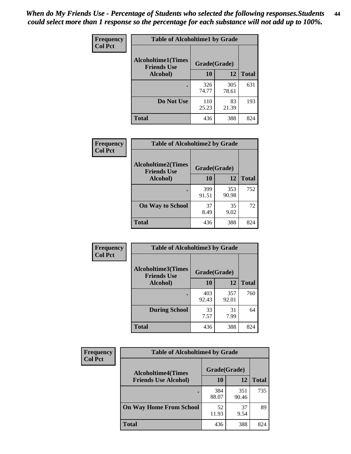| Frequency      | <b>Table of Alcoholtime1 by Grade</b>           |              |              |              |
|----------------|-------------------------------------------------|--------------|--------------|--------------|
| <b>Col Pct</b> | <b>Alcoholtime1(Times</b><br><b>Friends Use</b> | Grade(Grade) |              |              |
|                | Alcohol)                                        | 10           | 12           | <b>Total</b> |
|                |                                                 | 326<br>74.77 | 305<br>78.61 | 631          |
|                | Do Not Use                                      | 110<br>25.23 | 83<br>21.39  | 193          |
|                | <b>Total</b>                                    | 436          | 388          | 824          |

| Frequency      | <b>Table of Alcoholtime2 by Grade</b>           |              |              |              |  |
|----------------|-------------------------------------------------|--------------|--------------|--------------|--|
| <b>Col Pct</b> | <b>Alcoholtime2(Times</b><br><b>Friends Use</b> | Grade(Grade) |              |              |  |
|                | Alcohol)                                        | 10           | 12           | <b>Total</b> |  |
|                |                                                 | 399<br>91.51 | 353<br>90.98 | 752          |  |
|                | <b>On Way to School</b>                         | 37<br>8.49   | 35<br>9.02   | 72           |  |
|                | <b>Total</b>                                    | 436          | 388          | 824          |  |

| Frequency<br><b>Col Pct</b> | <b>Table of Alcoholtime3 by Grade</b><br>Alcoholtime3(Times<br>Grade(Grade)<br><b>Friends Use</b> |              |              |              |
|-----------------------------|---------------------------------------------------------------------------------------------------|--------------|--------------|--------------|
|                             |                                                                                                   |              |              |              |
|                             | Alcohol)                                                                                          | 10           | 12           | <b>Total</b> |
|                             |                                                                                                   | 403<br>92.43 | 357<br>92.01 | 760          |
|                             | <b>During School</b>                                                                              | 33<br>7.57   | 31<br>7.99   | 64           |
|                             | <b>Total</b>                                                                                      | 436          | 388          | 824          |

| <b>Frequency</b> | <b>Table of Alcoholtime4 by Grade</b> |              |              |              |  |
|------------------|---------------------------------------|--------------|--------------|--------------|--|
| <b>Col Pct</b>   | <b>Alcoholtime4(Times</b>             | Grade(Grade) |              |              |  |
|                  | <b>Friends Use Alcohol)</b>           | 10           | 12           | <b>Total</b> |  |
|                  | ٠                                     | 384<br>88.07 | 351<br>90.46 | 735          |  |
|                  | <b>On Way Home From School</b>        | 52<br>11.93  | 37<br>9.54   | 89           |  |
|                  | <b>Total</b>                          | 436          | 388          | 824          |  |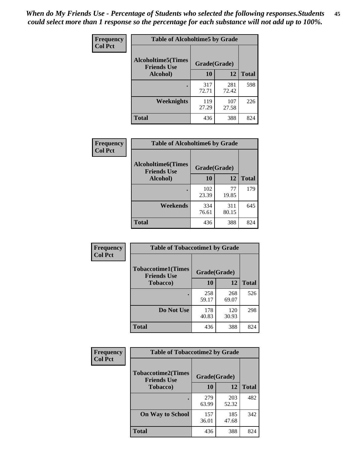*When do My Friends Use - Percentage of Students who selected the following responses.Students could select more than 1 response so the percentage for each substance will not add up to 100%.* **45**

| Frequency      | <b>Table of Alcoholtime5 by Grade</b> |              |              |              |
|----------------|---------------------------------------|--------------|--------------|--------------|
| <b>Col Pct</b> | <b>Alcoholtime5(Times</b>             | Grade(Grade) |              |              |
|                | <b>Friends Use</b><br>Alcohol)        | 10           | 12           | <b>Total</b> |
|                |                                       | 317<br>72.71 | 281<br>72.42 | 598          |
|                | Weeknights                            | 119<br>27.29 | 107<br>27.58 | 226          |
|                | <b>Total</b>                          | 436          | 388          | 824          |

| Frequency      | <b>Table of Alcoholtime6 by Grade</b>           |              |              |              |
|----------------|-------------------------------------------------|--------------|--------------|--------------|
| <b>Col Pct</b> | <b>Alcoholtime6(Times</b><br><b>Friends Use</b> | Grade(Grade) |              |              |
|                | Alcohol)                                        | 10           | 12           | <b>Total</b> |
|                |                                                 | 102<br>23.39 | 77<br>19.85  | 179          |
|                | Weekends                                        | 334<br>76.61 | 311<br>80.15 | 645          |
|                | <b>Total</b>                                    | 436          | 388          | 824          |

| Frequency<br><b>Col Pct</b> | <b>Table of Tobaccotime1 by Grade</b>           |              |              |              |
|-----------------------------|-------------------------------------------------|--------------|--------------|--------------|
|                             | <b>Tobaccotime1(Times</b><br><b>Friends Use</b> | Grade(Grade) |              |              |
|                             | <b>Tobacco</b> )                                | 10           | 12           | <b>Total</b> |
|                             |                                                 | 258<br>59.17 | 268<br>69.07 | 526          |
|                             | Do Not Use                                      | 178<br>40.83 | 120<br>30.93 | 298          |
|                             | <b>Total</b>                                    | 436          | 388          | 824          |

| Frequency      | <b>Table of Tobaccotime2 by Grade</b>           |              |              |              |
|----------------|-------------------------------------------------|--------------|--------------|--------------|
| <b>Col Pct</b> | <b>Tobaccotime2(Times</b><br><b>Friends Use</b> | Grade(Grade) |              |              |
|                | <b>Tobacco</b> )                                | 10           | 12           | <b>Total</b> |
|                |                                                 | 279<br>63.99 | 203<br>52.32 | 482          |
|                | <b>On Way to School</b>                         | 157<br>36.01 | 185<br>47.68 | 342          |
|                | <b>Total</b>                                    | 436          | 388          | 824          |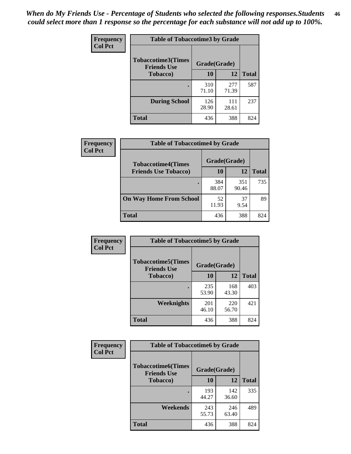*When do My Friends Use - Percentage of Students who selected the following responses.Students could select more than 1 response so the percentage for each substance will not add up to 100%.* **46**

| <b>Frequency</b> | <b>Table of Tobaccotime3 by Grade</b>           |              |              |              |
|------------------|-------------------------------------------------|--------------|--------------|--------------|
| <b>Col Pct</b>   | <b>Tobaccotime3(Times</b><br><b>Friends Use</b> | Grade(Grade) |              |              |
|                  | <b>Tobacco</b> )                                | 10           | 12           | <b>Total</b> |
|                  |                                                 | 310<br>71.10 | 277<br>71.39 | 587          |
|                  | <b>During School</b>                            | 126<br>28.90 | 111<br>28.61 | 237          |
|                  | Total                                           | 436          | 388          | 824          |

| <b>Frequency</b><br><b>Col Pct</b> | <b>Table of Tobaccotime4 by Grade</b> |              |              |              |
|------------------------------------|---------------------------------------|--------------|--------------|--------------|
|                                    | <b>Tobaccotime4(Times</b>             | Grade(Grade) |              |              |
|                                    | <b>Friends Use Tobacco)</b>           | 10           | 12           | <b>Total</b> |
|                                    |                                       | 384<br>88.07 | 351<br>90.46 | 735          |
|                                    | <b>On Way Home From School</b>        | 52<br>11.93  | 37<br>9.54   | 89           |
|                                    | <b>Total</b>                          | 436          | 388          | 824          |

| <b>Frequency</b> | <b>Table of Tobaccotime5 by Grade</b>           |              |              |              |
|------------------|-------------------------------------------------|--------------|--------------|--------------|
| <b>Col Pct</b>   | <b>Tobaccotime5(Times</b><br><b>Friends Use</b> | Grade(Grade) |              |              |
|                  | <b>Tobacco</b> )                                | 10           | 12           | <b>Total</b> |
|                  |                                                 | 235<br>53.90 | 168<br>43.30 | 403          |
|                  | Weeknights                                      | 201<br>46.10 | 220<br>56.70 | 421          |
|                  | <b>Total</b>                                    | 436          | 388          | 824          |

| Frequency<br><b>Col Pct</b> | <b>Table of Tobaccotime6 by Grade</b>           |              |              |              |
|-----------------------------|-------------------------------------------------|--------------|--------------|--------------|
|                             | <b>Tobaccotime6(Times</b><br><b>Friends Use</b> | Grade(Grade) |              |              |
|                             | <b>Tobacco</b> )                                | 10           | 12           | <b>Total</b> |
|                             |                                                 | 193<br>44.27 | 142<br>36.60 | 335          |
|                             | Weekends                                        | 243<br>55.73 | 246<br>63.40 | 489          |
|                             | <b>Total</b>                                    | 436          | 388          | 824          |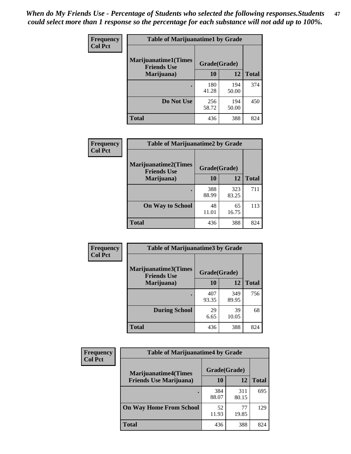| Frequency      | <b>Table of Marijuanatime1 by Grade</b>           |              |              |              |  |
|----------------|---------------------------------------------------|--------------|--------------|--------------|--|
| <b>Col Pct</b> | <b>Marijuanatime1(Times</b><br><b>Friends Use</b> | Grade(Grade) |              |              |  |
|                | Marijuana)                                        | 10           | 12           | <b>Total</b> |  |
|                |                                                   | 180<br>41.28 | 194<br>50.00 | 374          |  |
|                | Do Not Use                                        | 256<br>58.72 | 194<br>50.00 | 450          |  |
|                | <b>Total</b>                                      | 436          | 388          | 824          |  |

| <b>Frequency</b> | <b>Table of Marijuanatime2 by Grade</b>           |              |              |              |
|------------------|---------------------------------------------------|--------------|--------------|--------------|
| <b>Col Pct</b>   | <b>Marijuanatime2(Times</b><br><b>Friends Use</b> | Grade(Grade) |              |              |
|                  | Marijuana)                                        | 10           | 12           | <b>Total</b> |
|                  |                                                   | 388<br>88.99 | 323<br>83.25 | 711          |
|                  | <b>On Way to School</b>                           | 48<br>11.01  | 65<br>16.75  | 113          |
|                  | <b>Total</b>                                      | 436          | 388          | 824          |

| Frequency<br><b>Col Pct</b> | <b>Table of Marijuanatime3 by Grade</b>            |              |              |              |  |
|-----------------------------|----------------------------------------------------|--------------|--------------|--------------|--|
|                             | <b>Marijuanatime3</b> (Times<br><b>Friends Use</b> | Grade(Grade) |              |              |  |
|                             | Marijuana)                                         | 10           | 12           | <b>Total</b> |  |
|                             |                                                    | 407<br>93.35 | 349<br>89.95 | 756          |  |
|                             | <b>During School</b>                               | 29<br>6.65   | 39<br>10.05  | 68           |  |
|                             | <b>Total</b>                                       | 436          | 388          | 824          |  |

| <b>Frequency</b> | <b>Table of Marijuanatime4 by Grade</b>                       |              |              |              |
|------------------|---------------------------------------------------------------|--------------|--------------|--------------|
| <b>Col Pct</b>   | <b>Marijuanatime4(Times</b><br><b>Friends Use Marijuana</b> ) | Grade(Grade) |              |              |
|                  |                                                               | 10           | 12           | <b>Total</b> |
|                  |                                                               | 384<br>88.07 | 311<br>80.15 | 695          |
|                  | <b>On Way Home From School</b>                                | 52<br>11.93  | 77<br>19.85  | 129          |
|                  | <b>Total</b>                                                  | 436          | 388          | 824          |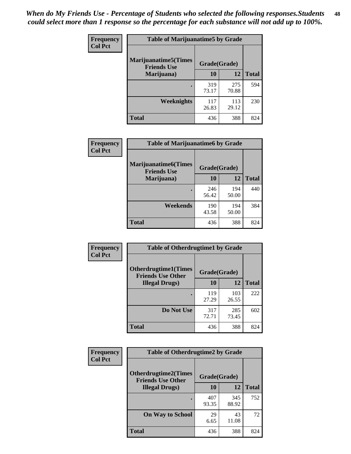| Frequency      | <b>Table of Marijuanatime5 by Grade</b>            |              |              |              |  |
|----------------|----------------------------------------------------|--------------|--------------|--------------|--|
| <b>Col Pct</b> | <b>Marijuanatime5</b> (Times<br><b>Friends Use</b> | Grade(Grade) |              |              |  |
|                | Marijuana)                                         | 10           | 12           | <b>Total</b> |  |
|                |                                                    | 319<br>73.17 | 275<br>70.88 | 594          |  |
|                | Weeknights                                         | 117<br>26.83 | 113<br>29.12 | 230          |  |
|                | <b>Total</b>                                       | 436          | 388          | 824          |  |

| Frequency      | <b>Table of Marijuanatime6 by Grade</b>    |              |              |              |
|----------------|--------------------------------------------|--------------|--------------|--------------|
| <b>Col Pct</b> | Marijuanatime6(Times<br><b>Friends Use</b> | Grade(Grade) |              |              |
|                | Marijuana)                                 | 10           | 12           | <b>Total</b> |
|                |                                            | 246<br>56.42 | 194<br>50.00 | 440          |
|                | Weekends                                   | 190<br>43.58 | 194<br>50.00 | 384          |
|                | <b>Total</b>                               | 436          | 388          | 824          |

| Frequency      | <b>Table of Otherdrugtime1 by Grade</b>                 |              |              |              |  |
|----------------|---------------------------------------------------------|--------------|--------------|--------------|--|
| <b>Col Pct</b> | <b>Otherdrugtime1(Times</b><br><b>Friends Use Other</b> | Grade(Grade) |              |              |  |
|                | <b>Illegal Drugs)</b>                                   | 10           | 12           | <b>Total</b> |  |
|                |                                                         | 119<br>27.29 | 103<br>26.55 | 222          |  |
|                | Do Not Use                                              | 317<br>72.71 | 285<br>73.45 | 602          |  |
|                | Total                                                   | 436          | 388          | 824          |  |

| <b>Frequency</b> | <b>Table of Otherdrugtime2 by Grade</b>                 |              |              |              |
|------------------|---------------------------------------------------------|--------------|--------------|--------------|
| <b>Col Pct</b>   | <b>Otherdrugtime2(Times</b><br><b>Friends Use Other</b> | Grade(Grade) |              |              |
|                  | <b>Illegal Drugs</b> )                                  | 10           | 12           | <b>Total</b> |
|                  |                                                         | 407<br>93.35 | 345<br>88.92 | 752          |
|                  | <b>On Way to School</b>                                 | 29<br>6.65   | 43<br>11.08  | 72           |
|                  | Total                                                   | 436          | 388          | 824          |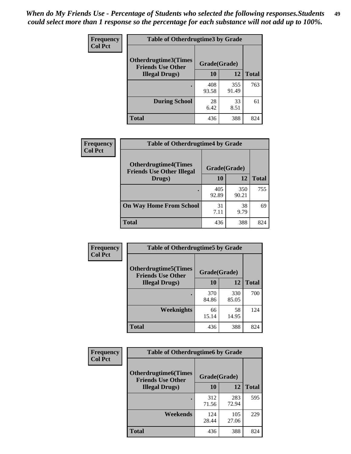| <b>Frequency</b> | <b>Table of Otherdrugtime3 by Grade</b>          |              |              |              |  |
|------------------|--------------------------------------------------|--------------|--------------|--------------|--|
| <b>Col Pct</b>   | Otherdrugtime3(Times<br><b>Friends Use Other</b> | Grade(Grade) |              |              |  |
|                  | <b>Illegal Drugs</b> )                           | 10           | 12           | <b>Total</b> |  |
|                  |                                                  | 408<br>93.58 | 355<br>91.49 | 763          |  |
|                  | <b>During School</b>                             | 28<br>6.42   | 33<br>8.51   | 61           |  |
|                  | <b>Total</b>                                     | 436          | 388          | 824          |  |

| <b>Frequency</b> | <b>Table of Otherdrugtime4 by Grade</b>                         |              |              |              |
|------------------|-----------------------------------------------------------------|--------------|--------------|--------------|
| <b>Col Pct</b>   | <b>Otherdrugtime4(Times</b><br><b>Friends Use Other Illegal</b> | Grade(Grade) |              |              |
|                  | Drugs)                                                          | 10           | 12           | <b>Total</b> |
|                  |                                                                 | 405<br>92.89 | 350<br>90.21 | 755          |
|                  | <b>On Way Home From School</b>                                  | 31<br>7.11   | 38<br>9.79   | 69           |
|                  | <b>Total</b>                                                    | 436          | 388          | 824          |

| <b>Frequency</b> | <b>Table of Otherdrugtime5 by Grade</b>                 |              |              |              |  |  |
|------------------|---------------------------------------------------------|--------------|--------------|--------------|--|--|
| <b>Col Pct</b>   | <b>Otherdrugtime5(Times</b><br><b>Friends Use Other</b> | Grade(Grade) |              |              |  |  |
|                  | <b>Illegal Drugs</b> )                                  | 10           | 12           | <b>Total</b> |  |  |
|                  |                                                         | 370<br>84.86 | 330<br>85.05 | 700          |  |  |
|                  | Weeknights                                              | 66<br>15.14  | 58<br>14.95  | 124          |  |  |
|                  | Total                                                   | 436          | 388          | 824          |  |  |

| <b>Frequency</b> | <b>Table of Otherdrugtime6 by Grade</b>                 |              |              |              |  |  |
|------------------|---------------------------------------------------------|--------------|--------------|--------------|--|--|
| <b>Col Pct</b>   | <b>Otherdrugtime6(Times</b><br><b>Friends Use Other</b> | Grade(Grade) |              |              |  |  |
|                  | <b>Illegal Drugs</b> )                                  | 10           | 12           | <b>Total</b> |  |  |
|                  |                                                         | 312<br>71.56 | 283<br>72.94 | 595          |  |  |
|                  | Weekends                                                | 124<br>28.44 | 105<br>27.06 | 229          |  |  |
|                  | Total                                                   | 436          | 388          | 824          |  |  |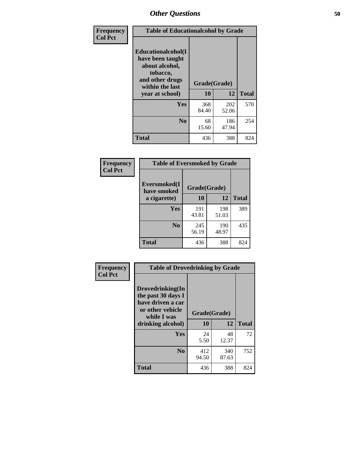| Frequency      | <b>Table of Educationalcohol by Grade</b>                                                                  |              |              |              |  |
|----------------|------------------------------------------------------------------------------------------------------------|--------------|--------------|--------------|--|
| <b>Col Pct</b> | Educationalcohol(I<br>have been taught<br>about alcohol,<br>tobacco,<br>and other drugs<br>within the last | Grade(Grade) |              |              |  |
|                | year at school)                                                                                            | 10           | 12           | <b>Total</b> |  |
|                | <b>Yes</b>                                                                                                 | 368<br>84.40 | 202<br>52.06 | 570          |  |
|                | N <sub>0</sub>                                                                                             | 68<br>15.60  | 186<br>47.94 | 254          |  |
|                | <b>Total</b>                                                                                               | 436          | 388          | 824          |  |

| Frequency      | <b>Table of Eversmoked by Grade</b> |              |              |              |  |  |
|----------------|-------------------------------------|--------------|--------------|--------------|--|--|
| <b>Col Pct</b> | Eversmoked(I<br>have smoked         | Grade(Grade) |              |              |  |  |
|                | a cigarette)                        | 10           | 12           | <b>Total</b> |  |  |
|                | <b>Yes</b>                          | 191<br>43.81 | 198<br>51.03 | 389          |  |  |
|                | N <sub>0</sub>                      | 245<br>56.19 | 190<br>48.97 | 435          |  |  |
|                | <b>Total</b>                        | 436          | 388          | 824          |  |  |

| Frequency      | <b>Table of Drovedrinking by Grade</b>                                                                              |                    |              |              |
|----------------|---------------------------------------------------------------------------------------------------------------------|--------------------|--------------|--------------|
| <b>Col Pct</b> | Drovedrinking(In<br>the past 30 days I<br>have driven a car<br>or other vehicle<br>while I was<br>drinking alcohol) | Grade(Grade)<br>10 | 12           | <b>Total</b> |
|                | <b>Yes</b>                                                                                                          | 24<br>5.50         | 48<br>12.37  | 72           |
|                | N <sub>0</sub>                                                                                                      | 412<br>94.50       | 340<br>87.63 | 752          |
|                | <b>Total</b>                                                                                                        | 436                | 388          | 824          |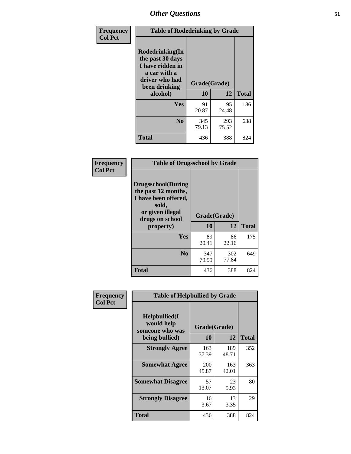| Frequency<br><b>Col Pct</b> | <b>Table of Rodedrinking by Grade</b>                                                                                      |              |              |              |  |  |
|-----------------------------|----------------------------------------------------------------------------------------------------------------------------|--------------|--------------|--------------|--|--|
|                             | Rodedrinking(In<br>the past 30 days<br>I have ridden in<br>a car with a<br>driver who had<br>Grade(Grade)<br>been drinking |              |              |              |  |  |
|                             | alcohol)                                                                                                                   | 10           | 12           | <b>Total</b> |  |  |
|                             | <b>Yes</b>                                                                                                                 | 91<br>20.87  | 95<br>24.48  | 186          |  |  |
|                             | N <sub>0</sub>                                                                                                             | 345<br>79.13 | 293<br>75.52 | 638          |  |  |
|                             | <b>Total</b>                                                                                                               | 436          | 388          | 824          |  |  |

#### **Frequency Col Pct**

| <b>Table of Drugsschool by Grade</b>                                                                                      |              |              |              |  |  |  |
|---------------------------------------------------------------------------------------------------------------------------|--------------|--------------|--------------|--|--|--|
| <b>Drugsschool</b> (During<br>the past 12 months,<br>I have been offered,<br>sold,<br>or given illegal<br>drugs on school | Grade(Grade) |              |              |  |  |  |
| property)                                                                                                                 | 10           | 12           | <b>Total</b> |  |  |  |
| Yes                                                                                                                       | 89<br>20.41  | 86<br>22.16  | 175          |  |  |  |
| N <sub>0</sub>                                                                                                            | 347<br>79.59 | 302<br>77.84 | 649          |  |  |  |
|                                                                                                                           |              |              |              |  |  |  |

| Frequency      | <b>Table of Helpbullied by Grade</b>           |              |              |              |  |  |  |
|----------------|------------------------------------------------|--------------|--------------|--------------|--|--|--|
| <b>Col Pct</b> | Helpbullied(I<br>would help<br>someone who was | Grade(Grade) |              |              |  |  |  |
|                | being bullied)                                 | 10           | 12           | <b>Total</b> |  |  |  |
|                | <b>Strongly Agree</b>                          | 163<br>37.39 | 189<br>48.71 | 352          |  |  |  |
|                | <b>Somewhat Agree</b>                          | 200<br>45.87 | 163<br>42.01 | 363          |  |  |  |
|                | <b>Somewhat Disagree</b>                       | 57<br>13.07  | 23<br>5.93   | 80           |  |  |  |
|                | <b>Strongly Disagree</b>                       | 16<br>3.67   | 13<br>3.35   | 29           |  |  |  |
|                | <b>Total</b>                                   | 436          | 388          | 824          |  |  |  |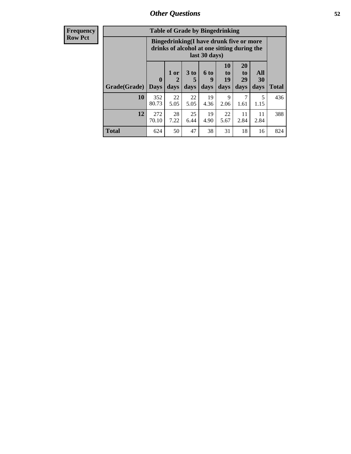| <b>Frequency</b> |                                                                                                         | <b>Table of Grade by Bingedrinking</b> |            |                 |            |                |                       |                  |
|------------------|---------------------------------------------------------------------------------------------------------|----------------------------------------|------------|-----------------|------------|----------------|-----------------------|------------------|
| <b>Row Pct</b>   | Bingedrinking(I have drunk five or more<br>drinks of alcohol at one sitting during the<br>last 30 days) |                                        |            |                 |            |                |                       |                  |
|                  |                                                                                                         | $\bf{0}$                               | 1 or       | 3 <sub>to</sub> | 6 to<br>9  | 10<br>to<br>19 | <b>20</b><br>to<br>29 | All<br><b>30</b> |
|                  | Grade(Grade)                                                                                            | <b>Days</b>                            | days       | days            | days       | days           | days                  | days             |
|                  | 10                                                                                                      | 352<br>80.73                           | 22<br>5.05 | 22<br>5.05      | 19<br>4.36 | 9<br>2.06      | 1.61                  | 1.15             |
|                  | 12                                                                                                      | 272<br>70.10                           | 28<br>7.22 | 25<br>6.44      | 19<br>4.90 | 22<br>5.67     | 11<br>2.84            | 11<br>2.84       |

**Total** 624 50 47 38 31 18 16 824

**Total**

436

388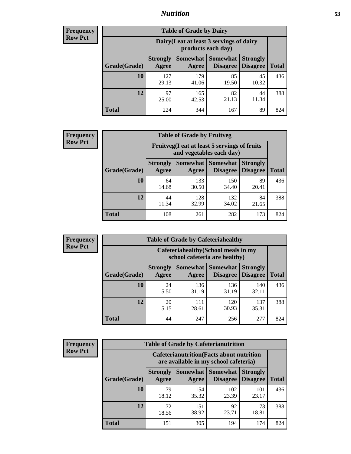## *Nutrition* **53**

| <b>Frequency</b><br>Row Pct |
|-----------------------------|
|                             |

| <b>Table of Grade by Dairy</b> |                          |                                                                 |                                    |                                    |              |  |
|--------------------------------|--------------------------|-----------------------------------------------------------------|------------------------------------|------------------------------------|--------------|--|
|                                |                          | Dairy (I eat at least 3 servings of dairy<br>products each day) |                                    |                                    |              |  |
| Grade(Grade)                   | <b>Strongly</b><br>Agree | <b>Somewhat</b><br>Agree                                        | <b>Somewhat</b><br><b>Disagree</b> | <b>Strongly</b><br><b>Disagree</b> | <b>Total</b> |  |
| 10                             | 127<br>29.13             | 179<br>41.06                                                    | 85<br>19.50                        | 45<br>10.32                        | 436          |  |
| 12                             | 97<br>25.00              | 165<br>42.53                                                    | 82<br>21.13                        | 44<br>11.34                        | 388          |  |
| <b>Total</b>                   | 224                      | 344                                                             | 167                                | 89                                 | 824          |  |

| <b>Frequency</b> |  |
|------------------|--|
| <b>Row Pct</b>   |  |

| <b>Table of Grade by Fruitveg</b> |                          |                                                                          |                               |                                    |              |  |
|-----------------------------------|--------------------------|--------------------------------------------------------------------------|-------------------------------|------------------------------------|--------------|--|
|                                   |                          | Fruitveg(I eat at least 5 servings of fruits<br>and vegetables each day) |                               |                                    |              |  |
| Grade(Grade)                      | <b>Strongly</b><br>Agree | Agree                                                                    | Somewhat Somewhat<br>Disagree | <b>Strongly</b><br><b>Disagree</b> | <b>Total</b> |  |
| 10                                | 64<br>14.68              | 133<br>30.50                                                             | 150<br>34.40                  | 89<br>20.41                        | 436          |  |
| 12                                | 44<br>11.34              | 128<br>32.99                                                             | 132<br>34.02                  | 84<br>21.65                        | 388          |  |
| <b>Total</b>                      | 108                      | 261                                                                      | 282                           | 173                                | 824          |  |

| <b>Frequency</b> | <b>Table of Grade by Cafeteriahealthy</b> |                                                                       |              |                                        |                                    |              |  |  |
|------------------|-------------------------------------------|-----------------------------------------------------------------------|--------------|----------------------------------------|------------------------------------|--------------|--|--|
| <b>Row Pct</b>   |                                           | Cafeteriahealthy (School meals in my<br>school cafeteria are healthy) |              |                                        |                                    |              |  |  |
|                  | Grade(Grade)                              | <b>Strongly</b><br>Agree                                              | Agree        | Somewhat   Somewhat<br><b>Disagree</b> | <b>Strongly</b><br><b>Disagree</b> | <b>Total</b> |  |  |
|                  | 10                                        | 24<br>5.50                                                            | 136<br>31.19 | 136<br>31.19                           | 140<br>32.11                       | 436          |  |  |
|                  | 12                                        | 20<br>5.15                                                            | 111<br>28.61 | 120<br>30.93                           | 137<br>35.31                       | 388          |  |  |
|                  | <b>Total</b>                              | 44                                                                    | 247          | 256                                    | 277                                | 824          |  |  |

| <b>Frequency</b> |
|------------------|
| <b>Row Pct</b>   |

| <b>Table of Grade by Cafeterianutrition</b> |                          |                                                                                           |                                    |                                    |              |  |  |
|---------------------------------------------|--------------------------|-------------------------------------------------------------------------------------------|------------------------------------|------------------------------------|--------------|--|--|
|                                             |                          | <b>Cafeterianutrition</b> (Facts about nutrition<br>are available in my school cafeteria) |                                    |                                    |              |  |  |
| Grade(Grade)                                | <b>Strongly</b><br>Agree | Somewhat  <br>Agree                                                                       | <b>Somewhat</b><br><b>Disagree</b> | <b>Strongly</b><br><b>Disagree</b> | <b>Total</b> |  |  |
| 10                                          | 79<br>18.12              | 154<br>35.32                                                                              | 102<br>23.39                       | 101<br>23.17                       | 436          |  |  |
| 12                                          | 72<br>18.56              | 151<br>38.92                                                                              | 92<br>23.71                        | 73<br>18.81                        | 388          |  |  |
| Total                                       | 151                      | 305                                                                                       | 194                                | 174                                | 824          |  |  |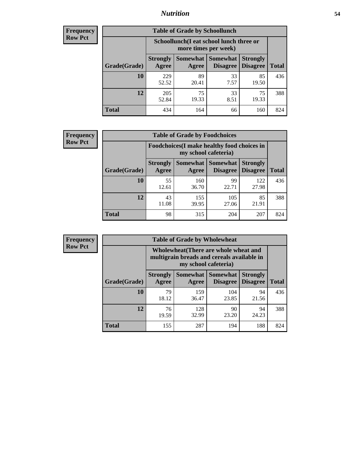## *Nutrition* **54**

| <b>Frequency</b> |
|------------------|
| <b>Row Pct</b>   |

| <b>Table of Grade by Schoollunch</b> |                                                                                                                      |                                                                 |            |             |     |  |  |
|--------------------------------------|----------------------------------------------------------------------------------------------------------------------|-----------------------------------------------------------------|------------|-------------|-----|--|--|
|                                      |                                                                                                                      | Schoollunch(I eat school lunch three or<br>more times per week) |            |             |     |  |  |
| Grade(Grade)                         | Somewhat  <br><b>Somewhat</b><br><b>Strongly</b><br><b>Strongly</b><br><b>Disagree</b><br>Agree<br>Disagree<br>Agree |                                                                 |            |             |     |  |  |
| 10                                   | 229<br>52.52                                                                                                         | 89<br>20.41                                                     | 33<br>7.57 | 85<br>19.50 | 436 |  |  |
| 12                                   | 205<br>52.84                                                                                                         | 75<br>19.33                                                     | 33<br>8.51 | 75<br>19.33 | 388 |  |  |
| <b>Total</b>                         | 434                                                                                                                  | 164                                                             | 66         | 160         | 824 |  |  |

| <b>Frequency</b> |  |
|------------------|--|
| <b>Row Pct</b>   |  |

| <b>Table of Grade by Foodchoices</b> |                                                                     |              |                                        |                                    |              |  |
|--------------------------------------|---------------------------------------------------------------------|--------------|----------------------------------------|------------------------------------|--------------|--|
|                                      | Foodchoices (I make healthy food choices in<br>my school cafeteria) |              |                                        |                                    |              |  |
| Grade(Grade)                         | <b>Strongly</b><br>Agree                                            | Agree        | <b>Somewhat   Somewhat</b><br>Disagree | <b>Strongly</b><br><b>Disagree</b> | <b>Total</b> |  |
| 10                                   | 55<br>12.61                                                         | 160<br>36.70 | 99<br>22.71                            | 122<br>27.98                       | 436          |  |
| 12                                   | 43<br>11.08                                                         | 155<br>39.95 | 105<br>27.06                           | 85<br>21.91                        | 388          |  |
| <b>Total</b>                         | 98                                                                  | 315          | 204                                    | 207                                | 824          |  |

| <b>Frequency</b> | <b>Table of Grade by Wholewheat</b> |                                                                                                             |                     |                      |                                    |              |  |  |  |
|------------------|-------------------------------------|-------------------------------------------------------------------------------------------------------------|---------------------|----------------------|------------------------------------|--------------|--|--|--|
| <b>Row Pct</b>   |                                     | Wholewheat (There are whole wheat and<br>multigrain breads and cereals available in<br>my school cafeteria) |                     |                      |                                    |              |  |  |  |
|                  | Grade(Grade)                        | <b>Strongly</b><br>Agree                                                                                    | Somewhat  <br>Agree | Somewhat<br>Disagree | <b>Strongly</b><br><b>Disagree</b> | <b>Total</b> |  |  |  |
|                  | 10                                  | 79<br>18.12                                                                                                 | 159<br>36.47        | 104<br>23.85         | 94<br>21.56                        | 436          |  |  |  |
|                  | 12                                  | 76<br>19.59                                                                                                 | 128<br>32.99        | 90<br>23.20          | 94<br>24.23                        | 388          |  |  |  |
|                  | <b>Total</b>                        | 155                                                                                                         | 287                 | 194                  | 188                                | 824          |  |  |  |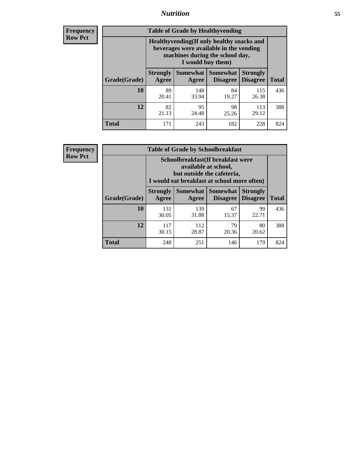## *Nutrition* **55**

**Frequency Row Pct**

| <b>Table of Grade by Healthyvending</b> |                                                                                                                                               |                          |                                    |                                    |              |  |  |  |
|-----------------------------------------|-----------------------------------------------------------------------------------------------------------------------------------------------|--------------------------|------------------------------------|------------------------------------|--------------|--|--|--|
|                                         | Healthyvending (If only healthy snacks and<br>beverages were available in the vending<br>machines during the school day,<br>I would buy them) |                          |                                    |                                    |              |  |  |  |
| Grade(Grade)                            | <b>Strongly</b><br>Agree                                                                                                                      | <b>Somewhat</b><br>Agree | <b>Somewhat</b><br><b>Disagree</b> | <b>Strongly</b><br><b>Disagree</b> | <b>Total</b> |  |  |  |
| 10                                      | 89<br>20.41                                                                                                                                   | 148<br>33.94             | 84<br>19.27                        | 115<br>26.38                       | 436          |  |  |  |
| 12                                      | 82<br>21.13                                                                                                                                   | 95<br>24.48              | 98<br>25.26                        | 113<br>29.12                       | 388          |  |  |  |
| Total                                   | 171                                                                                                                                           | 243                      | 182                                | 228                                | 824          |  |  |  |

**Frequency Row Pct**

| <b>Table of Grade by Schoolbreakfast</b> |                                                                                                                                         |                   |                                    |                                    |              |  |  |
|------------------------------------------|-----------------------------------------------------------------------------------------------------------------------------------------|-------------------|------------------------------------|------------------------------------|--------------|--|--|
|                                          | Schoolbreakfast (If breakfast were<br>available at school,<br>but outside the cafeteria,<br>I would eat breakfast at school more often) |                   |                                    |                                    |              |  |  |
| Grade(Grade)                             | <b>Strongly</b><br>Agree                                                                                                                | Somewhat<br>Agree | <b>Somewhat</b><br><b>Disagree</b> | <b>Strongly</b><br><b>Disagree</b> | <b>Total</b> |  |  |
| 10                                       | 131<br>30.05                                                                                                                            | 139<br>31.88      | 67<br>15.37                        | 99<br>22.71                        | 436          |  |  |
| 12                                       | 117<br>30.15                                                                                                                            | 112<br>28.87      | 79<br>20.36                        | 80<br>20.62                        | 388          |  |  |
| <b>Total</b>                             | 248                                                                                                                                     | 251               | 146                                | 179                                | 824          |  |  |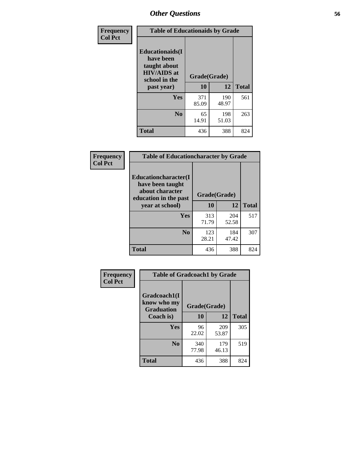| Frequency<br><b>Col Pct</b> | <b>Table of Educationaids by Grade</b>                                                                    |                    |              |     |  |  |
|-----------------------------|-----------------------------------------------------------------------------------------------------------|--------------------|--------------|-----|--|--|
|                             | <b>Educationaids</b> (I<br>have been<br>taught about<br><b>HIV/AIDS</b> at<br>school in the<br>past year) | Grade(Grade)<br>10 | <b>Total</b> |     |  |  |
|                             | Yes                                                                                                       | 371<br>85.09       | 190<br>48.97 | 561 |  |  |
|                             | N <sub>0</sub>                                                                                            | 65<br>14.91        | 198<br>51.03 | 263 |  |  |
|                             | <b>Total</b>                                                                                              | 436                | 388          | 824 |  |  |

| <b>Frequency</b> | <b>Table of Educationcharacter by Grade</b>                                          |              |              |              |
|------------------|--------------------------------------------------------------------------------------|--------------|--------------|--------------|
| <b>Col Pct</b>   | Educationcharacter(I<br>have been taught<br>about character<br>education in the past | Grade(Grade) |              |              |
|                  | year at school)                                                                      | 10           | 12           | <b>Total</b> |
|                  | <b>Yes</b>                                                                           | 313<br>71.79 | 204<br>52.58 | 517          |
|                  | N <sub>0</sub>                                                                       | 123<br>28.21 | 184<br>47.42 | 307          |
|                  | <b>Total</b>                                                                         | 436          | 388          | 824          |

| Frequency      | <b>Table of Gradcoach1 by Grade</b>              |              |              |              |  |
|----------------|--------------------------------------------------|--------------|--------------|--------------|--|
| <b>Col Pct</b> | Gradcoach1(I<br>know who my<br><b>Graduation</b> | Grade(Grade) |              |              |  |
|                | Coach is)                                        | 10           | 12           | <b>Total</b> |  |
|                | Yes                                              | 96<br>22.02  | 209<br>53.87 | 305          |  |
|                | N <sub>0</sub>                                   | 340<br>77.98 | 179<br>46.13 | 519          |  |
|                | <b>Total</b>                                     | 436          | 388          | 824          |  |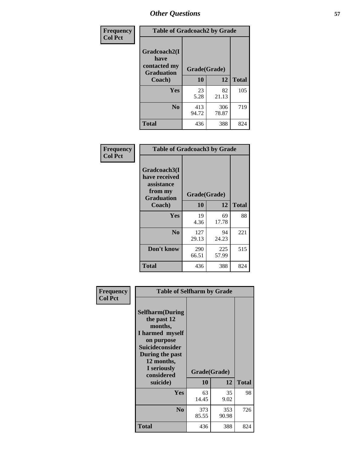| Frequency      | <b>Table of Gradcoach2 by Grade</b>         |              |              |              |
|----------------|---------------------------------------------|--------------|--------------|--------------|
| <b>Col Pct</b> | Gradcoach2(I<br>have                        |              |              |              |
|                | contacted my<br><b>Graduation</b><br>Coach) | Grade(Grade) |              |              |
|                |                                             | 10           | 12           | <b>Total</b> |
|                | Yes                                         | 23<br>5.28   | 82<br>21.13  | 105          |
|                | N <sub>0</sub>                              | 413<br>94.72 | 306<br>78.87 | 719          |
|                | <b>Total</b>                                | 436          | 388          | 824          |

| <b>Frequency</b><br><b>Col Pct</b> | <b>Table of Gradcoach3 by Grade</b>                                         |              |              |              |
|------------------------------------|-----------------------------------------------------------------------------|--------------|--------------|--------------|
|                                    | Gradcoach3(I<br>have received<br>assistance<br>from my<br><b>Graduation</b> | Grade(Grade) |              |              |
|                                    | Coach)                                                                      | 10           | 12           | <b>Total</b> |
|                                    | Yes                                                                         | 19<br>4.36   | 69<br>17.78  | 88           |
|                                    | N <sub>0</sub>                                                              | 127<br>29.13 | 94<br>24.23  | 221          |
|                                    | Don't know                                                                  | 290<br>66.51 | 225<br>57.99 | 515          |
|                                    | <b>Total</b>                                                                | 436          | 388          | 824          |

| Frequency      | <b>Table of Selfharm by Grade</b>                                                                                                                                                      |                    |              |              |
|----------------|----------------------------------------------------------------------------------------------------------------------------------------------------------------------------------------|--------------------|--------------|--------------|
| <b>Col Pct</b> | <b>Selfharm</b> (During<br>the past 12<br>months,<br>I harmed myself<br>on purpose<br><b>Suicideconsider</b><br>During the past<br>12 months,<br>I seriously<br>considered<br>suicide) | Grade(Grade)<br>10 | 12           | <b>Total</b> |
|                | Yes                                                                                                                                                                                    | 63<br>14.45        | 35<br>9.02   | 98           |
|                | N <sub>0</sub>                                                                                                                                                                         | 373<br>85.55       | 353<br>90.98 | 726          |
|                | Total                                                                                                                                                                                  | 436                | 388          | 824          |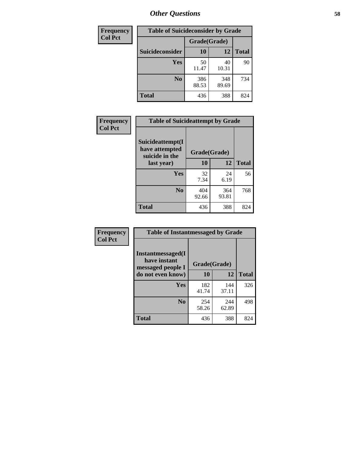| Frequency      | <b>Table of Suicideconsider by Grade</b> |              |              |              |  |
|----------------|------------------------------------------|--------------|--------------|--------------|--|
| <b>Col Pct</b> |                                          | Grade(Grade) |              |              |  |
|                | Suicideconsider                          | <b>10</b>    | 12           | <b>Total</b> |  |
|                | Yes                                      | 50<br>11.47  | 40<br>10.31  | 90           |  |
|                | N <sub>0</sub>                           | 386<br>88.53 | 348<br>89.69 | 734          |  |
|                | <b>Total</b>                             | 436          | 388          | 824          |  |

| Frequency      | <b>Table of Suicideattempt by Grade</b>              |              |              |              |
|----------------|------------------------------------------------------|--------------|--------------|--------------|
| <b>Col Pct</b> | Suicideattempt(I<br>have attempted<br>suicide in the | Grade(Grade) |              |              |
|                | last year)                                           | 10           | 12           | <b>Total</b> |
|                | Yes                                                  | 32<br>7.34   | 24<br>6.19   | 56           |
|                | N <sub>0</sub>                                       | 404<br>92.66 | 364<br>93.81 | 768          |
|                | <b>Total</b>                                         | 436          | 388          | 824          |

| Frequency      | <b>Table of Instantmessaged by Grade</b> |              |              |              |  |
|----------------|------------------------------------------|--------------|--------------|--------------|--|
| <b>Col Pct</b> | Instantmessaged(I<br>have instant        | Grade(Grade) |              |              |  |
|                | messaged people I<br>do not even know)   | 10           | 12           | <b>Total</b> |  |
|                | Yes                                      | 182<br>41.74 | 144<br>37.11 | 326          |  |
|                | N <sub>0</sub>                           | 254<br>58.26 | 244<br>62.89 | 498          |  |
|                | <b>Total</b>                             | 436          | 388          | 824          |  |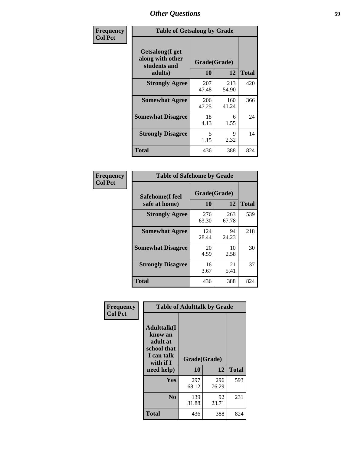| Frequency      | <b>Table of Getsalong by Grade</b>                          |              |              |              |  |
|----------------|-------------------------------------------------------------|--------------|--------------|--------------|--|
| <b>Col Pct</b> | <b>Getsalong</b> (I get<br>along with other<br>students and |              | Grade(Grade) |              |  |
|                | adults)                                                     | 10           | 12           | <b>Total</b> |  |
|                | <b>Strongly Agree</b>                                       | 207<br>47.48 | 213<br>54.90 | 420          |  |
|                | <b>Somewhat Agree</b>                                       | 206<br>47.25 | 160<br>41.24 | 366          |  |
|                | <b>Somewhat Disagree</b>                                    | 18<br>4.13   | 6<br>1.55    | 24           |  |
|                | <b>Strongly Disagree</b>                                    | 5<br>1.15    | 9<br>2.32    | 14           |  |
|                | <b>Total</b>                                                | 436          | 388          | 824          |  |

| Frequency      | <b>Table of Safehome by Grade</b> |                    |              |              |  |  |
|----------------|-----------------------------------|--------------------|--------------|--------------|--|--|
| <b>Col Pct</b> | Safehome(I feel<br>safe at home)  | Grade(Grade)<br>10 | 12           | <b>Total</b> |  |  |
|                | <b>Strongly Agree</b>             | 276<br>63.30       | 263<br>67.78 | 539          |  |  |
|                | <b>Somewhat Agree</b>             | 124<br>28.44       | 94<br>24.23  | 218          |  |  |
|                | <b>Somewhat Disagree</b>          | 20<br>4.59         | 10<br>2.58   | 30           |  |  |
|                | <b>Strongly Disagree</b>          | 16<br>3.67         | 21<br>5.41   | 37           |  |  |
|                | <b>Total</b>                      | 436                | 388          | 824          |  |  |

| Frequency      | <b>Table of Adulttalk by Grade</b>                                                  |              |              |              |  |  |
|----------------|-------------------------------------------------------------------------------------|--------------|--------------|--------------|--|--|
| <b>Col Pct</b> | <b>Adulttalk(I</b><br>know an<br>adult at<br>school that<br>I can talk<br>with if I | Grade(Grade) |              |              |  |  |
|                | need help)                                                                          | 10           | 12           | <b>Total</b> |  |  |
|                | <b>Yes</b>                                                                          | 297<br>68.12 | 296<br>76.29 | 593          |  |  |
|                | N <sub>0</sub>                                                                      | 139<br>31.88 | 92<br>23.71  | 231          |  |  |
|                | <b>Total</b>                                                                        | 436          | 388          | 824          |  |  |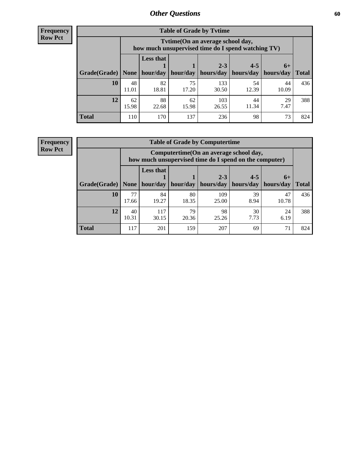**Frequency Row Pct**

| <b>Table of Grade by Tytime</b> |             |                                                                                         |             |              |             |             |              |
|---------------------------------|-------------|-----------------------------------------------------------------------------------------|-------------|--------------|-------------|-------------|--------------|
|                                 |             | Tvtime (On an average school day,<br>how much unsupervised time do I spend watching TV) |             |              |             |             |              |
|                                 |             | <b>Less that</b><br>$2 - 3$<br>$4 - 5$<br>$6+$                                          |             |              |             |             |              |
| Grade(Grade)   None             |             | hour/day                                                                                | hour/day    | hours/day    | hours/day   | hours/day   | <b>Total</b> |
| 10                              | 48<br>11.01 | 82<br>18.81                                                                             | 75<br>17.20 | 133<br>30.50 | 54<br>12.39 | 44<br>10.09 | 436          |
| 12                              | 62<br>15.98 | 88<br>22.68                                                                             | 62<br>15.98 | 103<br>26.55 | 44<br>11.34 | 29<br>7.47  | 388          |
| <b>Total</b>                    | 110         | 170                                                                                     | 137         | 236          | 98          | 73          | 824          |

**Frequency Row Pct**

| <b>Table of Grade by Computertime</b> |             |                                                                                                                               |             |              |            |             |     |  |  |
|---------------------------------------|-------------|-------------------------------------------------------------------------------------------------------------------------------|-------------|--------------|------------|-------------|-----|--|--|
|                                       |             | Computertime (On an average school day,<br>how much unsupervised time do I spend on the computer)                             |             |              |            |             |     |  |  |
| Grade(Grade)                          | None        | <b>Less that</b><br>$4 - 5$<br>$2 - 3$<br>$6+$<br>hour/day<br>hours/day<br>hours/day<br>hour/day<br>hours/day<br><b>Total</b> |             |              |            |             |     |  |  |
| 10                                    | 77<br>17.66 | 84<br>19.27                                                                                                                   | 80<br>18.35 | 109<br>25.00 | 39<br>8.94 | 47<br>10.78 | 436 |  |  |
| 12                                    | 40<br>10.31 | 79<br>98<br>117<br>30<br>24<br>30.15<br>7.73<br>25.26<br>20.36<br>6.19                                                        |             |              |            |             |     |  |  |
| <b>Total</b>                          | 117         | 201                                                                                                                           | 159         | 207          | 69         | 71          | 824 |  |  |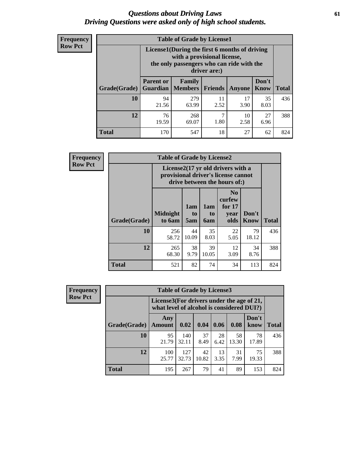### *Questions about Driving Laws* **61** *Driving Questions were asked only of high school students.*

| <b>Frequency</b> |
|------------------|
| <b>Row Pct</b>   |

| <b>Table of Grade by License1</b> |                                     |                                                                                                                                           |            |               |                      |              |  |  |  |
|-----------------------------------|-------------------------------------|-------------------------------------------------------------------------------------------------------------------------------------------|------------|---------------|----------------------|--------------|--|--|--|
|                                   |                                     | License1(During the first 6 months of driving<br>with a provisional license,<br>the only passengers who can ride with the<br>driver are:) |            |               |                      |              |  |  |  |
| Grade(Grade)                      | <b>Parent or</b><br><b>Guardian</b> | Family<br><b>Members</b>                                                                                                                  | Friends    | <b>Anyone</b> | Don't<br><b>Know</b> | <b>Total</b> |  |  |  |
| 10                                | 94<br>21.56                         | 279<br>63.99                                                                                                                              | 11<br>2.52 | 17<br>3.90    | 35<br>8.03           | 436          |  |  |  |
| 12                                | 76<br>19.59                         | 268<br>69.07                                                                                                                              | 7<br>1.80  | 10<br>2.58    | 27<br>6.96           | 388          |  |  |  |
| <b>Total</b>                      | 170                                 | 547                                                                                                                                       | 18         | 27            | 62                   | 824          |  |  |  |

| <b>Frequency</b> |              | <b>Table of Grade by License2</b>                                                                                    |                  |                  |                                                      |                      |              |  |  |  |  |
|------------------|--------------|----------------------------------------------------------------------------------------------------------------------|------------------|------------------|------------------------------------------------------|----------------------|--------------|--|--|--|--|
| <b>Row Pct</b>   |              | License $2(17 \text{ yr})$ old drivers with a<br>provisional driver's license cannot<br>drive between the hours of:) |                  |                  |                                                      |                      |              |  |  |  |  |
|                  | Grade(Grade) | <b>Midnight</b><br>to 6am                                                                                            | 1am<br>to<br>5am | 1am<br>to<br>6am | N <sub>0</sub><br>curfew<br>for $17$<br>year<br>olds | Don't<br><b>Know</b> | <b>Total</b> |  |  |  |  |
|                  | 10           | 256<br>58.72                                                                                                         | 44<br>10.09      | 35<br>8.03       | 22<br>5.05                                           | 79<br>18.12          | 436          |  |  |  |  |
|                  | 12           | 265<br>68.30                                                                                                         | 38<br>9.79       | 39<br>10.05      | 12<br>3.09                                           | 34<br>8.76           | 388          |  |  |  |  |
|                  | <b>Total</b> | 521                                                                                                                  | 82               | 74               | 34                                                   | 113                  | 824          |  |  |  |  |

| Frequency      | <b>Table of Grade by License3</b> |                      |                                                                                        |             |            |             |               |              |
|----------------|-----------------------------------|----------------------|----------------------------------------------------------------------------------------|-------------|------------|-------------|---------------|--------------|
| <b>Row Pct</b> |                                   |                      | License3(For drivers under the age of 21,<br>what level of alcohol is considered DUI?) |             |            |             |               |              |
|                | Grade(Grade)                      | Any<br><b>Amount</b> | 0.02                                                                                   | 0.04        | 0.06       | 0.08        | Don't<br>know | <b>Total</b> |
|                | 10                                | 95<br>21.79          | 140<br>32.11                                                                           | 37<br>8.49  | 28<br>6.42 | 58<br>13.30 | 78<br>17.89   | 436          |
|                | 12                                | 100<br>25.77         | 127<br>32.73                                                                           | 42<br>10.82 | 13<br>3.35 | 31<br>7.99  | 75<br>19.33   | 388          |
|                | <b>Total</b>                      | 195                  | 267                                                                                    | 79          | 41         | 89          | 153           | 824          |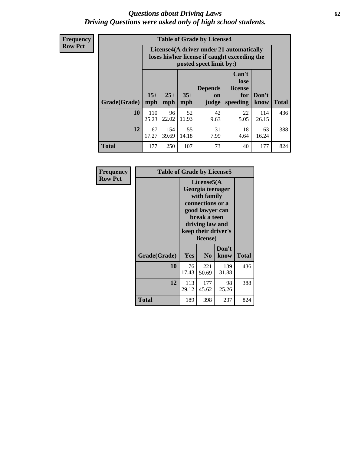### *Questions about Driving Laws* **62** *Driving Questions were asked only of high school students.*

**Frequency Row Pct**

| <b>Table of Grade by License4</b> |              |                                                                                                                                               |             |            |            |              |     |  |
|-----------------------------------|--------------|-----------------------------------------------------------------------------------------------------------------------------------------------|-------------|------------|------------|--------------|-----|--|
|                                   |              | License4(A driver under 21 automatically<br>loses his/her license if caught exceeding the<br>posted speet limit by:)                          |             |            |            |              |     |  |
| Grade(Grade)                      | $15+$<br>mph | Can't<br>lose<br><b>Depends</b><br>license<br>$25+$<br>$35+$<br>Don't<br>for<br>on<br><b>Total</b><br>mph<br>speeding<br>know<br>mph<br>judge |             |            |            |              |     |  |
| 10                                | 110<br>25.23 | 96<br>22.02                                                                                                                                   | 52<br>11.93 | 42<br>9.63 | 22<br>5.05 | 114<br>26.15 | 436 |  |
| 12                                | 67<br>17.27  | 154<br>39.69                                                                                                                                  | 55<br>14.18 | 31<br>7.99 | 18<br>4.64 | 63<br>16.24  | 388 |  |
| <b>Total</b>                      | 177          | 250                                                                                                                                           | 107         | 73         | 40         | 177          | 824 |  |

| Frequency      | <b>Table of Grade by License5</b> |                                                                                                                                                             |                |               |       |
|----------------|-----------------------------------|-------------------------------------------------------------------------------------------------------------------------------------------------------------|----------------|---------------|-------|
| <b>Row Pct</b> |                                   | License5(A)<br>Georgia teenager<br>with family<br>connections or a<br>good lawyer can<br>break a teen<br>driving law and<br>keep their driver's<br>license) |                |               |       |
|                | Grade(Grade)                      | <b>Yes</b>                                                                                                                                                  | N <sub>0</sub> | Don't<br>know | Total |
|                | 10                                | 76<br>17.43                                                                                                                                                 | 221<br>50.69   | 139<br>31.88  | 436   |
|                | 12                                | 113<br>29.12                                                                                                                                                | 177<br>45.62   | 98<br>25.26   | 388   |
|                | Total                             | 189                                                                                                                                                         | 398            | 237           | 824   |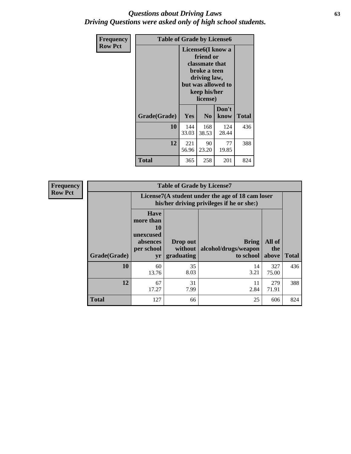### *Questions about Driving Laws* **63** *Driving Questions were asked only of high school students.*

| <b>Frequency</b> | <b>Table of Grade by License6</b> |                                                                                                                                                 |                |               |              |  |
|------------------|-----------------------------------|-------------------------------------------------------------------------------------------------------------------------------------------------|----------------|---------------|--------------|--|
| <b>Row Pct</b>   |                                   | License <sub>6</sub> (I know a<br>friend or<br>classmate that<br>broke a teen<br>driving law,<br>but was allowed to<br>keep his/her<br>license) |                |               |              |  |
|                  | Grade(Grade)                      | Yes                                                                                                                                             | N <sub>0</sub> | Don't<br>know | <b>Total</b> |  |
|                  | 10                                | 144<br>33.03                                                                                                                                    | 168<br>38.53   | 124<br>28.44  | 436          |  |
|                  | 12                                | 221<br>56.96                                                                                                                                    | 90<br>23.20    | 77<br>19.85   | 388          |  |
|                  | <b>Total</b>                      | 365                                                                                                                                             | 258            | 201           | 824          |  |

| Frequency      |              |                                                                             | <b>Table of Grade by License7</b>                                                             |                                                   |                        |              |  |  |  |
|----------------|--------------|-----------------------------------------------------------------------------|-----------------------------------------------------------------------------------------------|---------------------------------------------------|------------------------|--------------|--|--|--|
| <b>Row Pct</b> |              |                                                                             | License7(A student under the age of 18 cam loser<br>his/her driving privileges if he or she:) |                                                   |                        |              |  |  |  |
|                | Grade(Grade) | <b>Have</b><br>more than<br>10<br>unexcused<br>absences<br>per school<br>yr | Drop out<br>without  <br>graduating                                                           | <b>Bring</b><br>alcohol/drugs/weapon<br>to school | All of<br>the<br>above | <b>Total</b> |  |  |  |
|                | 10           | 60<br>13.76                                                                 | 35<br>8.03                                                                                    | 14<br>3.21                                        | 327<br>75.00           | 436          |  |  |  |
|                | 12           | 67<br>17.27                                                                 | 31<br>7.99                                                                                    | 11<br>2.84                                        | 279<br>71.91           | 388          |  |  |  |
|                | <b>Total</b> | 127                                                                         | 66                                                                                            | 25                                                | 606                    | 824          |  |  |  |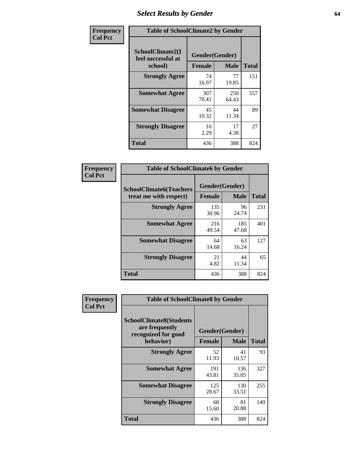# *Select Results by Gender* **64**

| Frequency      | <b>Table of SchoolClimate2 by Gender</b> |              |                                                |                     |  |  |
|----------------|------------------------------------------|--------------|------------------------------------------------|---------------------|--|--|
| <b>Col Pct</b> | SchoolClimate2(I<br>feel successful at   |              | Gender(Gender)<br><b>Female</b><br><b>Male</b> |                     |  |  |
|                | school)<br><b>Strongly Agree</b>         | 74<br>16.97  | 77<br>19.85                                    | <b>Total</b><br>151 |  |  |
|                | <b>Somewhat Agree</b>                    | 307<br>70.41 | 250<br>64.43                                   | 557                 |  |  |
|                | <b>Somewhat Disagree</b>                 | 45<br>10.32  | 44<br>11.34                                    | 89                  |  |  |
|                | <b>Strongly Disagree</b>                 | 10<br>2.29   | 17<br>4.38                                     | 27                  |  |  |
|                | <b>Total</b>                             | 436          | 388                                            | 824                 |  |  |

| Frequency      | <b>Table of SchoolClimate6 by Gender</b>                 |                                 |              |              |  |  |  |
|----------------|----------------------------------------------------------|---------------------------------|--------------|--------------|--|--|--|
| <b>Col Pct</b> | <b>SchoolClimate6(Teachers</b><br>treat me with respect) | Gender(Gender)<br><b>Female</b> | <b>Male</b>  | <b>Total</b> |  |  |  |
|                | <b>Strongly Agree</b>                                    | 135<br>30.96                    | 96<br>24.74  | 231          |  |  |  |
|                | <b>Somewhat Agree</b>                                    | 216<br>49.54                    | 185<br>47.68 | 401          |  |  |  |
|                | <b>Somewhat Disagree</b>                                 | 64<br>14.68                     | 63<br>16.24  | 127          |  |  |  |
|                | <b>Strongly Disagree</b>                                 | 21<br>4.82                      | 44<br>11.34  | 65           |  |  |  |
|                | <b>Total</b>                                             | 436                             | 388          | 824          |  |  |  |

| <b>Frequency</b> |                                                                         | <b>Table of SchoolClimate8 by Gender</b> |              |              |  |  |
|------------------|-------------------------------------------------------------------------|------------------------------------------|--------------|--------------|--|--|
| <b>Col Pct</b>   | <b>SchoolClimate8(Students</b><br>are frequently<br>recognized for good | Gender(Gender)                           |              |              |  |  |
|                  | behavior)                                                               | <b>Female</b>                            | <b>Male</b>  | <b>Total</b> |  |  |
|                  | <b>Strongly Agree</b>                                                   | 52<br>11.93                              | 41<br>10.57  | 93           |  |  |
|                  | <b>Somewhat Agree</b>                                                   | 191<br>43.81                             | 136<br>35.05 | 327          |  |  |
|                  | <b>Somewhat Disagree</b>                                                | 125<br>28.67                             | 130<br>33.51 | 255          |  |  |
|                  | <b>Strongly Disagree</b>                                                | 68<br>15.60                              | 81<br>20.88  | 149          |  |  |
|                  | Total                                                                   | 436                                      | 388          | 824          |  |  |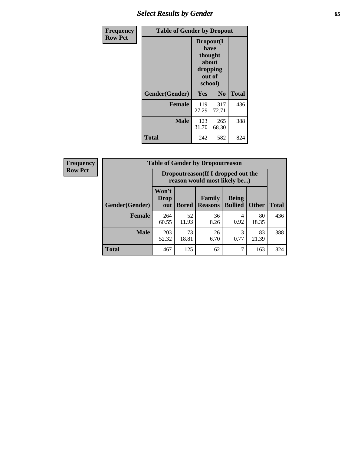# *Select Results by Gender* **65**

| Frequency      | <b>Table of Gender by Dropout</b> |                                                                        |                |              |
|----------------|-----------------------------------|------------------------------------------------------------------------|----------------|--------------|
| <b>Row Pct</b> |                                   | Dropout(I<br>have<br>thought<br>about<br>dropping<br>out of<br>school) |                |              |
|                | Gender(Gender)                    | Yes                                                                    | N <sub>0</sub> | <b>Total</b> |
|                | <b>Female</b>                     | 119<br>27.29                                                           | 317<br>72.71   | 436          |
|                | <b>Male</b>                       | 123<br>31.70                                                           | 265<br>68.30   | 388          |
|                | <b>Total</b>                      | 242                                                                    | 582            | 824          |

| <b>Frequency</b> |                | <b>Table of Gender by Dropoutreason</b>                             |              |                          |                                |              |              |
|------------------|----------------|---------------------------------------------------------------------|--------------|--------------------------|--------------------------------|--------------|--------------|
| <b>Row Pct</b>   |                | Dropoutreason (If I dropped out the<br>reason would most likely be) |              |                          |                                |              |              |
|                  | Gender(Gender) | Won't<br><b>Drop</b><br>out                                         | <b>Bored</b> | Family<br><b>Reasons</b> | <b>Being</b><br><b>Bullied</b> | <b>Other</b> | <b>Total</b> |
|                  | Female         | 264<br>60.55                                                        | 52<br>11.93  | 36<br>8.26               | 4<br>0.92                      | 80<br>18.35  | 436          |
|                  | <b>Male</b>    | 203<br>52.32                                                        | 73<br>18.81  | 26<br>6.70               | 3<br>0.77                      | 83<br>21.39  | 388          |
|                  | <b>Total</b>   | 467                                                                 | 125          | 62                       |                                | 163          | 824          |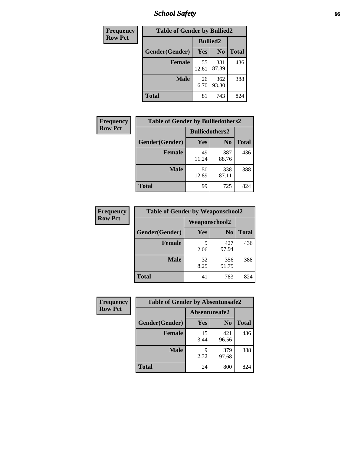*School Safety* **66**

| Frequency      | <b>Table of Gender by Bullied2</b> |                 |                |              |
|----------------|------------------------------------|-----------------|----------------|--------------|
| <b>Row Pct</b> |                                    | <b>Bullied2</b> |                |              |
|                | Gender(Gender)                     | Yes             | N <sub>0</sub> | <b>Total</b> |
|                | <b>Female</b>                      | 55<br>12.61     | 381<br>87.39   | 436          |
|                | <b>Male</b>                        | 26<br>6.70      | 362<br>93.30   | 388          |
|                | <b>Total</b>                       | 81              | 743            | 824          |

| Frequency      | <b>Table of Gender by Bulliedothers2</b> |                       |                |              |
|----------------|------------------------------------------|-----------------------|----------------|--------------|
| <b>Row Pct</b> |                                          | <b>Bulliedothers2</b> |                |              |
|                | Gender(Gender)                           | <b>Yes</b>            | N <sub>0</sub> | <b>Total</b> |
|                | <b>Female</b>                            | 49<br>11.24           | 387<br>88.76   | 436          |
|                | <b>Male</b>                              | 50<br>12.89           | 338<br>87.11   | 388          |
|                | <b>Total</b>                             | 99                    | 725            | 824          |

| <b>Frequency</b> | <b>Table of Gender by Weaponschool2</b> |                      |                |              |
|------------------|-----------------------------------------|----------------------|----------------|--------------|
| <b>Row Pct</b>   |                                         | <b>Weaponschool2</b> |                |              |
|                  | Gender(Gender)                          | Yes                  | N <sub>0</sub> | <b>Total</b> |
|                  | <b>Female</b>                           | q<br>2.06            | 427<br>97.94   | 436          |
|                  | <b>Male</b>                             | 32<br>8.25           | 356<br>91.75   | 388          |
|                  | <b>Total</b>                            | 41                   | 783            | 824          |

| Frequency      | <b>Table of Gender by Absentunsafe2</b> |               |                |              |
|----------------|-----------------------------------------|---------------|----------------|--------------|
| <b>Row Pct</b> |                                         | Absentunsafe2 |                |              |
|                | Gender(Gender)                          | Yes           | N <sub>0</sub> | <b>Total</b> |
|                | <b>Female</b>                           | 15<br>3.44    | 421<br>96.56   | 436          |
|                | <b>Male</b>                             | q<br>2.32     | 379<br>97.68   | 388          |
|                | <b>Total</b>                            | 24            | 800            | 824          |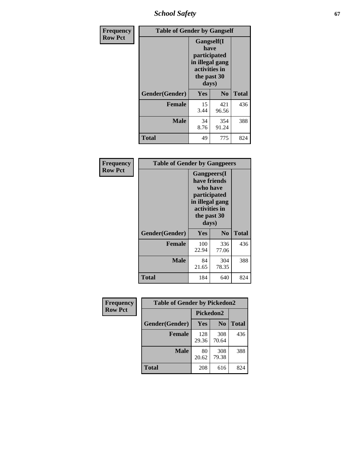*School Safety* **67**

| Frequency      | <b>Table of Gender by Gangself</b> |                                                                                                |              |              |
|----------------|------------------------------------|------------------------------------------------------------------------------------------------|--------------|--------------|
| <b>Row Pct</b> |                                    | Gangself(I<br>have<br>participated<br>in illegal gang<br>activities in<br>the past 30<br>days) |              |              |
|                | Gender(Gender)                     | Yes                                                                                            | $\bf No$     | <b>Total</b> |
|                | <b>Female</b>                      | 15<br>3.44                                                                                     | 421<br>96.56 | 436          |
|                | <b>Male</b>                        | 34<br>8.76                                                                                     | 354<br>91.24 | 388          |
|                | <b>Total</b>                       | 49                                                                                             | 775          | 824          |

| Frequency      |                | <b>Table of Gender by Gangpeers</b>                                                                                         |                |              |
|----------------|----------------|-----------------------------------------------------------------------------------------------------------------------------|----------------|--------------|
| <b>Row Pct</b> |                | <b>Gangpeers</b> (I<br>have friends<br>who have<br>participated<br>in illegal gang<br>activities in<br>the past 30<br>days) |                |              |
|                | Gender(Gender) | Yes                                                                                                                         | N <sub>0</sub> | <b>Total</b> |
|                | <b>Female</b>  | 100<br>22.94                                                                                                                | 336<br>77.06   | 436          |
|                | <b>Male</b>    | 84<br>21.65                                                                                                                 | 304<br>78.35   | 388          |
|                | Total          | 184                                                                                                                         | 640            | 824          |

| Frequency      | <b>Table of Gender by Pickedon2</b> |              |                |              |
|----------------|-------------------------------------|--------------|----------------|--------------|
| <b>Row Pct</b> |                                     | Pickedon2    |                |              |
|                | Gender(Gender)                      | Yes          | N <sub>0</sub> | <b>Total</b> |
|                | <b>Female</b>                       | 128<br>29.36 | 308<br>70.64   | 436          |
|                | <b>Male</b>                         | 80<br>20.62  | 308<br>79.38   | 388          |
|                | <b>Total</b>                        | 208          | 616            | 824          |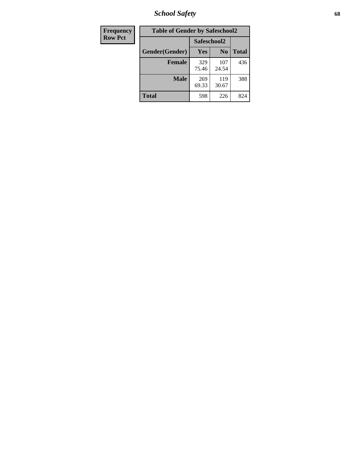*School Safety* **68**

| Frequency      | <b>Table of Gender by Safeschool2</b> |              |                |              |
|----------------|---------------------------------------|--------------|----------------|--------------|
| <b>Row Pct</b> | Safeschool2                           |              |                |              |
|                | Gender(Gender)                        | Yes          | N <sub>0</sub> | <b>Total</b> |
|                | <b>Female</b>                         | 329<br>75.46 | 107<br>24.54   | 436          |
|                | <b>Male</b>                           | 269<br>69.33 | 119<br>30.67   | 388          |
|                | <b>Total</b>                          | 598          | 226            | 824          |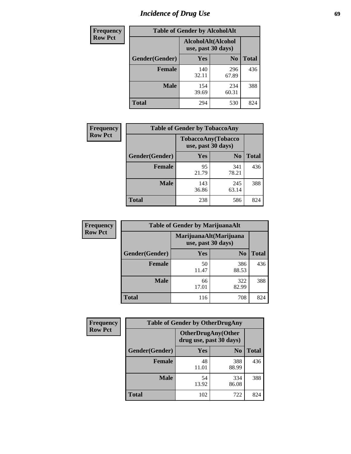# *Incidence of Drug Use* 69

| <b>Frequency</b> | <b>Table of Gender by AlcoholAlt</b> |                                          |                |              |  |
|------------------|--------------------------------------|------------------------------------------|----------------|--------------|--|
| <b>Row Pct</b>   |                                      | AlcoholAlt(Alcohol<br>use, past 30 days) |                |              |  |
|                  | Gender(Gender)                       | <b>Yes</b>                               | N <sub>0</sub> | <b>Total</b> |  |
|                  | <b>Female</b>                        | 140<br>32.11                             | 296<br>67.89   | 436          |  |
|                  | <b>Male</b>                          | 154<br>39.69                             | 234<br>60.31   | 388          |  |
|                  | <b>Total</b>                         | 294                                      | 530            | 824          |  |

| Frequency      | <b>Table of Gender by TobaccoAny</b> |                                                 |                |              |
|----------------|--------------------------------------|-------------------------------------------------|----------------|--------------|
| <b>Row Pct</b> |                                      | <b>TobaccoAny(Tobacco</b><br>use, past 30 days) |                |              |
|                | Gender(Gender)                       | Yes                                             | N <sub>0</sub> | <b>Total</b> |
|                | <b>Female</b>                        | 95<br>21.79                                     | 341<br>78.21   | 436          |
|                | Male                                 | 143<br>36.86                                    | 245<br>63.14   | 388          |
|                | <b>Total</b>                         | 238                                             | 586            | 824          |

| <b>Frequency</b> |                | <b>Table of Gender by MarijuanaAlt</b> |                                              |              |
|------------------|----------------|----------------------------------------|----------------------------------------------|--------------|
| <b>Row Pct</b>   |                |                                        | MarijuanaAlt(Marijuana<br>use, past 30 days) |              |
|                  | Gender(Gender) | <b>Yes</b>                             | N <sub>0</sub>                               | <b>Total</b> |
|                  | <b>Female</b>  | 50<br>11.47                            | 386<br>88.53                                 | 436          |
|                  | <b>Male</b>    | 66<br>17.01                            | 322<br>82.99                                 | 388          |
|                  | <b>Total</b>   | 116                                    | 708                                          | 824          |

| <b>Frequency</b> | <b>Table of Gender by OtherDrugAny</b> |                         |                            |              |  |
|------------------|----------------------------------------|-------------------------|----------------------------|--------------|--|
| <b>Row Pct</b>   |                                        | drug use, past 30 days) | <b>OtherDrugAny</b> (Other |              |  |
|                  | Gender(Gender)                         | <b>Yes</b>              | N <sub>0</sub>             | <b>Total</b> |  |
|                  | <b>Female</b>                          | 48<br>11.01             | 388<br>88.99               | 436          |  |
|                  | <b>Male</b>                            | 54<br>13.92             | 334<br>86.08               | 388          |  |
|                  | <b>Total</b>                           | 102                     | 722                        | 824          |  |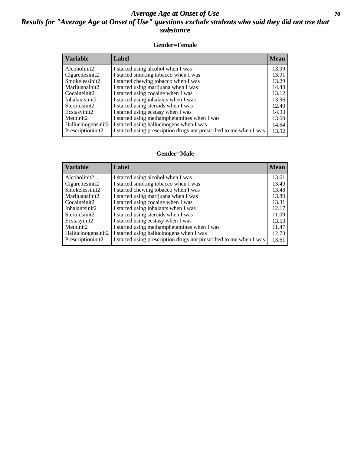### *Average Age at Onset of Use* **70** *Results for "Average Age at Onset of Use" questions exclude students who said they did not use that substance*

#### **Gender=Female**

| <i><b>Variable</b></i>          | <b>Label</b>                                                       | <b>Mean</b> |
|---------------------------------|--------------------------------------------------------------------|-------------|
| Alcoholinit2                    | I started using alcohol when I was                                 | 13.99       |
| Cigarettesinit2                 | I started smoking tobacco when I was                               | 13.91       |
| Smokelessinit2                  | I started chewing tobacco when I was                               | 13.29       |
| Marijuanainit2                  | I started using marijuana when I was                               | 14.48       |
| Cocaineinit2                    | I started using cocaine when I was                                 | 13.12       |
| Inhalantsinit2                  | I started using inhalants when I was                               | 13.96       |
| Steroidsinit2                   | I started using steroids when I was                                | 12.40       |
| Ecstasyinit2                    | I started using ecstasy when I was                                 | 14.93       |
| Methinit2                       | I started using methamphetamines when I was                        | 13.60       |
| Hallucinogensinit2              | I started using hallucinogens when I was                           | 14.64       |
| Prescription in it <sub>2</sub> | I started using prescription drugs not prescribed to me when I was | 13.92       |

#### **Gender=Male**

| <b>Variable</b>                 | Label                                                              | <b>Mean</b> |
|---------------------------------|--------------------------------------------------------------------|-------------|
| Alcoholinit2                    | I started using alcohol when I was                                 | 13.61       |
| Cigarettesinit2                 | I started smoking tobacco when I was                               | 13.49       |
| Smokelessinit2                  | I started chewing tobacco when I was                               | 13.48       |
| Marijuanainit2                  | I started using marijuana when I was                               | 13.80       |
| Cocaineinit2                    | I started using cocaine when I was                                 | 13.31       |
| Inhalantsinit2                  | I started using inhalants when I was                               | 12.17       |
| Steroidsinit2                   | I started using steroids when I was                                | 11.09       |
| Ecstasyinit2                    | I started using ecstasy when I was                                 | 13.53       |
| Methinit2                       | I started using methamphetamines when I was                        | 11.47       |
| Hallucinogensinit2              | I started using hallucinogens when I was                           | 12.73       |
| Prescription in it <sub>2</sub> | I started using prescription drugs not prescribed to me when I was | 13.61       |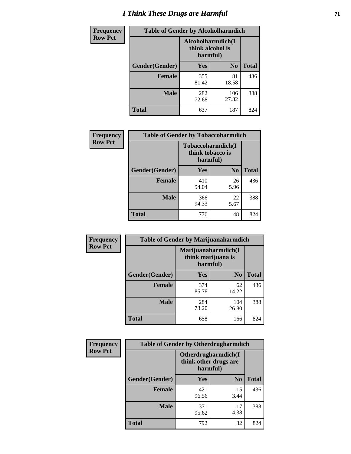# *I Think These Drugs are Harmful* **71**

| Frequency      | <b>Table of Gender by Alcoholharmdich</b> |                              |                   |              |
|----------------|-------------------------------------------|------------------------------|-------------------|--------------|
| <b>Row Pct</b> |                                           | think alcohol is<br>harmful) | Alcoholharmdich(I |              |
|                | <b>Gender</b> (Gender)                    | <b>Yes</b>                   | N <sub>0</sub>    | <b>Total</b> |
|                | <b>Female</b>                             | 355<br>81.42                 | 81<br>18.58       | 436          |
|                | <b>Male</b>                               | 282<br>72.68                 | 106<br>27.32      | 388          |
|                | <b>Total</b>                              | 637                          | 187               | 824          |

| Frequency      | <b>Table of Gender by Tobaccoharmdich</b> |                  |                               |              |
|----------------|-------------------------------------------|------------------|-------------------------------|--------------|
| <b>Row Pct</b> |                                           | think tobacco is | Tobaccoharmdich(I<br>harmful) |              |
|                | Gender(Gender)                            | Yes              | N <sub>0</sub>                | <b>Total</b> |
|                | <b>Female</b>                             | 410<br>94.04     | 26<br>5.96                    | 436          |
|                | <b>Male</b>                               | 366<br>94.33     | 22<br>5.67                    | 388          |
|                | <b>Total</b>                              | 776              | 48                            | 824          |

| Frequency      | <b>Table of Gender by Marijuanaharmdich</b> |                                |                     |              |  |
|----------------|---------------------------------------------|--------------------------------|---------------------|--------------|--|
| <b>Row Pct</b> |                                             | think marijuana is<br>harmful) | Marijuanaharmdich(I |              |  |
|                | Gender(Gender)                              | <b>Yes</b>                     | N <sub>0</sub>      | <b>Total</b> |  |
|                | <b>Female</b>                               | 374<br>85.78                   | 62<br>14.22         | 436          |  |
|                | <b>Male</b>                                 | 284<br>73.20                   | 104<br>26.80        | 388          |  |
|                | <b>Total</b>                                | 658                            | 166                 | 824          |  |

| Frequency      | <b>Table of Gender by Otherdrugharmdich</b> |                                                          |                |              |  |
|----------------|---------------------------------------------|----------------------------------------------------------|----------------|--------------|--|
| <b>Row Pct</b> |                                             | Otherdrugharmdich(I<br>think other drugs are<br>harmful) |                |              |  |
|                | Gender(Gender)                              | <b>Yes</b>                                               | N <sub>0</sub> | <b>Total</b> |  |
|                | <b>Female</b>                               | 421<br>96.56                                             | 15<br>3.44     | 436          |  |
|                | <b>Male</b>                                 | 371<br>95.62                                             | 17<br>4.38     | 388          |  |
|                | <b>Total</b>                                | 792                                                      | 32             | 824          |  |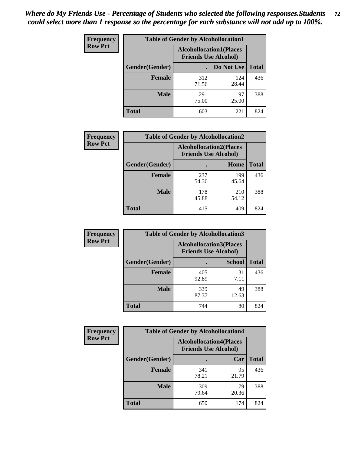| <b>Frequency</b> | <b>Table of Gender by Alcohollocation1</b> |                                                               |              |              |
|------------------|--------------------------------------------|---------------------------------------------------------------|--------------|--------------|
| <b>Row Pct</b>   |                                            | <b>Alcohollocation1(Places</b><br><b>Friends Use Alcohol)</b> |              |              |
|                  | Gender(Gender)                             |                                                               | Do Not Use   | <b>Total</b> |
|                  | <b>Female</b>                              | 312<br>71.56                                                  | 124<br>28.44 | 436          |
|                  | <b>Male</b>                                | 291<br>75.00                                                  | 97<br>25.00  | 388          |
|                  | <b>Total</b>                               | 603                                                           | 221          | 824          |

| <b>Frequency</b> | <b>Table of Gender by Alcohollocation2</b> |                                |                             |              |
|------------------|--------------------------------------------|--------------------------------|-----------------------------|--------------|
| <b>Row Pct</b>   |                                            | <b>Alcohollocation2(Places</b> | <b>Friends Use Alcohol)</b> |              |
|                  | Gender(Gender)                             |                                | Home                        | <b>Total</b> |
|                  | <b>Female</b>                              | 237<br>54.36                   | 199<br>45.64                | 436          |
|                  | <b>Male</b>                                | 178<br>45.88                   | 210<br>54.12                | 388          |
|                  | <b>Total</b>                               | 415                            | 409                         | 824          |

| Frequency      | <b>Table of Gender by Alcohollocation3</b> |                                                               |               |              |
|----------------|--------------------------------------------|---------------------------------------------------------------|---------------|--------------|
| <b>Row Pct</b> |                                            | <b>Alcohollocation3(Places</b><br><b>Friends Use Alcohol)</b> |               |              |
|                | Gender(Gender)                             |                                                               | <b>School</b> | <b>Total</b> |
|                | <b>Female</b>                              | 405<br>92.89                                                  | 31<br>7.11    | 436          |
|                | <b>Male</b>                                | 339<br>87.37                                                  | 49<br>12.63   | 388          |
|                | <b>Total</b>                               | 744                                                           | 80            | 824          |

| Frequency      | <b>Table of Gender by Alcohollocation4</b> |                                                               |             |              |
|----------------|--------------------------------------------|---------------------------------------------------------------|-------------|--------------|
| <b>Row Pct</b> |                                            | <b>Alcohollocation4(Places</b><br><b>Friends Use Alcohol)</b> |             |              |
|                | Gender(Gender)                             |                                                               | Car         | <b>Total</b> |
|                | Female                                     | 341<br>78.21                                                  | 95<br>21.79 | 436          |
|                | <b>Male</b>                                | 309<br>79.64                                                  | 79<br>20.36 | 388          |
|                | <b>Total</b>                               | 650                                                           | 174         | 824          |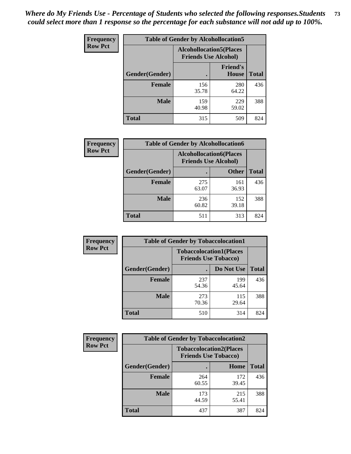| <b>Frequency</b> | <b>Table of Gender by Alcohollocation5</b> |                                                                |                                 |              |
|------------------|--------------------------------------------|----------------------------------------------------------------|---------------------------------|--------------|
| <b>Row Pct</b>   |                                            | <b>Alcohollocation5</b> (Places<br><b>Friends Use Alcohol)</b> |                                 |              |
|                  | Gender(Gender)                             | $\bullet$                                                      | <b>Friend's</b><br><b>House</b> | <b>Total</b> |
|                  | <b>Female</b>                              | 156<br>35.78                                                   | 280<br>64.22                    | 436          |
|                  | <b>Male</b>                                | 159<br>40.98                                                   | 229<br>59.02                    | 388          |
|                  | <b>Total</b>                               | 315                                                            | 509                             | 824          |

| Frequency      | <b>Table of Gender by Alcohollocation6</b> |                                                               |              |              |
|----------------|--------------------------------------------|---------------------------------------------------------------|--------------|--------------|
| <b>Row Pct</b> |                                            | <b>Alcohollocation6(Places</b><br><b>Friends Use Alcohol)</b> |              |              |
|                | Gender(Gender)                             |                                                               | <b>Other</b> | <b>Total</b> |
|                | <b>Female</b>                              | 275<br>63.07                                                  | 161<br>36.93 | 436          |
|                | <b>Male</b>                                | 236<br>60.82                                                  | 152<br>39.18 | 388          |
|                | <b>Total</b>                               | 511                                                           | 313          | 824          |

| Frequency      | <b>Table of Gender by Tobaccolocation1</b> |                                                               |              |              |  |
|----------------|--------------------------------------------|---------------------------------------------------------------|--------------|--------------|--|
| <b>Row Pct</b> |                                            | <b>Tobaccolocation1(Places</b><br><b>Friends Use Tobacco)</b> |              |              |  |
|                | Gender(Gender)                             |                                                               | Do Not Use   | <b>Total</b> |  |
|                | <b>Female</b>                              | 237<br>54.36                                                  | 199<br>45.64 | 436          |  |
|                | <b>Male</b>                                | 273<br>70.36                                                  | 115<br>29.64 | 388          |  |
|                | <b>Total</b>                               | 510                                                           | 314          | 824          |  |

| <b>Frequency</b> | <b>Table of Gender by Tobaccolocation2</b> |                                                               |              |              |
|------------------|--------------------------------------------|---------------------------------------------------------------|--------------|--------------|
| <b>Row Pct</b>   |                                            | <b>Tobaccolocation2(Places</b><br><b>Friends Use Tobacco)</b> |              |              |
|                  | Gender(Gender)                             |                                                               | Home         | <b>Total</b> |
|                  | Female                                     | 264<br>60.55                                                  | 172<br>39.45 | 436          |
|                  | <b>Male</b>                                | 173<br>44.59                                                  | 215<br>55.41 | 388          |
|                  | <b>Total</b>                               | 437                                                           | 387          | 824          |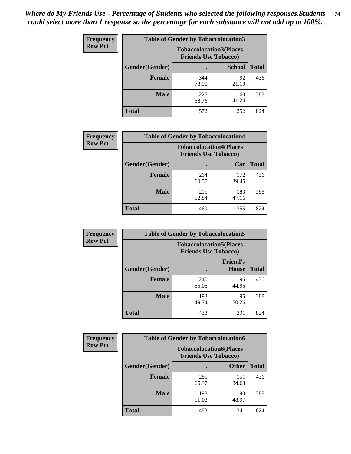| <b>Frequency</b> | <b>Table of Gender by Tobaccolocation3</b> |                                                               |               |              |
|------------------|--------------------------------------------|---------------------------------------------------------------|---------------|--------------|
| <b>Row Pct</b>   |                                            | <b>Tobaccolocation3(Places</b><br><b>Friends Use Tobacco)</b> |               |              |
|                  | Gender(Gender)                             |                                                               | <b>School</b> | <b>Total</b> |
|                  | <b>Female</b>                              | 344<br>78.90                                                  | 92<br>21.10   | 436          |
|                  | <b>Male</b>                                | 228<br>58.76                                                  | 160<br>41.24  | 388          |
|                  | <b>Total</b>                               | 572                                                           | 252           | 824          |

| <b>Frequency</b> |                | <b>Table of Gender by Tobaccolocation4</b>                    |              |              |
|------------------|----------------|---------------------------------------------------------------|--------------|--------------|
| <b>Row Pct</b>   |                | <b>Tobaccolocation4(Places</b><br><b>Friends Use Tobacco)</b> |              |              |
|                  | Gender(Gender) |                                                               | Car          | <b>Total</b> |
|                  | <b>Female</b>  | 264<br>60.55                                                  | 172<br>39.45 | 436          |
|                  | <b>Male</b>    | 205<br>52.84                                                  | 183<br>47.16 | 388          |
|                  | <b>Total</b>   | 469                                                           | 355          | 824          |

| <b>Frequency</b> | <b>Table of Gender by Tobaccolocation5</b> |                                                               |                          |              |
|------------------|--------------------------------------------|---------------------------------------------------------------|--------------------------|--------------|
| <b>Row Pct</b>   |                                            | <b>Tobaccolocation5(Places</b><br><b>Friends Use Tobacco)</b> |                          |              |
|                  | Gender(Gender)                             |                                                               | <b>Friend's</b><br>House | <b>Total</b> |
|                  | <b>Female</b>                              | 240<br>55.05                                                  | 196<br>44.95             | 436          |
|                  | <b>Male</b>                                | 193<br>49.74                                                  | 195<br>50.26             | 388          |
|                  | <b>Total</b>                               | 433                                                           | 391                      | 824          |

| <b>Frequency</b> | <b>Table of Gender by Tobaccolocation6</b> |                                                               |              |              |
|------------------|--------------------------------------------|---------------------------------------------------------------|--------------|--------------|
| <b>Row Pct</b>   |                                            | <b>Tobaccolocation6(Places</b><br><b>Friends Use Tobacco)</b> |              |              |
|                  | Gender(Gender)                             |                                                               | <b>Other</b> | <b>Total</b> |
|                  | Female                                     | 285<br>65.37                                                  | 151<br>34.63 | 436          |
|                  | <b>Male</b>                                | 198<br>51.03                                                  | 190<br>48.97 | 388          |
|                  | <b>Total</b>                               | 483                                                           | 341          | 824          |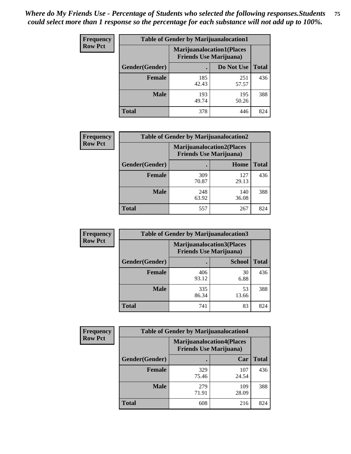| <b>Frequency</b> | <b>Table of Gender by Marijuanalocation1</b> |                                                                    |              |              |  |
|------------------|----------------------------------------------|--------------------------------------------------------------------|--------------|--------------|--|
| <b>Row Pct</b>   |                                              | <b>Marijuanalocation1(Places</b><br><b>Friends Use Marijuana</b> ) |              |              |  |
|                  | <b>Gender</b> (Gender)                       |                                                                    | Do Not Use   | <b>Total</b> |  |
|                  | <b>Female</b>                                | 185<br>42.43                                                       | 251<br>57.57 | 436          |  |
|                  | <b>Male</b>                                  | 193<br>49.74                                                       | 195<br>50.26 | 388          |  |
|                  | <b>Total</b>                                 | 378                                                                | 446          | 824          |  |

| <b>Frequency</b> | <b>Table of Gender by Marijuanalocation2</b> |                                                                    |              |              |  |
|------------------|----------------------------------------------|--------------------------------------------------------------------|--------------|--------------|--|
| <b>Row Pct</b>   |                                              | <b>Marijuanalocation2(Places</b><br><b>Friends Use Marijuana</b> ) |              |              |  |
|                  | Gender(Gender)                               |                                                                    | Home         | <b>Total</b> |  |
|                  | <b>Female</b>                                | 309<br>70.87                                                       | 127<br>29.13 | 436          |  |
|                  | <b>Male</b>                                  | 248<br>63.92                                                       | 140<br>36.08 | 388          |  |
|                  | <b>Total</b>                                 | 557                                                                | 267          | 824          |  |

| Frequency      | <b>Table of Gender by Marijuanalocation3</b> |                                                                     |               |              |  |
|----------------|----------------------------------------------|---------------------------------------------------------------------|---------------|--------------|--|
| <b>Row Pct</b> |                                              | <b>Marijuanalocation3(Places)</b><br><b>Friends Use Marijuana</b> ) |               |              |  |
|                | Gender(Gender)                               |                                                                     | <b>School</b> | <b>Total</b> |  |
|                | <b>Female</b>                                | 406<br>93.12                                                        | 30<br>6.88    | 436          |  |
|                | <b>Male</b>                                  | 335<br>86.34                                                        | 53<br>13.66   | 388          |  |
|                | <b>Total</b>                                 | 741                                                                 | 83            | 824          |  |

| Frequency      | <b>Table of Gender by Marijuanalocation4</b> |              |                                                                    |              |  |
|----------------|----------------------------------------------|--------------|--------------------------------------------------------------------|--------------|--|
| <b>Row Pct</b> |                                              |              | <b>Marijuanalocation4(Places</b><br><b>Friends Use Marijuana</b> ) |              |  |
|                | <b>Gender</b> (Gender)                       |              | Car                                                                | <b>Total</b> |  |
|                | <b>Female</b>                                | 329<br>75.46 | 107<br>24.54                                                       | 436          |  |
|                | <b>Male</b>                                  | 279<br>71.91 | 109<br>28.09                                                       | 388          |  |
|                | <b>Total</b>                                 | 608          | 216                                                                | 824          |  |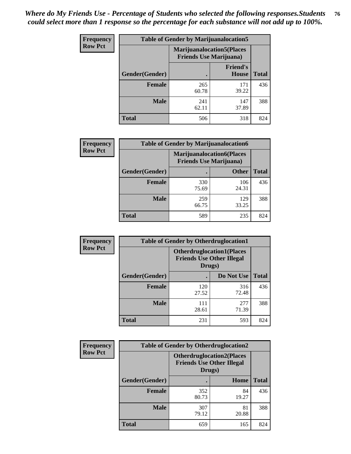| <b>Frequency</b> | <b>Table of Gender by Marijuanalocation5</b> |                                                                    |                                 |              |
|------------------|----------------------------------------------|--------------------------------------------------------------------|---------------------------------|--------------|
| <b>Row Pct</b>   |                                              | <b>Marijuanalocation5(Places</b><br><b>Friends Use Marijuana</b> ) |                                 |              |
|                  | Gender(Gender)                               |                                                                    | <b>Friend's</b><br><b>House</b> | <b>Total</b> |
|                  | <b>Female</b>                                | 265<br>60.78                                                       | 171<br>39.22                    | 436          |
|                  | <b>Male</b>                                  | 241<br>62.11                                                       | 147<br>37.89                    | 388          |
|                  | <b>Total</b>                                 | 506                                                                | 318                             | 824          |

| <b>Frequency</b> | <b>Table of Gender by Marijuanalocation6</b> |                                                                    |              |              |
|------------------|----------------------------------------------|--------------------------------------------------------------------|--------------|--------------|
| <b>Row Pct</b>   |                                              | <b>Marijuanalocation6(Places</b><br><b>Friends Use Marijuana</b> ) |              |              |
|                  | Gender(Gender)                               |                                                                    | <b>Other</b> | <b>Total</b> |
|                  | <b>Female</b>                                | 330<br>75.69                                                       | 106<br>24.31 | 436          |
|                  | Male                                         | 259<br>66.75                                                       | 129<br>33.25 | 388          |
|                  | <b>Total</b>                                 | 589                                                                | 235          | 824          |

| <b>Frequency</b> | <b>Table of Gender by Otherdruglocation1</b> |              |                                                                                |              |
|------------------|----------------------------------------------|--------------|--------------------------------------------------------------------------------|--------------|
| <b>Row Pct</b>   |                                              |              | <b>Otherdruglocation1(Places</b><br><b>Friends Use Other Illegal</b><br>Drugs) |              |
|                  | Gender(Gender)                               |              | Do Not Use                                                                     | <b>Total</b> |
|                  | Female                                       | 120<br>27.52 | 316<br>72.48                                                                   | 436          |
|                  | <b>Male</b>                                  | 111<br>28.61 | 277<br>71.39                                                                   | 388          |
|                  | <b>Total</b>                                 | 231          | 593                                                                            | 824          |

| <b>Frequency</b> | <b>Table of Gender by Otherdruglocation2</b> |                                            |                                   |              |
|------------------|----------------------------------------------|--------------------------------------------|-----------------------------------|--------------|
| <b>Row Pct</b>   |                                              | <b>Friends Use Other Illegal</b><br>Drugs) | <b>Otherdruglocation2(Places)</b> |              |
|                  | Gender(Gender)                               |                                            | Home                              | <b>Total</b> |
|                  | Female                                       | 352<br>80.73                               | 84<br>19.27                       | 436          |
|                  | <b>Male</b>                                  | 307<br>79.12                               | 81<br>20.88                       | 388          |
|                  | <b>Total</b>                                 | 659                                        | 165                               | 824          |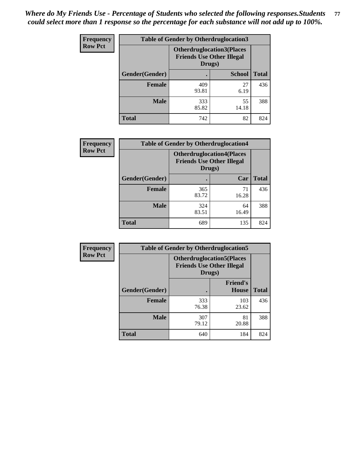| Frequency      | <b>Table of Gender by Otherdruglocation3</b> |                                                                                |               |              |
|----------------|----------------------------------------------|--------------------------------------------------------------------------------|---------------|--------------|
| <b>Row Pct</b> |                                              | <b>Otherdruglocation3(Places</b><br><b>Friends Use Other Illegal</b><br>Drugs) |               |              |
|                | Gender(Gender)                               |                                                                                | <b>School</b> | <b>Total</b> |
|                | <b>Female</b>                                | 409<br>93.81                                                                   | 27<br>6.19    | 436          |
|                | <b>Male</b>                                  | 333<br>85.82                                                                   | 55<br>14.18   | 388          |
|                | <b>Total</b>                                 | 742                                                                            | 82            | 824          |

| Frequency      | <b>Table of Gender by Otherdruglocation4</b> |                                            |                                  |              |
|----------------|----------------------------------------------|--------------------------------------------|----------------------------------|--------------|
| <b>Row Pct</b> |                                              | <b>Friends Use Other Illegal</b><br>Drugs) | <b>Otherdruglocation4(Places</b> |              |
|                | Gender(Gender)                               |                                            | Car                              | <b>Total</b> |
|                | <b>Female</b>                                | 365<br>83.72                               | 71<br>16.28                      | 436          |
|                | <b>Male</b>                                  | 324<br>83.51                               | 64<br>16.49                      | 388          |
|                | <b>Total</b>                                 | 689                                        | 135                              | 824          |

| Frequency      | <b>Table of Gender by Otherdruglocation5</b> |                                            |                                  |              |
|----------------|----------------------------------------------|--------------------------------------------|----------------------------------|--------------|
| <b>Row Pct</b> |                                              | <b>Friends Use Other Illegal</b><br>Drugs) | <b>Otherdruglocation5(Places</b> |              |
|                | Gender(Gender)                               |                                            | <b>Friend's</b><br><b>House</b>  | <b>Total</b> |
|                | <b>Female</b>                                | 333<br>76.38                               | 103<br>23.62                     | 436          |
|                | <b>Male</b>                                  | 307<br>79.12                               | 81<br>20.88                      | 388          |
|                | <b>Total</b>                                 | 640                                        | 184                              | 824          |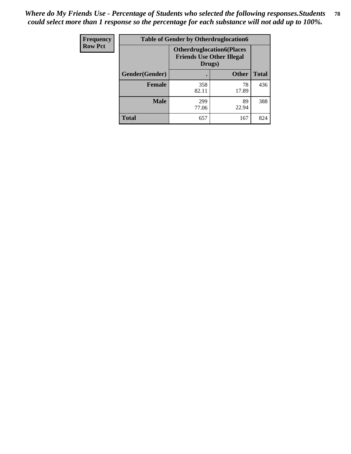| Frequency      | <b>Table of Gender by Otherdruglocation6</b> |                                            |                                  |              |
|----------------|----------------------------------------------|--------------------------------------------|----------------------------------|--------------|
| <b>Row Pct</b> |                                              | <b>Friends Use Other Illegal</b><br>Drugs) | <b>Otherdruglocation6(Places</b> |              |
|                | Gender(Gender)                               |                                            | <b>Other</b>                     | <b>Total</b> |
|                | <b>Female</b>                                | 358<br>82.11                               | 78<br>17.89                      | 436          |
|                | <b>Male</b>                                  | 299<br>77.06                               | 89<br>22.94                      | 388          |
|                | <b>Total</b>                                 | 657                                        | 167                              | 824          |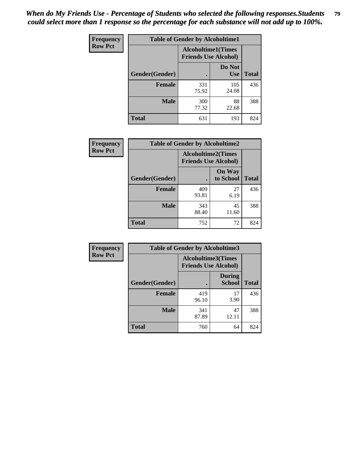| <b>Frequency</b> | <b>Table of Gender by Alcoholtime1</b> |                                                          |                      |              |
|------------------|----------------------------------------|----------------------------------------------------------|----------------------|--------------|
| <b>Row Pct</b>   |                                        | <b>Alcoholtime1(Times</b><br><b>Friends Use Alcohol)</b> |                      |              |
|                  | Gender(Gender)                         | $\bullet$                                                | Do Not<br><b>Use</b> | <b>Total</b> |
|                  | <b>Female</b>                          | 331<br>75.92                                             | 105<br>24.08         | 436          |
|                  | <b>Male</b>                            | 300<br>77.32                                             | 88<br>22.68          | 388          |
|                  | <b>Total</b>                           | 631                                                      | 193                  | 824          |

| Frequency      | <b>Table of Gender by Alcoholtime2</b> |                                                          |                            |              |
|----------------|----------------------------------------|----------------------------------------------------------|----------------------------|--------------|
| <b>Row Pct</b> |                                        | <b>Alcoholtime2(Times</b><br><b>Friends Use Alcohol)</b> |                            |              |
|                | Gender(Gender)                         |                                                          | <b>On Way</b><br>to School | <b>Total</b> |
|                | <b>Female</b>                          | 409<br>93.81                                             | 27<br>6.19                 | 436          |
|                | <b>Male</b>                            | 343<br>88.40                                             | 45<br>11.60                | 388          |
|                | <b>Total</b>                           | 752                                                      | 72                         | 824          |

| <b>Frequency</b> | <b>Table of Gender by Alcoholtime3</b> |                                                          |                                |              |
|------------------|----------------------------------------|----------------------------------------------------------|--------------------------------|--------------|
| <b>Row Pct</b>   |                                        | <b>Alcoholtime3(Times</b><br><b>Friends Use Alcohol)</b> |                                |              |
|                  | Gender(Gender)                         |                                                          | <b>During</b><br><b>School</b> | <b>Total</b> |
|                  | Female                                 | 419<br>96.10                                             | 17<br>3.90                     | 436          |
|                  | <b>Male</b>                            | 341<br>87.89                                             | 47<br>12.11                    | 388          |
|                  | <b>Total</b>                           | 760                                                      | 64                             | 824          |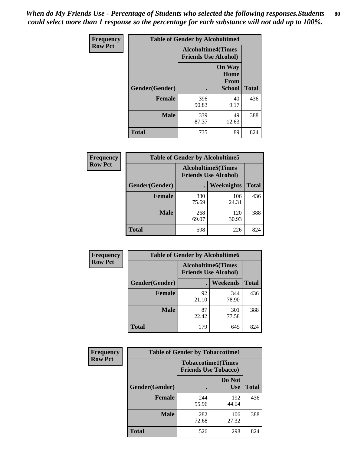*When do My Friends Use - Percentage of Students who selected the following responses.Students could select more than 1 response so the percentage for each substance will not add up to 100%.* **80**

| <b>Frequency</b> | <b>Table of Gender by Alcoholtime4</b> |                                                          |                                                |              |
|------------------|----------------------------------------|----------------------------------------------------------|------------------------------------------------|--------------|
| <b>Row Pct</b>   |                                        | <b>Alcoholtime4(Times</b><br><b>Friends Use Alcohol)</b> |                                                |              |
|                  | Gender(Gender)                         |                                                          | <b>On Way</b><br>Home<br>From<br><b>School</b> | <b>Total</b> |
|                  | <b>Female</b>                          | 396<br>90.83                                             | 40<br>9.17                                     | 436          |
|                  | <b>Male</b>                            | 339<br>87.37                                             | 49<br>12.63                                    | 388          |
|                  | <b>Total</b>                           | 735                                                      | 89                                             | 824          |

| <b>Frequency</b> | <b>Table of Gender by Alcoholtime5</b> |                                                           |              |              |  |
|------------------|----------------------------------------|-----------------------------------------------------------|--------------|--------------|--|
| <b>Row Pct</b>   |                                        | <b>Alcoholtime5</b> (Times<br><b>Friends Use Alcohol)</b> |              |              |  |
|                  | Gender(Gender)                         |                                                           | Weeknights   | <b>Total</b> |  |
|                  | <b>Female</b>                          | 330<br>75.69                                              | 106<br>24.31 | 436          |  |
|                  | <b>Male</b>                            | 268<br>69.07                                              | 120<br>30.93 | 388          |  |
|                  | <b>Total</b>                           | 598                                                       | 226          | 824          |  |

| <b>Frequency</b> | <b>Table of Gender by Alcoholtime6</b> |             |                                                          |              |  |
|------------------|----------------------------------------|-------------|----------------------------------------------------------|--------------|--|
| <b>Row Pct</b>   |                                        |             | <b>Alcoholtime6(Times</b><br><b>Friends Use Alcohol)</b> |              |  |
|                  | Gender(Gender)                         |             | Weekends                                                 | <b>Total</b> |  |
|                  | Female                                 | 92<br>21.10 | 344<br>78.90                                             | 436          |  |
|                  | <b>Male</b>                            | 87<br>22.42 | 301<br>77.58                                             | 388          |  |
|                  | <b>Total</b>                           | 179         | 645                                                      | 824          |  |

| Frequency      | <b>Table of Gender by Tobaccotime1</b> |                                                          |                      |              |
|----------------|----------------------------------------|----------------------------------------------------------|----------------------|--------------|
| <b>Row Pct</b> |                                        | <b>Tobaccotime1(Times</b><br><b>Friends Use Tobacco)</b> |                      |              |
|                | Gender(Gender)                         |                                                          | Do Not<br><b>Use</b> | <b>Total</b> |
|                | <b>Female</b>                          | 244<br>55.96                                             | 192<br>44.04         | 436          |
|                | <b>Male</b>                            | 282<br>72.68                                             | 106<br>27.32         | 388          |
|                | <b>Total</b>                           | 526                                                      | 298                  | 824          |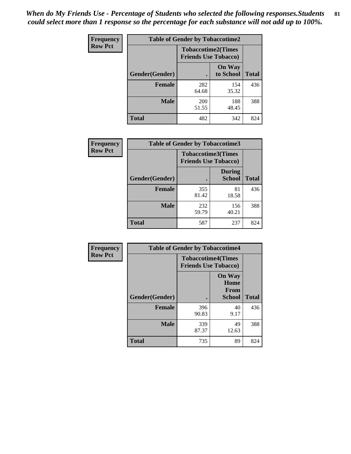*When do My Friends Use - Percentage of Students who selected the following responses.Students could select more than 1 response so the percentage for each substance will not add up to 100%.* **81**

| Frequency      | <b>Table of Gender by Tobaccotime2</b> |                                                          |                            |              |
|----------------|----------------------------------------|----------------------------------------------------------|----------------------------|--------------|
| <b>Row Pct</b> |                                        | <b>Tobaccotime2(Times</b><br><b>Friends Use Tobacco)</b> |                            |              |
|                | Gender(Gender)                         | $\bullet$                                                | <b>On Way</b><br>to School | <b>Total</b> |
|                | <b>Female</b>                          | 282<br>64.68                                             | 154<br>35.32               | 436          |
|                | <b>Male</b>                            | 200<br>51.55                                             | 188<br>48.45               | 388          |
|                | <b>Total</b>                           | 482                                                      | 342                        | 824          |

| Frequency      | <b>Table of Gender by Tobaccotime3</b> |                             |                                |              |
|----------------|----------------------------------------|-----------------------------|--------------------------------|--------------|
| <b>Row Pct</b> |                                        | <b>Friends Use Tobacco)</b> | <b>Tobaccotime3(Times</b>      |              |
|                | Gender(Gender)                         |                             | <b>During</b><br><b>School</b> | <b>Total</b> |
|                | <b>Female</b>                          | 355<br>81.42                | 81<br>18.58                    | 436          |
|                | <b>Male</b>                            | 232<br>59.79                | 156<br>40.21                   | 388          |
|                | <b>Total</b>                           | 587                         | 237                            | 824          |

| Frequency      | <b>Table of Gender by Tobaccotime4</b> |                                                          |                                         |              |
|----------------|----------------------------------------|----------------------------------------------------------|-----------------------------------------|--------------|
| <b>Row Pct</b> |                                        | <b>Tobaccotime4(Times</b><br><b>Friends Use Tobacco)</b> |                                         |              |
|                | Gender(Gender)                         |                                                          | <b>On Way</b><br>Home<br>From<br>School | <b>Total</b> |
|                | <b>Female</b>                          | 396<br>90.83                                             | 40<br>9.17                              | 436          |
|                | <b>Male</b>                            | 339<br>87.37                                             | 49<br>12.63                             | 388          |
|                | <b>Total</b>                           | 735                                                      | 89                                      | 824          |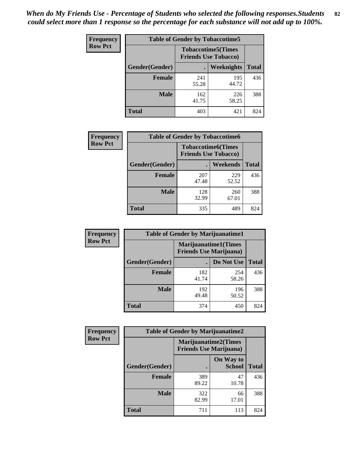| <b>Frequency</b> | <b>Table of Gender by Tobaccotime5</b> |                                                          |                   |              |  |
|------------------|----------------------------------------|----------------------------------------------------------|-------------------|--------------|--|
| <b>Row Pct</b>   |                                        | <b>Tobaccotime5(Times</b><br><b>Friends Use Tobacco)</b> |                   |              |  |
|                  | Gender(Gender)                         |                                                          | <b>Weeknights</b> | <b>Total</b> |  |
|                  | <b>Female</b>                          | 241<br>55.28                                             | 195<br>44.72      | 436          |  |
|                  | <b>Male</b>                            | 162<br>41.75                                             | 226<br>58.25      | 388          |  |
|                  | Total                                  | 403                                                      | 421               | 824          |  |

| <b>Frequency</b> | <b>Table of Gender by Tobaccotime6</b> |                             |                           |              |  |
|------------------|----------------------------------------|-----------------------------|---------------------------|--------------|--|
| <b>Row Pct</b>   |                                        | <b>Friends Use Tobacco)</b> | <b>Tobaccotime6(Times</b> |              |  |
|                  | Gender(Gender)                         |                             | Weekends                  | <b>Total</b> |  |
|                  | Female                                 | 207<br>47.48                | 229<br>52.52              | 436          |  |
|                  | <b>Male</b>                            | 128<br>32.99                | 260<br>67.01              | 388          |  |
|                  | <b>Total</b>                           | 335                         | 489                       | 824          |  |

| Frequency      | <b>Table of Gender by Marijuanatime1</b>                      |              |              |              |
|----------------|---------------------------------------------------------------|--------------|--------------|--------------|
| <b>Row Pct</b> | <b>Marijuanatime1(Times</b><br><b>Friends Use Marijuana</b> ) |              |              |              |
|                | Gender(Gender)                                                |              | Do Not Use   | <b>Total</b> |
|                | <b>Female</b>                                                 | 182<br>41.74 | 254<br>58.26 | 436          |
|                | <b>Male</b>                                                   | 192<br>49.48 | 196<br>50.52 | 388          |
|                | <b>Total</b>                                                  | 374          | 450          | 824          |

| <b>Frequency</b> | <b>Table of Gender by Marijuanatime2</b> |                                                               |                            |              |
|------------------|------------------------------------------|---------------------------------------------------------------|----------------------------|--------------|
| <b>Row Pct</b>   |                                          | <b>Marijuanatime2(Times</b><br><b>Friends Use Marijuana</b> ) |                            |              |
|                  | Gender(Gender)                           |                                                               | On Way to<br><b>School</b> | <b>Total</b> |
|                  | Female                                   | 389<br>89.22                                                  | 47<br>10.78                | 436          |
|                  | <b>Male</b>                              | 322<br>82.99                                                  | 66<br>17.01                | 388          |
|                  | <b>Total</b>                             | 711                                                           | 113                        | 824          |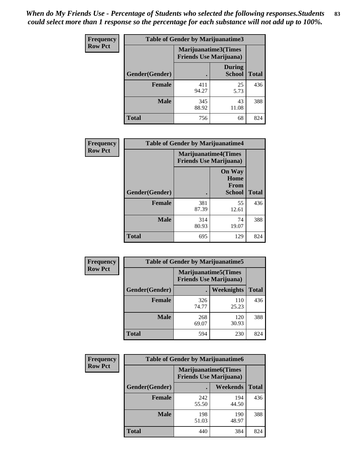*When do My Friends Use - Percentage of Students who selected the following responses.Students could select more than 1 response so the percentage for each substance will not add up to 100%.* **83**

| <b>Frequency</b> | Table of Gender by Marijuanatime3 |                                                        |                                |              |
|------------------|-----------------------------------|--------------------------------------------------------|--------------------------------|--------------|
| <b>Row Pct</b>   |                                   | Marijuanatime3(Times<br><b>Friends Use Marijuana</b> ) |                                |              |
|                  | Gender(Gender)                    |                                                        | <b>During</b><br><b>School</b> | <b>Total</b> |
|                  | <b>Female</b>                     | 411<br>94.27                                           | 25<br>5.73                     | 436          |
|                  | <b>Male</b>                       | 345<br>88.92                                           | 43<br>11.08                    | 388          |
|                  | <b>Total</b>                      | 756                                                    | 68                             | 824          |

| Frequency      | <b>Table of Gender by Marijuanatime4</b> |                                |                                                       |              |
|----------------|------------------------------------------|--------------------------------|-------------------------------------------------------|--------------|
| <b>Row Pct</b> |                                          | <b>Friends Use Marijuana</b> ) | <b>Marijuanatime4</b> (Times                          |              |
|                | Gender(Gender)                           |                                | <b>On Way</b><br>Home<br><b>From</b><br><b>School</b> | <b>Total</b> |
|                | <b>Female</b>                            | 381<br>87.39                   | 55<br>12.61                                           | 436          |
|                | <b>Male</b>                              | 314<br>80.93                   | 74<br>19.07                                           | 388          |
|                | <b>Total</b>                             | 695                            | 129                                                   | 824          |

| <b>Frequency</b> | <b>Table of Gender by Marijuanatime5</b> |                                                                |              |              |  |  |
|------------------|------------------------------------------|----------------------------------------------------------------|--------------|--------------|--|--|
| <b>Row Pct</b>   |                                          | <b>Marijuanatime5</b> (Times<br><b>Friends Use Marijuana</b> ) |              |              |  |  |
|                  | Gender(Gender)                           | ٠                                                              | Weeknights   | <b>Total</b> |  |  |
|                  | <b>Female</b>                            | 326<br>74.77                                                   | 110<br>25.23 | 436          |  |  |
|                  | <b>Male</b>                              | 268<br>69.07                                                   | 120<br>30.93 | 388          |  |  |
|                  | <b>Total</b>                             | 594                                                            | 230          | 824          |  |  |

| <b>Frequency</b> | <b>Table of Gender by Marijuanatime6</b> |                                                               |                 |              |  |
|------------------|------------------------------------------|---------------------------------------------------------------|-----------------|--------------|--|
| <b>Row Pct</b>   |                                          | <b>Marijuanatime6(Times</b><br><b>Friends Use Marijuana</b> ) |                 |              |  |
|                  | Gender(Gender)                           |                                                               | <b>Weekends</b> | <b>Total</b> |  |
|                  | <b>Female</b>                            | 242<br>55.50                                                  | 194<br>44.50    | 436          |  |
|                  | <b>Male</b>                              | 198<br>51.03                                                  | 190<br>48.97    | 388          |  |
|                  | <b>Total</b>                             | 440                                                           | 384             | 824          |  |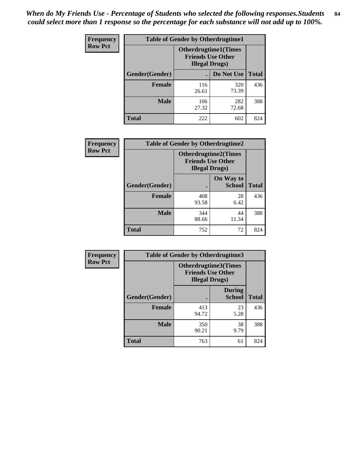*When do My Friends Use - Percentage of Students who selected the following responses.Students could select more than 1 response so the percentage for each substance will not add up to 100%.* **84**

| <b>Frequency</b> | <b>Table of Gender by Otherdrugtime1</b> |                                                                                    |              |              |  |
|------------------|------------------------------------------|------------------------------------------------------------------------------------|--------------|--------------|--|
| <b>Row Pct</b>   |                                          | <b>Otherdrugtime1</b> (Times<br><b>Friends Use Other</b><br><b>Illegal Drugs</b> ) |              |              |  |
|                  | <b>Gender</b> (Gender)                   |                                                                                    | Do Not Use   | <b>Total</b> |  |
|                  | <b>Female</b>                            | 116<br>26.61                                                                       | 320<br>73.39 | 436          |  |
|                  | <b>Male</b>                              | 106<br>27.32                                                                       | 282<br>72.68 | 388          |  |
|                  | <b>Total</b>                             | 222                                                                                | 602          | 824          |  |

| <b>Frequency</b> | <b>Table of Gender by Otherdrugtime2</b> |                                                                                   |                            |              |  |  |
|------------------|------------------------------------------|-----------------------------------------------------------------------------------|----------------------------|--------------|--|--|
| <b>Row Pct</b>   |                                          | <b>Otherdrugtime2(Times</b><br><b>Friends Use Other</b><br><b>Illegal Drugs</b> ) |                            |              |  |  |
|                  | <b>Gender</b> (Gender)                   |                                                                                   | On Way to<br><b>School</b> | <b>Total</b> |  |  |
|                  | <b>Female</b>                            | 408<br>93.58                                                                      | 28<br>6.42                 | 436          |  |  |
|                  | <b>Male</b>                              | 344<br>88.66                                                                      | 44<br>11.34                | 388          |  |  |
|                  | <b>Total</b>                             | 752                                                                               | 72                         | 824          |  |  |

| Frequency      |                | <b>Table of Gender by Otherdrugtime3</b>                                          |                                |              |  |
|----------------|----------------|-----------------------------------------------------------------------------------|--------------------------------|--------------|--|
| <b>Row Pct</b> |                | <b>Otherdrugtime3(Times</b><br><b>Friends Use Other</b><br><b>Illegal Drugs</b> ) |                                |              |  |
|                | Gender(Gender) |                                                                                   | <b>During</b><br><b>School</b> | <b>Total</b> |  |
|                | <b>Female</b>  | 413<br>94.72                                                                      | 23<br>5.28                     | 436          |  |
|                | <b>Male</b>    | 350<br>90.21                                                                      | 38<br>9.79                     | 388          |  |
|                | <b>Total</b>   | 763                                                                               | 61                             | 824          |  |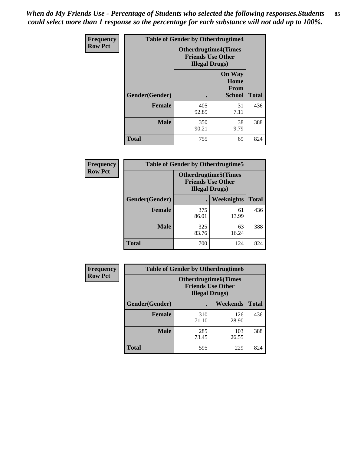*When do My Friends Use - Percentage of Students who selected the following responses.Students could select more than 1 response so the percentage for each substance will not add up to 100%.* **85**

| <b>Frequency</b> | <b>Table of Gender by Otherdrugtime4</b> |                                                                                   |                                                       |              |  |  |
|------------------|------------------------------------------|-----------------------------------------------------------------------------------|-------------------------------------------------------|--------------|--|--|
| <b>Row Pct</b>   |                                          | <b>Otherdrugtime4(Times</b><br><b>Friends Use Other</b><br><b>Illegal Drugs</b> ) |                                                       |              |  |  |
|                  | <b>Gender</b> (Gender)                   |                                                                                   | <b>On Way</b><br>Home<br><b>From</b><br><b>School</b> | <b>Total</b> |  |  |
|                  | <b>Female</b>                            | 405<br>92.89                                                                      | 31<br>7.11                                            | 436          |  |  |
|                  | <b>Male</b>                              | 350<br>90.21                                                                      | 38<br>9.79                                            | 388          |  |  |
|                  | <b>Total</b>                             | 755                                                                               | 69                                                    | 824          |  |  |

| Frequency      | <b>Table of Gender by Otherdrugtime5</b> |                                                                                    |             |              |  |
|----------------|------------------------------------------|------------------------------------------------------------------------------------|-------------|--------------|--|
| <b>Row Pct</b> |                                          | <b>Otherdrugtime5</b> (Times<br><b>Friends Use Other</b><br><b>Illegal Drugs</b> ) |             |              |  |
|                | Gender(Gender)                           |                                                                                    | Weeknights  | <b>Total</b> |  |
|                | <b>Female</b>                            | 375<br>86.01                                                                       | 61<br>13.99 | 436          |  |
|                | <b>Male</b>                              | 325<br>83.76                                                                       | 63<br>16.24 | 388          |  |
|                | <b>Total</b>                             | 700                                                                                | 124         | 824          |  |

| <b>Frequency</b> | <b>Table of Gender by Otherdrugtime6</b> |                                                                                   |              |              |  |
|------------------|------------------------------------------|-----------------------------------------------------------------------------------|--------------|--------------|--|
| <b>Row Pct</b>   |                                          | <b>Otherdrugtime6(Times</b><br><b>Friends Use Other</b><br><b>Illegal Drugs</b> ) |              |              |  |
|                  | Gender(Gender)                           |                                                                                   | Weekends     | <b>Total</b> |  |
|                  | <b>Female</b>                            | 310<br>71.10                                                                      | 126<br>28.90 | 436          |  |
|                  | Male                                     | 285<br>73.45                                                                      | 103<br>26.55 | 388          |  |
|                  | <b>Total</b>                             | 595                                                                               | 229          | 824          |  |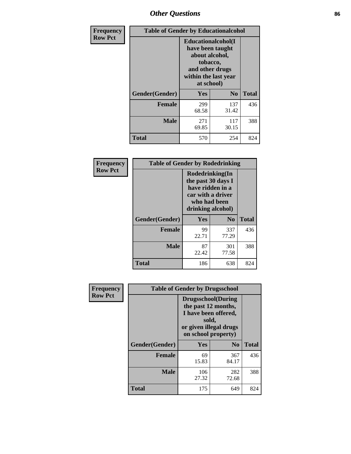# *Other Questions* **86**

| <b>Frequency</b> | <b>Table of Gender by Educationalcohol</b> |                                                                                                                                       |                |              |  |
|------------------|--------------------------------------------|---------------------------------------------------------------------------------------------------------------------------------------|----------------|--------------|--|
| <b>Row Pct</b>   |                                            | <b>Educationalcohol</b> (I<br>have been taught<br>about alcohol,<br>tobacco,<br>and other drugs<br>within the last year<br>at school) |                |              |  |
|                  | Gender(Gender)                             | <b>Yes</b>                                                                                                                            | N <sub>0</sub> | <b>Total</b> |  |
|                  | <b>Female</b>                              | 299<br>68.58                                                                                                                          | 137<br>31.42   | 436          |  |
|                  | <b>Male</b>                                | 271<br>69.85                                                                                                                          | 117<br>30.15   | 388          |  |
|                  | <b>Total</b>                               | 570                                                                                                                                   | 254            | 824          |  |

| Frequency      | <b>Table of Gender by Rodedrinking</b> |                                                                                                                     |                |              |  |
|----------------|----------------------------------------|---------------------------------------------------------------------------------------------------------------------|----------------|--------------|--|
| <b>Row Pct</b> |                                        | Rodedrinking(In<br>the past 30 days I<br>have ridden in a<br>car with a driver<br>who had been<br>drinking alcohol) |                |              |  |
|                | Gender(Gender)                         | Yes                                                                                                                 | N <sub>0</sub> | <b>Total</b> |  |
|                | <b>Female</b>                          | 99<br>22.71                                                                                                         | 337<br>77.29   | 436          |  |
|                | <b>Male</b>                            | 87<br>22.42                                                                                                         | 301<br>77.58   | 388          |  |
|                | <b>Total</b>                           | 186                                                                                                                 | 638            | 824          |  |

| Frequency      | <b>Table of Gender by Drugsschool</b> |                                                                                                                                     |                |              |  |
|----------------|---------------------------------------|-------------------------------------------------------------------------------------------------------------------------------------|----------------|--------------|--|
| <b>Row Pct</b> |                                       | <b>Drugsschool</b> (During<br>the past 12 months,<br>I have been offered,<br>sold,<br>or given illegal drugs<br>on school property) |                |              |  |
|                | Gender(Gender)                        | Yes                                                                                                                                 | N <sub>0</sub> | <b>Total</b> |  |
|                | <b>Female</b>                         | 69<br>15.83                                                                                                                         | 367<br>84.17   | 436          |  |
|                | <b>Male</b>                           | 106<br>27.32                                                                                                                        | 282<br>72.68   | 388          |  |
|                | <b>Total</b>                          | 175                                                                                                                                 | 649            | 824          |  |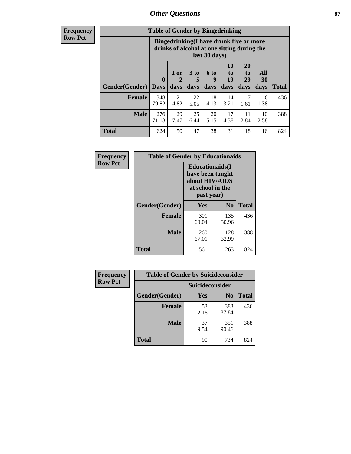## *Other Questions* **87**

**Frequency Row Pct**

| <b>Table of Gender by Bingedrinking</b> |                            |                                                                                                         |                   |                   |                        |                               |                   |              |
|-----------------------------------------|----------------------------|---------------------------------------------------------------------------------------------------------|-------------------|-------------------|------------------------|-------------------------------|-------------------|--------------|
|                                         |                            | Bingedrinking(I have drunk five or more<br>drinks of alcohol at one sitting during the<br>last 30 days) |                   |                   |                        |                               |                   |              |
| <b>Gender</b> (Gender)                  | $\mathbf 0$<br><b>Days</b> | 1 or<br>2<br>days                                                                                       | 3 to<br>5<br>days | 6 to<br>9<br>days | 10<br>to<br>19<br>days | <b>20</b><br>to<br>29<br>days | All<br>30<br>days | <b>Total</b> |
| <b>Female</b>                           | 348<br>79.82               | 21<br>4.82                                                                                              | 22<br>5.05        | 18<br>4.13        | 14<br>3.21             | 7<br>1.61                     | 6<br>1.38         | 436          |
| <b>Male</b>                             | 276<br>71.13               | 29<br>7.47                                                                                              | 25<br>6.44        | 20<br>5.15        | 17<br>4.38             | 11<br>2.84                    | 10<br>2.58        | 388          |
| <b>Total</b>                            | 624                        | 50                                                                                                      | 47                | 38                | 31                     | 18                            | 16                | 824          |

| Frequency      | <b>Table of Gender by Educationaids</b> |                                                                                                 |                |              |
|----------------|-----------------------------------------|-------------------------------------------------------------------------------------------------|----------------|--------------|
| <b>Row Pct</b> |                                         | <b>Educationaids</b> (I<br>have been taught<br>about HIV/AIDS<br>at school in the<br>past year) |                |              |
|                | Gender(Gender)                          | Yes                                                                                             | N <sub>0</sub> | <b>Total</b> |
|                | <b>Female</b>                           | 301<br>69.04                                                                                    | 135<br>30.96   | 436          |
|                | <b>Male</b>                             | 260<br>67.01                                                                                    | 128<br>32.99   | 388          |
|                | <b>Total</b>                            | 561                                                                                             | 263            | 824          |

| <b>Frequency</b> | <b>Table of Gender by Suicideconsider</b> |                 |                |              |
|------------------|-------------------------------------------|-----------------|----------------|--------------|
| <b>Row Pct</b>   |                                           | Suicideconsider |                |              |
|                  | Gender(Gender)                            | Yes             | N <sub>0</sub> | <b>Total</b> |
|                  | <b>Female</b>                             | 53<br>12.16     | 383<br>87.84   | 436          |
|                  | <b>Male</b>                               | 37<br>9.54      | 351<br>90.46   | 388          |
|                  | Total                                     | 90              | 734            | 824          |